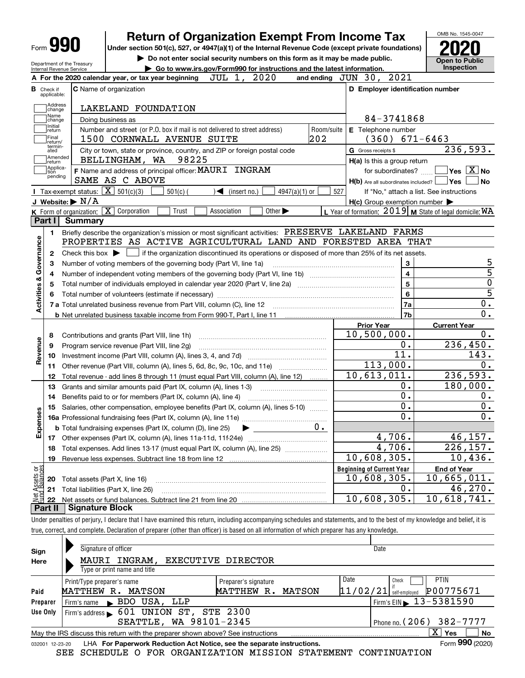|                          |                                                                                                                                                                                                              |                                                                                                                                                            | OMB No. 1545-0047                                         |                                             |  |  |  |  |  |
|--------------------------|--------------------------------------------------------------------------------------------------------------------------------------------------------------------------------------------------------------|------------------------------------------------------------------------------------------------------------------------------------------------------------|-----------------------------------------------------------|---------------------------------------------|--|--|--|--|--|
| <b>Form 990</b>          |                                                                                                                                                                                                              | <b>Return of Organization Exempt From Income Tax</b><br>Under section 501(c), 527, or 4947(a)(1) of the Internal Revenue Code (except private foundations) |                                                           |                                             |  |  |  |  |  |
|                          |                                                                                                                                                                                                              | Do not enter social security numbers on this form as it may be made public.                                                                                |                                                           | <b>Open to Public</b>                       |  |  |  |  |  |
|                          | Department of the Treasury<br>Internal Revenue Service                                                                                                                                                       | Go to www.irs.gov/Form990 for instructions and the latest information.                                                                                     |                                                           | Inspection                                  |  |  |  |  |  |
|                          |                                                                                                                                                                                                              | JUL 1, 2020<br>A For the 2020 calendar year, or tax year beginning                                                                                         | and ending JUN 30, 2021                                   |                                             |  |  |  |  |  |
| в.                       | Check if<br>applicable:                                                                                                                                                                                      | <b>C</b> Name of organization                                                                                                                              | D Employer identification number                          |                                             |  |  |  |  |  |
|                          | Address<br>change                                                                                                                                                                                            | LAKELAND FOUNDATION                                                                                                                                        |                                                           |                                             |  |  |  |  |  |
|                          | Name<br>change                                                                                                                                                                                               | Doing business as                                                                                                                                          | 84-3741868                                                |                                             |  |  |  |  |  |
|                          | Initial<br>return<br>Final<br>return/                                                                                                                                                                        | Number and street (or P.O. box if mail is not delivered to street address)<br>Room/suite<br>202<br>1500 CORNWALL AVENUE SUITE                              | E Telephone number<br>$(360)$ 671-6463                    |                                             |  |  |  |  |  |
|                          | termin-<br>ated<br>Amended                                                                                                                                                                                   | City or town, state or province, country, and ZIP or foreign postal code<br>BELLINGHAM, WA 98225                                                           | G Gross receipts \$                                       | 236,593.                                    |  |  |  |  |  |
|                          | return<br> Applica-                                                                                                                                                                                          |                                                                                                                                                            | H(a) Is this a group return                               |                                             |  |  |  |  |  |
|                          | tion<br>pending                                                                                                                                                                                              | F Name and address of principal officer: MAURI INGRAM<br>SAME AS C ABOVE                                                                                   |                                                           | for subordinates? $\Box$ Yes $\boxed{X}$ No |  |  |  |  |  |
|                          |                                                                                                                                                                                                              |                                                                                                                                                            | $H(b)$ Are all subordinates included? $\Box$ Yes          | l No                                        |  |  |  |  |  |
|                          |                                                                                                                                                                                                              | <b>I</b> Tax-exempt status: $\overline{\mathbf{X}}$ 501(c)(3)<br>$501(c)$ (<br>$\blacktriangleleft$ (insert no.)<br>$4947(a)(1)$ or                        | 527<br>If "No," attach a list. See instructions           |                                             |  |  |  |  |  |
|                          | J Website: $\triangleright$ N/A                                                                                                                                                                              | Association                                                                                                                                                | $H(c)$ Group exemption number $\blacktriangleright$       |                                             |  |  |  |  |  |
|                          | Part I Summary                                                                                                                                                                                               | K Form of organization: X Corporation<br>Trust<br>Other $\blacktriangleright$                                                                              | L Year of formation: $2019$ M State of legal domicile: WA |                                             |  |  |  |  |  |
|                          |                                                                                                                                                                                                              |                                                                                                                                                            |                                                           |                                             |  |  |  |  |  |
|                          | 1.                                                                                                                                                                                                           | Briefly describe the organization's mission or most significant activities: PRESERVE LAKELAND FARMS                                                        |                                                           |                                             |  |  |  |  |  |
|                          | PROPERTIES AS ACTIVE AGRICULTURAL LAND AND FORESTED AREA THAT<br>Check this box $\blacktriangleright$ $\Box$ if the organization discontinued its operations or disposed of more than 25% of its net assets. |                                                                                                                                                            |                                                           |                                             |  |  |  |  |  |
| Activities & Governance  | 2                                                                                                                                                                                                            |                                                                                                                                                            |                                                           |                                             |  |  |  |  |  |
|                          |                                                                                                                                                                                                              | Number of voting members of the governing body (Part VI, line 1a)                                                                                          | $\overline{\mathbf{3}}$                                   | 5<br>$\overline{5}$                         |  |  |  |  |  |
|                          | 4                                                                                                                                                                                                            | $\overline{\mathbf{4}}$                                                                                                                                    | $\overline{0}$                                            |                                             |  |  |  |  |  |
|                          |                                                                                                                                                                                                              | 5<br>Total number of individuals employed in calendar year 2020 (Part V, line 2a) manufacture controller to intervent                                      | $\overline{5}$                                            |                                             |  |  |  |  |  |
|                          |                                                                                                                                                                                                              |                                                                                                                                                            | 6                                                         |                                             |  |  |  |  |  |
|                          |                                                                                                                                                                                                              |                                                                                                                                                            | 7a                                                        | 0.                                          |  |  |  |  |  |
|                          |                                                                                                                                                                                                              |                                                                                                                                                            | 7b                                                        | $\mathbf 0$ .                               |  |  |  |  |  |
|                          |                                                                                                                                                                                                              |                                                                                                                                                            | <b>Prior Year</b>                                         | <b>Current Year</b>                         |  |  |  |  |  |
|                          | 8                                                                                                                                                                                                            | Contributions and grants (Part VIII, line 1h)                                                                                                              | 10,500,000.                                               | $0$ .                                       |  |  |  |  |  |
|                          | 9                                                                                                                                                                                                            | Program service revenue (Part VIII, line 2g)                                                                                                               | 0.                                                        | 236,450.                                    |  |  |  |  |  |
| Revenue                  | 10                                                                                                                                                                                                           |                                                                                                                                                            | $\overline{11}$ .                                         | 143.                                        |  |  |  |  |  |
|                          | 11                                                                                                                                                                                                           | Other revenue (Part VIII, column (A), lines 5, 6d, 8c, 9c, 10c, and 11e)                                                                                   | 113,000.                                                  | 0.                                          |  |  |  |  |  |
|                          | 12                                                                                                                                                                                                           | Total revenue - add lines 8 through 11 (must equal Part VIII, column (A), line 12)                                                                         | 10,613,011.                                               | 236,593.                                    |  |  |  |  |  |
|                          | 13                                                                                                                                                                                                           | Grants and similar amounts paid (Part IX, column (A), lines 1-3) <i>manual community container</i>                                                         | 0.                                                        | 180,000.                                    |  |  |  |  |  |
|                          | 14                                                                                                                                                                                                           | Benefits paid to or for members (Part IX, column (A), line 4)                                                                                              | $\overline{0}$ .                                          | 0.                                          |  |  |  |  |  |
| 89                       |                                                                                                                                                                                                              | 15 Salaries, other compensation, employee benefits (Part IX, column (A), lines 5-10)                                                                       | $\overline{0}$ .                                          | $0$ .                                       |  |  |  |  |  |
| Expense                  |                                                                                                                                                                                                              |                                                                                                                                                            | $\overline{0}$ .                                          | $\overline{0}$ .                            |  |  |  |  |  |
|                          |                                                                                                                                                                                                              | $0 \cdot$<br><b>b</b> Total fundraising expenses (Part IX, column (D), line 25)                                                                            |                                                           |                                             |  |  |  |  |  |
|                          |                                                                                                                                                                                                              |                                                                                                                                                            | 4,706.                                                    | 46, 157.                                    |  |  |  |  |  |
|                          | 18                                                                                                                                                                                                           | Total expenses. Add lines 13-17 (must equal Part IX, column (A), line 25)                                                                                  | 4,706.                                                    | 226, 157.                                   |  |  |  |  |  |
|                          | 19                                                                                                                                                                                                           | Revenue less expenses. Subtract line 18 from line 12                                                                                                       | $\overline{10}$ , 608, 305.                               | 10,436.                                     |  |  |  |  |  |
|                          |                                                                                                                                                                                                              |                                                                                                                                                            | <b>Beginning of Current Year</b>                          | <b>End of Year</b>                          |  |  |  |  |  |
|                          | 20                                                                                                                                                                                                           | Total assets (Part X, line 16)                                                                                                                             | $\overline{10}$ , 608, 305.                               | 10,665,011.                                 |  |  |  |  |  |
| : Assets or<br>dBalances | 21                                                                                                                                                                                                           | Total liabilities (Part X, line 26)                                                                                                                        | 0.                                                        | 46,270.                                     |  |  |  |  |  |
| 鲳                        | 22                                                                                                                                                                                                           |                                                                                                                                                            | 10,608,305.                                               | 10,618,741.                                 |  |  |  |  |  |

**Part II Signature Block**

Under penalties of perjury, I declare that I have examined this return, including accompanying schedules and statements, and to the best of my knowledge and belief, it is true, correct, and complete. Declaration of preparer (other than officer) is based on all information of which preparer has any knowledge.

| Sign     | Signature of officer                                                                                         | Date                                               |  |  |  |  |  |  |  |  |
|----------|--------------------------------------------------------------------------------------------------------------|----------------------------------------------------|--|--|--|--|--|--|--|--|
| Here     | INGRAM,<br>EXECUTIVE DIRECTOR<br>MAURI                                                                       |                                                    |  |  |  |  |  |  |  |  |
|          | Type or print name and title                                                                                 |                                                    |  |  |  |  |  |  |  |  |
|          | Print/Type preparer's name<br>Preparer's signature                                                           | Date<br><b>PTIN</b><br>Check                       |  |  |  |  |  |  |  |  |
| Paid     | MATTHEW R.<br>MATTHEW R.<br>MATSON                                                                           | P00775671<br> 11/02/21 <br>MATSON<br>self-emploved |  |  |  |  |  |  |  |  |
| Preparer | Firm's name BDO USA, LLP                                                                                     | Firm's EIN $\triangleright$ 13-5381590             |  |  |  |  |  |  |  |  |
| Use Only | 601 UNION ST, STE 2300<br>Firm's address                                                                     |                                                    |  |  |  |  |  |  |  |  |
|          | SEATTLE, WA 98101-2345                                                                                       | Phone no. $(206)$ 382-7777                         |  |  |  |  |  |  |  |  |
|          | ΧI<br>No<br>Yes<br>May the IRS discuss this return with the preparer shown above? See instructions           |                                                    |  |  |  |  |  |  |  |  |
|          | Form 990 (2020)<br>LHA For Paperwork Reduction Act Notice, see the separate instructions.<br>032001 12-23-20 |                                                    |  |  |  |  |  |  |  |  |

SEE SCHEDULE O FOR ORGANIZATION MISSION STATEMENT CONTINUATION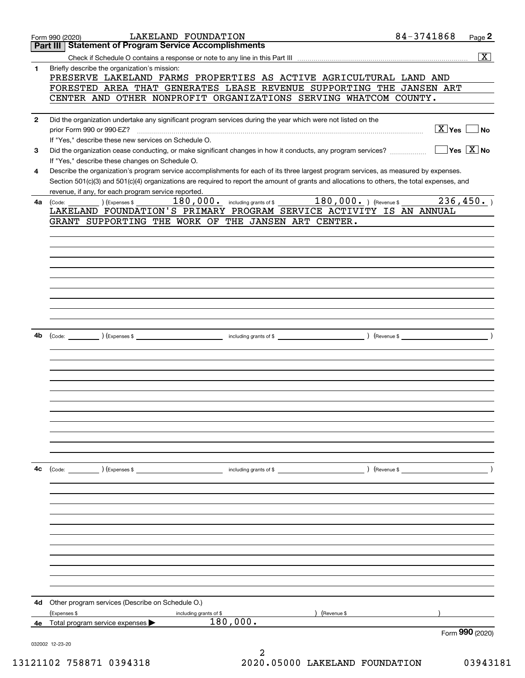|              | LAKELAND FOUNDATION<br>Form 990 (2020)                                                                                                                                                                                                                  | 84-3741868             | Page 2                                 |
|--------------|---------------------------------------------------------------------------------------------------------------------------------------------------------------------------------------------------------------------------------------------------------|------------------------|----------------------------------------|
|              | <b>Part III   Statement of Program Service Accomplishments</b>                                                                                                                                                                                          |                        |                                        |
|              |                                                                                                                                                                                                                                                         |                        | $\boxed{\textbf{X}}$                   |
| 1            | Briefly describe the organization's mission:                                                                                                                                                                                                            |                        |                                        |
|              | PRESERVE LAKELAND FARMS PROPERTIES AS ACTIVE AGRICULTURAL LAND AND<br>FORESTED AREA THAT GENERATES LEASE REVENUE SUPPORTING THE JANSEN ART                                                                                                              |                        |                                        |
|              | CENTER AND OTHER NONPROFIT ORGANIZATIONS SERVING WHATCOM COUNTY.                                                                                                                                                                                        |                        |                                        |
|              |                                                                                                                                                                                                                                                         |                        |                                        |
| $\mathbf{2}$ | Did the organization undertake any significant program services during the year which were not listed on the                                                                                                                                            |                        |                                        |
|              | prior Form 990 or 990-EZ?                                                                                                                                                                                                                               | $\boxed{\text{X}}$ Yes | No                                     |
|              | If "Yes," describe these new services on Schedule O.                                                                                                                                                                                                    |                        |                                        |
| 3            | Did the organization cease conducting, or make significant changes in how it conducts, any program services?                                                                                                                                            |                        | $\sqrt{}$ Yes $\sqrt{}$ X $\sqrt{}$ No |
|              |                                                                                                                                                                                                                                                         |                        |                                        |
|              | If "Yes," describe these changes on Schedule O.                                                                                                                                                                                                         |                        |                                        |
| 4            | Describe the organization's program service accomplishments for each of its three largest program services, as measured by expenses.                                                                                                                    |                        |                                        |
|              | Section 501(c)(3) and 501(c)(4) organizations are required to report the amount of grants and allocations to others, the total expenses, and                                                                                                            |                        |                                        |
|              | revenue, if any, for each program service reported.<br>180,000. including grants of \$ 180,000. ) (Revenue \$                                                                                                                                           |                        | 236,450.                               |
| 4а           | (Expenses \$<br>(Code:<br>LAKELAND FOUNDATION'S PRIMARY PROGRAM SERVICE ACTIVITY IS AN ANNUAL                                                                                                                                                           |                        |                                        |
|              | GRANT SUPPORTING THE WORK OF THE JANSEN ART CENTER.                                                                                                                                                                                                     |                        |                                        |
|              |                                                                                                                                                                                                                                                         |                        |                                        |
|              |                                                                                                                                                                                                                                                         |                        |                                        |
|              |                                                                                                                                                                                                                                                         |                        |                                        |
|              |                                                                                                                                                                                                                                                         |                        |                                        |
|              |                                                                                                                                                                                                                                                         |                        |                                        |
|              |                                                                                                                                                                                                                                                         |                        |                                        |
|              |                                                                                                                                                                                                                                                         |                        |                                        |
|              |                                                                                                                                                                                                                                                         |                        |                                        |
|              |                                                                                                                                                                                                                                                         |                        |                                        |
|              |                                                                                                                                                                                                                                                         |                        |                                        |
|              |                                                                                                                                                                                                                                                         |                        |                                        |
| 4b           | and the contract of the contract of the contract of the contract of the contract of the contract of the contract of the contract of the contract of the contract of the contract of the contract of the contract of the contra<br>(Code: ) (Expenses \$ |                        |                                        |
|              |                                                                                                                                                                                                                                                         |                        |                                        |
|              |                                                                                                                                                                                                                                                         |                        |                                        |
|              |                                                                                                                                                                                                                                                         |                        |                                        |
|              |                                                                                                                                                                                                                                                         |                        |                                        |
|              |                                                                                                                                                                                                                                                         |                        |                                        |
|              |                                                                                                                                                                                                                                                         |                        |                                        |
|              |                                                                                                                                                                                                                                                         |                        |                                        |
|              |                                                                                                                                                                                                                                                         |                        |                                        |
|              |                                                                                                                                                                                                                                                         |                        |                                        |
|              |                                                                                                                                                                                                                                                         |                        |                                        |
|              |                                                                                                                                                                                                                                                         |                        |                                        |
|              |                                                                                                                                                                                                                                                         |                        |                                        |
| 4c           | (Code: ) (Expenses \$<br>including grants of \$                                                                                                                                                                                                         | ) (Revenue \$          |                                        |
|              |                                                                                                                                                                                                                                                         |                        |                                        |
|              |                                                                                                                                                                                                                                                         |                        |                                        |
|              |                                                                                                                                                                                                                                                         |                        |                                        |
|              |                                                                                                                                                                                                                                                         |                        |                                        |
|              |                                                                                                                                                                                                                                                         |                        |                                        |
|              |                                                                                                                                                                                                                                                         |                        |                                        |
|              |                                                                                                                                                                                                                                                         |                        |                                        |
|              |                                                                                                                                                                                                                                                         |                        |                                        |
|              |                                                                                                                                                                                                                                                         |                        |                                        |
|              |                                                                                                                                                                                                                                                         |                        |                                        |
|              |                                                                                                                                                                                                                                                         |                        |                                        |
|              |                                                                                                                                                                                                                                                         |                        |                                        |
| 4d           | Other program services (Describe on Schedule O.)                                                                                                                                                                                                        |                        |                                        |
|              | (Expenses \$<br>(Revenue \$<br>including grants of \$                                                                                                                                                                                                   |                        |                                        |
|              | 180,000.<br>4e Total program service expenses $\blacktriangleright$                                                                                                                                                                                     |                        |                                        |
|              |                                                                                                                                                                                                                                                         |                        | Form 990 (2020)                        |
|              | 032002 12-23-20                                                                                                                                                                                                                                         |                        |                                        |
|              | 2                                                                                                                                                                                                                                                       |                        |                                        |

13121102 758871 0394318 2020.05000 LAKELAND FOUNDATION 03943181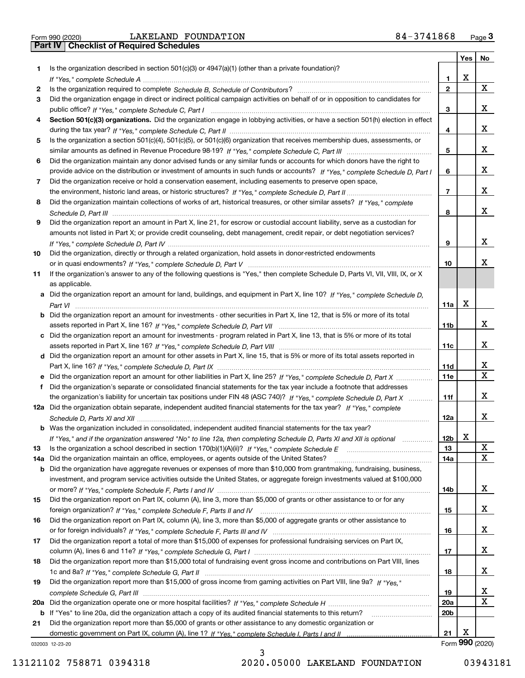|  | Form 990 (2020 |
|--|----------------|

Form 990 (2020) LAKELAND FOUNDATION 8 4-3741868 <sub>Page</sub> 3<br>**Part IV | Checklist of Required Schedules** 

|     |                                                                                                                                       |                 |   | Yes   No        |
|-----|---------------------------------------------------------------------------------------------------------------------------------------|-----------------|---|-----------------|
| 1.  | Is the organization described in section $501(c)(3)$ or $4947(a)(1)$ (other than a private foundation)?                               |                 |   |                 |
|     |                                                                                                                                       | 1.              | x |                 |
| 2   |                                                                                                                                       | $\mathbf{2}$    |   | X               |
| 3   | Did the organization engage in direct or indirect political campaign activities on behalf of or in opposition to candidates for       |                 |   |                 |
|     |                                                                                                                                       | 3               |   | x               |
| 4   | Section 501(c)(3) organizations. Did the organization engage in lobbying activities, or have a section 501(h) election in effect      |                 |   |                 |
|     |                                                                                                                                       | 4               |   | x               |
| 5   | Is the organization a section 501(c)(4), 501(c)(5), or 501(c)(6) organization that receives membership dues, assessments, or          |                 |   |                 |
|     |                                                                                                                                       | 5               |   | x               |
| 6   | Did the organization maintain any donor advised funds or any similar funds or accounts for which donors have the right to             |                 |   |                 |
|     | provide advice on the distribution or investment of amounts in such funds or accounts? If "Yes," complete Schedule D, Part I          | 6               |   | x               |
| 7   | Did the organization receive or hold a conservation easement, including easements to preserve open space,                             |                 |   |                 |
|     |                                                                                                                                       | $\overline{7}$  |   | x               |
| 8   | Did the organization maintain collections of works of art, historical treasures, or other similar assets? If "Yes," complete          |                 |   |                 |
|     |                                                                                                                                       | 8               |   | x               |
| 9   | Did the organization report an amount in Part X, line 21, for escrow or custodial account liability, serve as a custodian for         |                 |   |                 |
|     | amounts not listed in Part X; or provide credit counseling, debt management, credit repair, or debt negotiation services?             |                 |   |                 |
|     |                                                                                                                                       | 9               |   | x               |
| 10  | Did the organization, directly or through a related organization, hold assets in donor-restricted endowments                          |                 |   |                 |
|     |                                                                                                                                       | 10              |   | x               |
| 11  | If the organization's answer to any of the following questions is "Yes," then complete Schedule D, Parts VI, VII, VIII, IX, or X      |                 |   |                 |
|     | as applicable.                                                                                                                        |                 |   |                 |
|     | a Did the organization report an amount for land, buildings, and equipment in Part X, line 10? If "Yes," complete Schedule D.         |                 | x |                 |
|     |                                                                                                                                       | 11a             |   |                 |
|     | <b>b</b> Did the organization report an amount for investments - other securities in Part X, line 12, that is 5% or more of its total |                 |   | x               |
|     |                                                                                                                                       | 11 <sub>b</sub> |   |                 |
|     | c Did the organization report an amount for investments - program related in Part X, line 13, that is 5% or more of its total         | 11c             |   | x               |
|     | d Did the organization report an amount for other assets in Part X, line 15, that is 5% or more of its total assets reported in       |                 |   |                 |
|     |                                                                                                                                       | <b>11d</b>      |   | X               |
|     |                                                                                                                                       | 11e             |   | X               |
| f   | Did the organization's separate or consolidated financial statements for the tax year include a footnote that addresses               |                 |   |                 |
|     | the organization's liability for uncertain tax positions under FIN 48 (ASC 740)? If "Yes," complete Schedule D, Part X                | 11f             |   | x               |
|     | 12a Did the organization obtain separate, independent audited financial statements for the tax year? If "Yes," complete               |                 |   |                 |
|     |                                                                                                                                       | 12a             |   | x               |
|     | <b>b</b> Was the organization included in consolidated, independent audited financial statements for the tax year?                    |                 |   |                 |
|     | If "Yes," and if the organization answered "No" to line 12a, then completing Schedule D, Parts XI and XII is optional                 | 12 <sub>b</sub> | X |                 |
| 13  |                                                                                                                                       | 13              |   | X               |
| 14a | Did the organization maintain an office, employees, or agents outside of the United States?                                           | 14a             |   | X               |
|     | <b>b</b> Did the organization have aggregate revenues or expenses of more than \$10,000 from grantmaking, fundraising, business,      |                 |   |                 |
|     | investment, and program service activities outside the United States, or aggregate foreign investments valued at \$100,000            |                 |   |                 |
|     |                                                                                                                                       | 14b             |   | x               |
| 15  | Did the organization report on Part IX, column (A), line 3, more than \$5,000 of grants or other assistance to or for any             |                 |   |                 |
|     |                                                                                                                                       | 15              |   | x               |
| 16  | Did the organization report on Part IX, column (A), line 3, more than \$5,000 of aggregate grants or other assistance to              |                 |   |                 |
|     |                                                                                                                                       | 16              |   | x               |
| 17  | Did the organization report a total of more than \$15,000 of expenses for professional fundraising services on Part IX,               |                 |   |                 |
|     |                                                                                                                                       | 17              |   | x               |
| 18  | Did the organization report more than \$15,000 total of fundraising event gross income and contributions on Part VIII, lines          |                 |   |                 |
|     |                                                                                                                                       | 18              |   | x               |
| 19  | Did the organization report more than \$15,000 of gross income from gaming activities on Part VIII, line 9a? If "Yes."                |                 |   |                 |
|     |                                                                                                                                       | 19              |   | x               |
|     |                                                                                                                                       | 20a             |   | X               |
|     | b If "Yes" to line 20a, did the organization attach a copy of its audited financial statements to this return?                        | 20 <sub>b</sub> |   |                 |
| 21  | Did the organization report more than \$5,000 of grants or other assistance to any domestic organization or                           |                 |   |                 |
|     |                                                                                                                                       | 21              | х |                 |
|     | 032003 12-23-20                                                                                                                       |                 |   | Form 990 (2020) |

032003 12-23-20

13121102 758871 0394318 2020.05000 LAKELAND FOUNDATION 03943181

3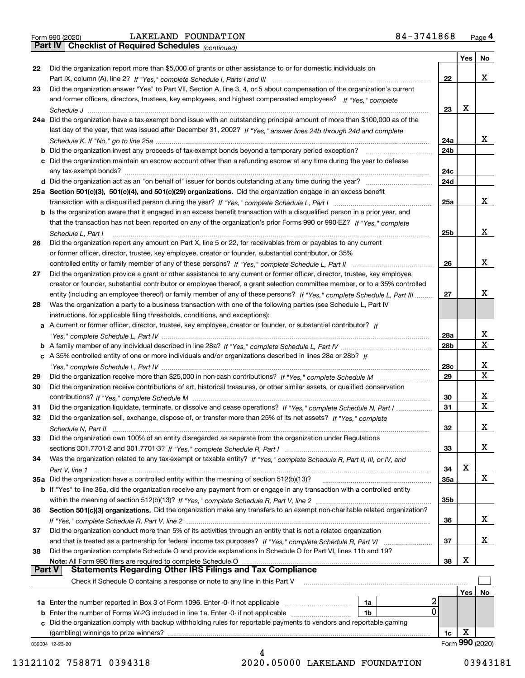|  | Form 990 (2020) |
|--|-----------------|
|  |                 |

*(continued)*

|               |                                                                                                                                                                             |                 | Yes | No.             |
|---------------|-----------------------------------------------------------------------------------------------------------------------------------------------------------------------------|-----------------|-----|-----------------|
| 22            | Did the organization report more than \$5,000 of grants or other assistance to or for domestic individuals on                                                               |                 |     |                 |
|               | Part IX, column (A), line 2? If "Yes," complete Schedule I, Parts I and III [11] [11] [12] [12] Part IX, column (A), line 2? If "Yes," complete Schedule I, Parts I and III | 22              |     | х               |
| 23            | Did the organization answer "Yes" to Part VII, Section A, line 3, 4, or 5 about compensation of the organization's current                                                  |                 |     |                 |
|               | and former officers, directors, trustees, key employees, and highest compensated employees? If "Yes," complete                                                              |                 |     |                 |
|               | Schedule J                                                                                                                                                                  | 23              | х   |                 |
|               | 24a Did the organization have a tax-exempt bond issue with an outstanding principal amount of more than \$100,000 as of the                                                 |                 |     |                 |
|               | last day of the year, that was issued after December 31, 2002? If "Yes," answer lines 24b through 24d and complete                                                          |                 |     |                 |
|               |                                                                                                                                                                             | 24a             |     | x               |
|               | <b>b</b> Did the organization invest any proceeds of tax-exempt bonds beyond a temporary period exception?                                                                  | 24 <sub>b</sub> |     |                 |
|               | c Did the organization maintain an escrow account other than a refunding escrow at any time during the year to defease                                                      |                 |     |                 |
|               | any tax-exempt bonds?                                                                                                                                                       | 24c             |     |                 |
|               | d Did the organization act as an "on behalf of" issuer for bonds outstanding at any time during the year?                                                                   | 24d             |     |                 |
|               | 25a Section 501(c)(3), 501(c)(4), and 501(c)(29) organizations. Did the organization engage in an excess benefit                                                            |                 |     |                 |
|               |                                                                                                                                                                             | 25a             |     | х               |
|               | b Is the organization aware that it engaged in an excess benefit transaction with a disqualified person in a prior year, and                                                |                 |     |                 |
|               | that the transaction has not been reported on any of the organization's prior Forms 990 or 990-EZ? If "Yes," complete                                                       |                 |     |                 |
|               | Schedule L, Part I                                                                                                                                                          | 25 <sub>b</sub> |     | х               |
| 26            | Did the organization report any amount on Part X, line 5 or 22, for receivables from or payables to any current                                                             |                 |     |                 |
|               | or former officer, director, trustee, key employee, creator or founder, substantial contributor, or 35%                                                                     |                 |     |                 |
|               |                                                                                                                                                                             | 26              |     | х               |
| 27            | Did the organization provide a grant or other assistance to any current or former officer, director, trustee, key employee,                                                 |                 |     |                 |
|               | creator or founder, substantial contributor or employee thereof, a grant selection committee member, or to a 35% controlled                                                 |                 |     |                 |
|               | entity (including an employee thereof) or family member of any of these persons? If "Yes," complete Schedule L, Part III                                                    | 27              |     | х               |
| 28            | Was the organization a party to a business transaction with one of the following parties (see Schedule L, Part IV                                                           |                 |     |                 |
|               | instructions, for applicable filing thresholds, conditions, and exceptions):                                                                                                |                 |     |                 |
|               | a A current or former officer, director, trustee, key employee, creator or founder, or substantial contributor? If                                                          |                 |     |                 |
|               |                                                                                                                                                                             | 28a             |     | x               |
|               |                                                                                                                                                                             | 28 <sub>b</sub> |     | $\mathbf X$     |
|               | c A 35% controlled entity of one or more individuals and/or organizations described in lines 28a or 28b? If                                                                 |                 |     |                 |
|               |                                                                                                                                                                             | 28c             |     | x               |
| 29            |                                                                                                                                                                             | 29              |     | $\mathbf X$     |
| 30            | Did the organization receive contributions of art, historical treasures, or other similar assets, or qualified conservation                                                 |                 |     |                 |
|               |                                                                                                                                                                             | 30              |     | x               |
| 31            | Did the organization liquidate, terminate, or dissolve and cease operations? If "Yes," complete Schedule N, Part I                                                          | 31              |     | $\mathbf x$     |
| 32            | Did the organization sell, exchange, dispose of, or transfer more than 25% of its net assets? If "Yes," complete                                                            |                 |     |                 |
|               | Schedule N, Part II                                                                                                                                                         | 32              |     | x               |
| 33            | Did the organization own 100% of an entity disregarded as separate from the organization under Regulations                                                                  |                 |     |                 |
|               |                                                                                                                                                                             | 33              |     | X               |
| 34            | Was the organization related to any tax-exempt or taxable entity? If "Yes," complete Schedule R, Part II, III, or IV, and                                                   |                 |     |                 |
|               |                                                                                                                                                                             | 34              | X   |                 |
|               | 35a Did the organization have a controlled entity within the meaning of section 512(b)(13)?                                                                                 | <b>35a</b>      |     | X               |
|               | b If "Yes" to line 35a, did the organization receive any payment from or engage in any transaction with a controlled entity                                                 |                 |     |                 |
|               |                                                                                                                                                                             | 35b             |     |                 |
| 36            | Section 501(c)(3) organizations. Did the organization make any transfers to an exempt non-charitable related organization?                                                  |                 |     |                 |
|               |                                                                                                                                                                             | 36              |     | x               |
| 37            | Did the organization conduct more than 5% of its activities through an entity that is not a related organization                                                            |                 |     |                 |
|               | and that is treated as a partnership for federal income tax purposes? If "Yes," complete Schedule R, Part VI                                                                | 37              |     | x               |
| 38            | Did the organization complete Schedule O and provide explanations in Schedule O for Part VI, lines 11b and 19?                                                              |                 |     |                 |
|               | Note: All Form 990 filers are required to complete Schedule O                                                                                                               | 38              | х   |                 |
| <b>Part V</b> | <b>Statements Regarding Other IRS Filings and Tax Compliance</b>                                                                                                            |                 |     |                 |
|               | Check if Schedule O contains a response or note to any line in this Part V                                                                                                  |                 |     |                 |
|               |                                                                                                                                                                             |                 | Yes | No              |
|               | 2<br><b>1a</b> Enter the number reported in Box 3 of Form 1096. Enter -0- if not applicable <i>manumumumum</i><br>1a                                                        |                 |     |                 |
|               | 0<br><b>b</b> Enter the number of Forms W-2G included in line 1a. Enter -0- if not applicable<br>1b                                                                         |                 |     |                 |
|               | c Did the organization comply with backup withholding rules for reportable payments to vendors and reportable gaming                                                        |                 |     |                 |
|               | (gambling) winnings to prize winners?                                                                                                                                       | 1c              | х   |                 |
|               | 032004 12-23-20                                                                                                                                                             |                 |     | Form 990 (2020) |
|               |                                                                                                                                                                             |                 |     |                 |

13121102 758871 0394318 2020.05000 LAKELAND FOUNDATION 03943181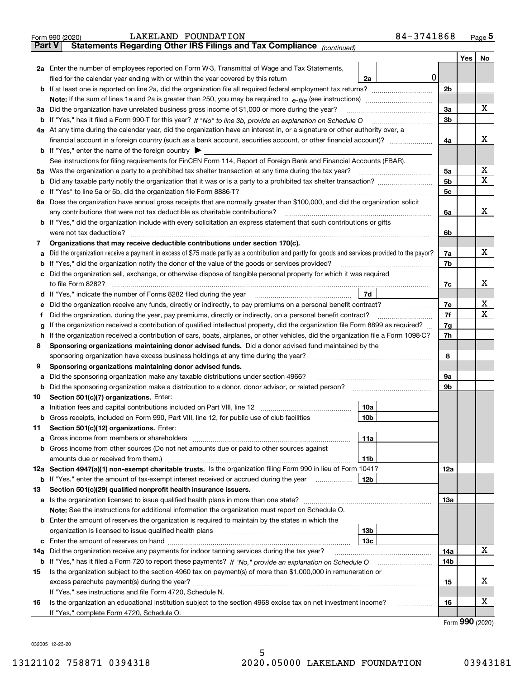|               | 84-3741868<br>LAKELAND FOUNDATION<br>Form 990 (2020)                                                                                            |                |     | Page 5           |  |  |  |
|---------------|-------------------------------------------------------------------------------------------------------------------------------------------------|----------------|-----|------------------|--|--|--|
| <b>Part V</b> | Statements Regarding Other IRS Filings and Tax Compliance (continued)                                                                           |                |     |                  |  |  |  |
|               |                                                                                                                                                 |                | Yes | No               |  |  |  |
|               | 2a Enter the number of employees reported on Form W-3, Transmittal of Wage and Tax Statements,                                                  |                |     |                  |  |  |  |
|               | 0<br>filed for the calendar year ending with or within the year covered by this return <i>manumumumum</i><br>2a                                 |                |     |                  |  |  |  |
|               |                                                                                                                                                 | 2 <sub>b</sub> |     |                  |  |  |  |
|               |                                                                                                                                                 |                |     |                  |  |  |  |
|               | 3a Did the organization have unrelated business gross income of \$1,000 or more during the year?                                                | 3a             |     | х                |  |  |  |
|               |                                                                                                                                                 | 3 <sub>b</sub> |     |                  |  |  |  |
|               |                                                                                                                                                 |                |     |                  |  |  |  |
|               | 4a At any time during the calendar year, did the organization have an interest in, or a signature or other authority over, a                    |                |     | x                |  |  |  |
|               |                                                                                                                                                 | 4a             |     |                  |  |  |  |
|               | <b>b</b> If "Yes," enter the name of the foreign country $\blacktriangleright$                                                                  |                |     |                  |  |  |  |
|               | See instructions for filing requirements for FinCEN Form 114, Report of Foreign Bank and Financial Accounts (FBAR).                             |                |     |                  |  |  |  |
|               |                                                                                                                                                 | 5a             |     | х                |  |  |  |
| b             |                                                                                                                                                 | 5 <sub>b</sub> |     | x                |  |  |  |
| c             |                                                                                                                                                 | 5 <sub>c</sub> |     |                  |  |  |  |
|               | 6a Does the organization have annual gross receipts that are normally greater than \$100,000, and did the organization solicit                  |                |     |                  |  |  |  |
|               |                                                                                                                                                 | 6a             |     | x                |  |  |  |
|               | <b>b</b> If "Yes," did the organization include with every solicitation an express statement that such contributions or gifts                   |                |     |                  |  |  |  |
|               | were not tax deductible?                                                                                                                        | 6b             |     |                  |  |  |  |
| 7             | Organizations that may receive deductible contributions under section 170(c).                                                                   |                |     |                  |  |  |  |
| а             | Did the organization receive a payment in excess of \$75 made partly as a contribution and partly for goods and services provided to the payor? | 7a             |     | х                |  |  |  |
|               | <b>b</b> If "Yes," did the organization notify the donor of the value of the goods or services provided?                                        | 7b             |     |                  |  |  |  |
|               | c Did the organization sell, exchange, or otherwise dispose of tangible personal property for which it was required                             |                |     |                  |  |  |  |
|               |                                                                                                                                                 | 7c             |     | x                |  |  |  |
|               | 7d                                                                                                                                              |                |     |                  |  |  |  |
| е             | Did the organization receive any funds, directly or indirectly, to pay premiums on a personal benefit contract?                                 | 7e             |     | х                |  |  |  |
| f             | Did the organization, during the year, pay premiums, directly or indirectly, on a personal benefit contract?                                    | 7f             |     | x                |  |  |  |
|               | If the organization received a contribution of qualified intellectual property, did the organization file Form 8899 as required?<br>g           |                |     |                  |  |  |  |
|               | If the organization received a contribution of cars, boats, airplanes, or other vehicles, did the organization file a Form 1098-C?<br>h.        |                |     |                  |  |  |  |
| 8             | Sponsoring organizations maintaining donor advised funds. Did a donor advised fund maintained by the                                            |                |     |                  |  |  |  |
|               | sponsoring organization have excess business holdings at any time during the year?                                                              | 8              |     |                  |  |  |  |
| 9             | Sponsoring organizations maintaining donor advised funds.                                                                                       |                |     |                  |  |  |  |
|               | Did the sponsoring organization make any taxable distributions under section 4966?                                                              | 9a             |     |                  |  |  |  |
| а             |                                                                                                                                                 | 9b             |     |                  |  |  |  |
|               | <b>b</b> Did the sponsoring organization make a distribution to a donor, donor advisor, or related person?                                      |                |     |                  |  |  |  |
| 10            | Section 501(c)(7) organizations. Enter:                                                                                                         |                |     |                  |  |  |  |
|               | 10a                                                                                                                                             |                |     |                  |  |  |  |
|               | 10b <br>Gross receipts, included on Form 990, Part VIII, line 12, for public use of club facilities                                             |                |     |                  |  |  |  |
| 11            | Section 501(c)(12) organizations. Enter:                                                                                                        |                |     |                  |  |  |  |
| a             | Gross income from members or shareholders<br>11a                                                                                                |                |     |                  |  |  |  |
|               | b Gross income from other sources (Do not net amounts due or paid to other sources against                                                      |                |     |                  |  |  |  |
|               | amounts due or received from them.)<br>11b                                                                                                      |                |     |                  |  |  |  |
|               | 12a Section 4947(a)(1) non-exempt charitable trusts. Is the organization filing Form 990 in lieu of Form 1041?                                  | 12a            |     |                  |  |  |  |
|               | <b>b</b> If "Yes," enter the amount of tax-exempt interest received or accrued during the year<br>12b                                           |                |     |                  |  |  |  |
| 13            | Section 501(c)(29) qualified nonprofit health insurance issuers.                                                                                |                |     |                  |  |  |  |
|               | a Is the organization licensed to issue qualified health plans in more than one state?                                                          | 13а            |     |                  |  |  |  |
|               | Note: See the instructions for additional information the organization must report on Schedule O.                                               |                |     |                  |  |  |  |
|               | <b>b</b> Enter the amount of reserves the organization is required to maintain by the states in which the                                       |                |     |                  |  |  |  |
|               | 13b                                                                                                                                             |                |     |                  |  |  |  |
|               | 13с                                                                                                                                             |                |     |                  |  |  |  |
| 14a           | Did the organization receive any payments for indoor tanning services during the tax year?                                                      | 14a            |     | x                |  |  |  |
|               | <b>b</b> If "Yes," has it filed a Form 720 to report these payments? If "No," provide an explanation on Schedule O                              | 14b            |     |                  |  |  |  |
| 15            | Is the organization subject to the section 4960 tax on payment(s) of more than \$1,000,000 in remuneration or                                   |                |     |                  |  |  |  |
|               |                                                                                                                                                 | 15             |     | x                |  |  |  |
|               | If "Yes," see instructions and file Form 4720, Schedule N.                                                                                      |                |     |                  |  |  |  |
| 16            | Is the organization an educational institution subject to the section 4968 excise tax on net investment income?                                 | 16             |     | x                |  |  |  |
|               | If "Yes," complete Form 4720, Schedule O.                                                                                                       |                |     |                  |  |  |  |
|               |                                                                                                                                                 |                |     | $000 \times 000$ |  |  |  |

Form (2020) **990**

032005 12-23-20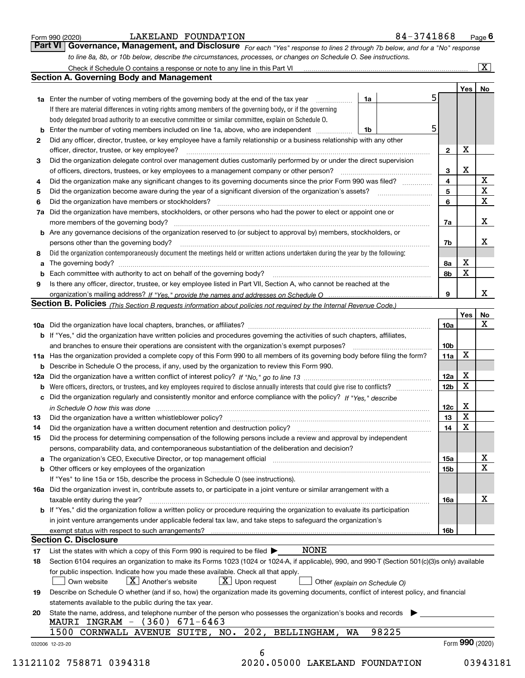|  | Form 990 (2020) |
|--|-----------------|
|  |                 |

*For each "Yes" response to lines 2 through 7b below, and for a "No" response to line 8a, 8b, or 10b below, describe the circumstances, processes, or changes on Schedule O. See instructions.* Form 990 (2020) **1998 Concret Concret Concret Concret Concret Concret Concret Concret Concret Concret Concret Concret<br><b>Part VI Governance, Management, and Disclosure** For each "Yes" response to lines 2 through 7b below,

|              |                                                                                                                                                                            |    |       |    |                        | Yes   No         |                         |  |  |  |  |
|--------------|----------------------------------------------------------------------------------------------------------------------------------------------------------------------------|----|-------|----|------------------------|------------------|-------------------------|--|--|--|--|
|              | <b>1a</b> Enter the number of voting members of the governing body at the end of the tax year <i>manumum</i>                                                               | 1a |       | 5. |                        |                  |                         |  |  |  |  |
|              | If there are material differences in voting rights among members of the governing body, or if the governing                                                                |    |       |    |                        |                  |                         |  |  |  |  |
|              | body delegated broad authority to an executive committee or similar committee, explain on Schedule O.                                                                      |    |       |    |                        |                  |                         |  |  |  |  |
|              |                                                                                                                                                                            | 1b |       | 5  |                        |                  |                         |  |  |  |  |
| $\mathbf{2}$ | Did any officer, director, trustee, or key employee have a family relationship or a business relationship with any other                                                   |    |       |    |                        |                  |                         |  |  |  |  |
|              | officer, director, trustee, or key employee?                                                                                                                               |    |       |    |                        |                  |                         |  |  |  |  |
| 3            | Did the organization delegate control over management duties customarily performed by or under the direct supervision                                                      |    |       |    |                        |                  |                         |  |  |  |  |
|              |                                                                                                                                                                            |    |       |    |                        |                  |                         |  |  |  |  |
| 4            | Did the organization make any significant changes to its governing documents since the prior Form 990 was filed?                                                           |    |       |    | 4                      |                  | $\mathbf X$             |  |  |  |  |
| 5            |                                                                                                                                                                            |    |       |    | 5                      |                  | $\overline{\textbf{X}}$ |  |  |  |  |
| 6            | Did the organization have members or stockholders?                                                                                                                         |    |       |    |                        |                  |                         |  |  |  |  |
|              | 7a Did the organization have members, stockholders, or other persons who had the power to elect or appoint one or                                                          |    |       |    |                        |                  |                         |  |  |  |  |
|              |                                                                                                                                                                            |    |       |    | 7a                     |                  | X                       |  |  |  |  |
|              | <b>b</b> Are any governance decisions of the organization reserved to (or subject to approval by) members, stockholders, or                                                |    |       |    |                        |                  |                         |  |  |  |  |
|              | persons other than the governing body?                                                                                                                                     |    |       |    | 7b                     |                  | Х                       |  |  |  |  |
| 8            | Did the organization contemporaneously document the meetings held or written actions undertaken during the year by the following:                                          |    |       |    |                        |                  |                         |  |  |  |  |
| a            |                                                                                                                                                                            |    |       |    | 8a                     | X                |                         |  |  |  |  |
|              |                                                                                                                                                                            |    |       |    | 8b                     | $\mathbf X$      |                         |  |  |  |  |
| 9            | Is there any officer, director, trustee, or key employee listed in Part VII, Section A, who cannot be reached at the                                                       |    |       |    |                        |                  |                         |  |  |  |  |
|              |                                                                                                                                                                            |    |       |    | 9                      |                  | X                       |  |  |  |  |
|              | Section B. Policies <sub>(This</sub> Section B requests information about policies not required by the Internal Revenue Code.)                                             |    |       |    |                        |                  |                         |  |  |  |  |
|              |                                                                                                                                                                            |    |       |    |                        | Yes              | <b>No</b>               |  |  |  |  |
|              |                                                                                                                                                                            |    |       |    | <b>10a</b>             |                  | X                       |  |  |  |  |
|              | <b>b</b> If "Yes," did the organization have written policies and procedures governing the activities of such chapters, affiliates,                                        |    |       |    |                        |                  |                         |  |  |  |  |
|              |                                                                                                                                                                            |    |       |    |                        |                  |                         |  |  |  |  |
|              |                                                                                                                                                                            |    |       |    | 10 <sub>b</sub><br>11a | X                |                         |  |  |  |  |
|              | 11a Has the organization provided a complete copy of this Form 990 to all members of its governing body before filing the form?                                            |    |       |    |                        |                  |                         |  |  |  |  |
|              | <b>b</b> Describe in Schedule O the process, if any, used by the organization to review this Form 990.                                                                     |    |       |    |                        | X                |                         |  |  |  |  |
|              |                                                                                                                                                                            |    |       |    | 12a                    | X                |                         |  |  |  |  |
| b            |                                                                                                                                                                            |    |       |    | 12 <sub>b</sub>        |                  |                         |  |  |  |  |
|              | c Did the organization regularly and consistently monitor and enforce compliance with the policy? If "Yes," describe                                                       |    |       |    |                        |                  |                         |  |  |  |  |
|              | in Schedule O how this was done measured and contained a state of the state of the state of the state of the s                                                             |    |       |    | 12c                    | X<br>$\mathbf X$ |                         |  |  |  |  |
| 13           |                                                                                                                                                                            |    |       |    | 13                     |                  |                         |  |  |  |  |
| 14           | Did the organization have a written document retention and destruction policy? manufactured and the organization have a written document retention and destruction policy? |    |       |    | 14                     | $\mathbf X$      |                         |  |  |  |  |
| 15           | Did the process for determining compensation of the following persons include a review and approval by independent                                                         |    |       |    |                        |                  |                         |  |  |  |  |
|              | persons, comparability data, and contemporaneous substantiation of the deliberation and decision?                                                                          |    |       |    |                        |                  |                         |  |  |  |  |
|              |                                                                                                                                                                            |    |       |    | 15a                    |                  | Х                       |  |  |  |  |
|              | <b>b</b> Other officers or key employees of the organization                                                                                                               |    |       |    | 15 <sub>b</sub>        |                  | $\mathbf X$             |  |  |  |  |
|              | If "Yes" to line 15a or 15b, describe the process in Schedule O (see instructions).                                                                                        |    |       |    |                        |                  |                         |  |  |  |  |
|              | 16a Did the organization invest in, contribute assets to, or participate in a joint venture or similar arrangement with a                                                  |    |       |    |                        |                  |                         |  |  |  |  |
|              | taxable entity during the year?                                                                                                                                            |    |       |    | 16a                    |                  | х                       |  |  |  |  |
|              | <b>b</b> If "Yes," did the organization follow a written policy or procedure requiring the organization to evaluate its participation                                      |    |       |    |                        |                  |                         |  |  |  |  |
|              | in joint venture arrangements under applicable federal tax law, and take steps to safeguard the organization's                                                             |    |       |    |                        |                  |                         |  |  |  |  |
|              | exempt status with respect to such arrangements?                                                                                                                           |    |       |    | <b>16b</b>             |                  |                         |  |  |  |  |
|              | <b>Section C. Disclosure</b>                                                                                                                                               |    |       |    |                        |                  |                         |  |  |  |  |
| 17           | <b>NONE</b><br>List the states with which a copy of this Form 990 is required to be filed $\blacktriangleright$                                                            |    |       |    |                        |                  |                         |  |  |  |  |
| 18           | Section 6104 requires an organization to make its Forms 1023 (1024 or 1024-A, if applicable), 990, and 990-T (Section 501(c)(3)s only) available                           |    |       |    |                        |                  |                         |  |  |  |  |
|              | for public inspection. Indicate how you made these available. Check all that apply.                                                                                        |    |       |    |                        |                  |                         |  |  |  |  |
|              | $X$ Upon request<br>$X$ Another's website<br>Own website<br>Other (explain on Schedule O)                                                                                  |    |       |    |                        |                  |                         |  |  |  |  |
| 19           | Describe on Schedule O whether (and if so, how) the organization made its governing documents, conflict of interest policy, and financial                                  |    |       |    |                        |                  |                         |  |  |  |  |
|              | statements available to the public during the tax year.                                                                                                                    |    |       |    |                        |                  |                         |  |  |  |  |
|              |                                                                                                                                                                            |    |       |    |                        |                  |                         |  |  |  |  |
| 20           | State the name, address, and telephone number of the person who possesses the organization's books and records                                                             |    |       |    |                        |                  |                         |  |  |  |  |
|              | MAURI INGRAM - (360) 671-6463                                                                                                                                              |    |       |    |                        |                  |                         |  |  |  |  |
|              | 1500 CORNWALL AVENUE SUITE, NO. 202, BELLINGHAM,<br>WA                                                                                                                     |    | 98225 |    |                        |                  |                         |  |  |  |  |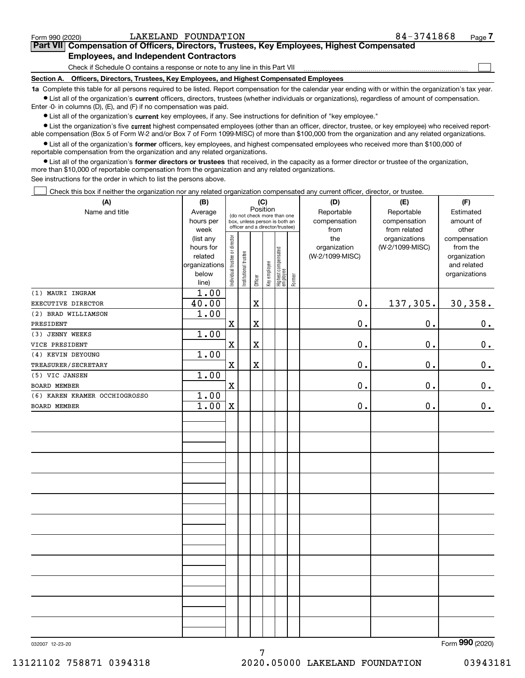$\mathcal{L}^{\text{max}}$ 

| orm 990 (2020) <sup>.</sup> |                                                                                            | LAKELAND FOUNDATION | 84-3741868 | Page <i>I</i> |
|-----------------------------|--------------------------------------------------------------------------------------------|---------------------|------------|---------------|
|                             | Part VII Compensation of Officers, Directors, Trustees, Key Employees, Highest Compensated |                     |            |               |
|                             | <b>Employees, and Independent Contractors</b>                                              |                     |            |               |

Check if Schedule O contains a response or note to any line in this Part VII

**Section A. Officers, Directors, Trustees, Key Employees, and Highest Compensated Employees**

**1a**  Complete this table for all persons required to be listed. Report compensation for the calendar year ending with or within the organization's tax year. **•** List all of the organization's current officers, directors, trustees (whether individuals or organizations), regardless of amount of compensation.

Enter -0- in columns (D), (E), and (F) if no compensation was paid.

 $\bullet$  List all of the organization's  $\,$ current key employees, if any. See instructions for definition of "key employee."

**•** List the organization's five current highest compensated employees (other than an officer, director, trustee, or key employee) who received reportable compensation (Box 5 of Form W-2 and/or Box 7 of Form 1099-MISC) of more than \$100,000 from the organization and any related organizations.

**•** List all of the organization's former officers, key employees, and highest compensated employees who received more than \$100,000 of reportable compensation from the organization and any related organizations.

**former directors or trustees**  ¥ List all of the organization's that received, in the capacity as a former director or trustee of the organization, more than \$10,000 of reportable compensation from the organization and any related organizations.

See instructions for the order in which to list the persons above.

Check this box if neither the organization nor any related organization compensated any current officer, director, or trustee.  $\mathcal{L}^{\text{max}}$ 

| (A)                           | (B)                    | (C)                            |                       |             |              |                                                                  |        | (D)                 | (E)                              | (F)                      |
|-------------------------------|------------------------|--------------------------------|-----------------------|-------------|--------------|------------------------------------------------------------------|--------|---------------------|----------------------------------|--------------------------|
| Name and title                | Average                |                                |                       | Position    |              | (do not check more than one                                      |        | Reportable          | Reportable                       | Estimated                |
|                               | hours per              |                                |                       |             |              | box, unless person is both an<br>officer and a director/trustee) |        | compensation        | compensation                     | amount of                |
|                               | week                   |                                |                       |             |              |                                                                  |        | from                | from related                     | other                    |
|                               | (list any<br>hours for | Individual trustee or director |                       |             |              |                                                                  |        | the<br>organization | organizations<br>(W-2/1099-MISC) | compensation<br>from the |
|                               | related                |                                |                       |             |              |                                                                  |        | (W-2/1099-MISC)     |                                  | organization             |
|                               | organizations          |                                |                       |             |              |                                                                  |        |                     |                                  | and related              |
|                               | below                  |                                | Institutional trustee |             | Key employee |                                                                  |        |                     |                                  | organizations            |
|                               | line)                  |                                |                       | Officer     |              | Highest compensated<br>  employee                                | Former |                     |                                  |                          |
| (1) MAURI INGRAM              | $\overline{1.00}$      |                                |                       |             |              |                                                                  |        |                     |                                  |                          |
| EXECUTIVE DIRECTOR            | 40.00                  |                                |                       | X           |              |                                                                  |        | $\mathbf 0$ .       | 137,305.                         | 30, 358.                 |
| (2) BRAD WILLIAMSON           | 1.00                   |                                |                       |             |              |                                                                  |        |                     |                                  |                          |
| PRESIDENT                     |                        | $\mathbf X$                    |                       | X           |              |                                                                  |        | 0.                  | 0.                               | $0_{.}$                  |
| (3) JENNY WEEKS               | 1.00                   |                                |                       |             |              |                                                                  |        |                     |                                  |                          |
| VICE PRESIDENT                |                        | $\mathbf x$                    |                       | $\mathbf X$ |              |                                                                  |        | 0.                  | 0.                               | $\mathbf 0$ .            |
| (4) KEVIN DEYOUNG             | 1.00                   |                                |                       |             |              |                                                                  |        |                     |                                  |                          |
| TREASURER/SECRETARY           |                        | $\mathbf x$                    |                       | $\mathbf x$ |              |                                                                  |        | 0.                  | 0.                               | $\mathbf 0$ .            |
| (5) VIC JANSEN                | 1.00                   |                                |                       |             |              |                                                                  |        |                     |                                  |                          |
| BOARD MEMBER                  |                        | $\mathbf X$                    |                       |             |              |                                                                  |        | 0.                  | 0.                               | 0.                       |
| (6) KAREN KRAMER OCCHIOGROSSO | 1.00                   |                                |                       |             |              |                                                                  |        |                     |                                  |                          |
| <b>BOARD MEMBER</b>           | 1.00                   | $\mathbf X$                    |                       |             |              |                                                                  |        | 0.                  | 0.                               | 0.                       |
|                               |                        |                                |                       |             |              |                                                                  |        |                     |                                  |                          |
|                               |                        |                                |                       |             |              |                                                                  |        |                     |                                  |                          |
|                               |                        |                                |                       |             |              |                                                                  |        |                     |                                  |                          |
|                               |                        |                                |                       |             |              |                                                                  |        |                     |                                  |                          |
|                               |                        |                                |                       |             |              |                                                                  |        |                     |                                  |                          |
|                               |                        |                                |                       |             |              |                                                                  |        |                     |                                  |                          |
|                               |                        |                                |                       |             |              |                                                                  |        |                     |                                  |                          |
|                               |                        |                                |                       |             |              |                                                                  |        |                     |                                  |                          |
|                               |                        |                                |                       |             |              |                                                                  |        |                     |                                  |                          |
|                               |                        |                                |                       |             |              |                                                                  |        |                     |                                  |                          |
|                               |                        |                                |                       |             |              |                                                                  |        |                     |                                  |                          |
|                               |                        |                                |                       |             |              |                                                                  |        |                     |                                  |                          |
|                               |                        |                                |                       |             |              |                                                                  |        |                     |                                  |                          |
|                               |                        |                                |                       |             |              |                                                                  |        |                     |                                  |                          |
|                               |                        |                                |                       |             |              |                                                                  |        |                     |                                  |                          |
|                               |                        |                                |                       |             |              |                                                                  |        |                     |                                  |                          |
|                               |                        |                                |                       |             |              |                                                                  |        |                     |                                  |                          |
|                               |                        |                                |                       |             |              |                                                                  |        |                     |                                  |                          |
|                               |                        |                                |                       |             |              |                                                                  |        |                     |                                  |                          |
|                               |                        |                                |                       |             |              |                                                                  |        |                     |                                  |                          |
|                               |                        |                                |                       |             |              |                                                                  |        |                     |                                  |                          |
|                               |                        |                                |                       |             |              |                                                                  |        |                     |                                  | $\overline{0}$           |

7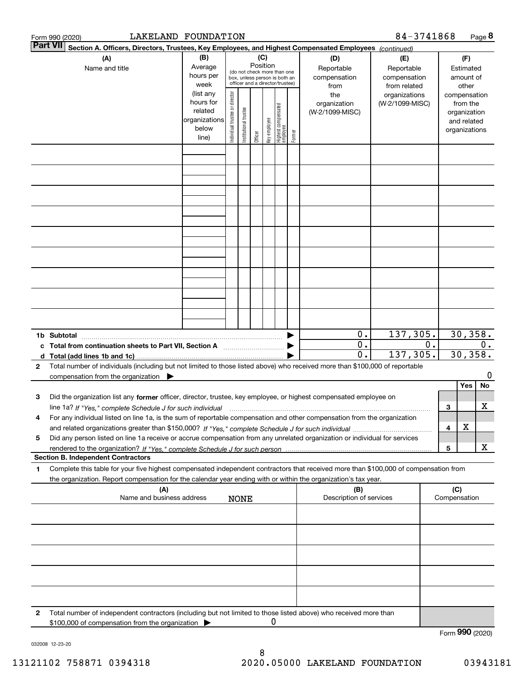|              | LAKELAND FOUNDATION<br>Form 990 (2020)                                                                                                                                                                                                                              |                                                                      |                                |                        |                 |              |                                                                                                 |        |                                                 | 84-3741868                                        |    |                     |                                                                          | Page 8 |
|--------------|---------------------------------------------------------------------------------------------------------------------------------------------------------------------------------------------------------------------------------------------------------------------|----------------------------------------------------------------------|--------------------------------|------------------------|-----------------|--------------|-------------------------------------------------------------------------------------------------|--------|-------------------------------------------------|---------------------------------------------------|----|---------------------|--------------------------------------------------------------------------|--------|
|              | <b>Part VII</b><br>Section A. Officers, Directors, Trustees, Key Employees, and Highest Compensated Employees (continued)                                                                                                                                           |                                                                      |                                |                        |                 |              |                                                                                                 |        |                                                 |                                                   |    |                     |                                                                          |        |
|              | (A)<br>Name and title                                                                                                                                                                                                                                               | (B)<br>Average<br>hours per<br>week                                  |                                |                        | (C)<br>Position |              | (do not check more than one<br>box, unless person is both an<br>officer and a director/trustee) |        | (D)<br>Reportable<br>compensation<br>from       | (E)<br>Reportable<br>compensation<br>from related |    |                     | (F)<br>Estimated<br>amount of<br>other                                   |        |
|              |                                                                                                                                                                                                                                                                     | (list any<br>hours for<br>related<br>organizations<br>below<br>line) | Individual trustee or director | In stitutional trustee | Officer         | key employee | Highest compensated<br>employee                                                                 | Former | the<br>organization<br>(W-2/1099-MISC)          | organizations<br>(W-2/1099-MISC)                  |    |                     | compensation<br>from the<br>organization<br>and related<br>organizations |        |
|              |                                                                                                                                                                                                                                                                     |                                                                      |                                |                        |                 |              |                                                                                                 |        |                                                 |                                                   |    |                     |                                                                          |        |
|              |                                                                                                                                                                                                                                                                     |                                                                      |                                |                        |                 |              |                                                                                                 |        |                                                 |                                                   |    |                     |                                                                          |        |
|              |                                                                                                                                                                                                                                                                     |                                                                      |                                |                        |                 |              |                                                                                                 |        |                                                 |                                                   |    |                     |                                                                          |        |
|              |                                                                                                                                                                                                                                                                     |                                                                      |                                |                        |                 |              |                                                                                                 |        |                                                 |                                                   |    |                     |                                                                          |        |
|              |                                                                                                                                                                                                                                                                     |                                                                      |                                |                        |                 |              |                                                                                                 |        |                                                 |                                                   |    |                     |                                                                          |        |
|              |                                                                                                                                                                                                                                                                     |                                                                      |                                |                        |                 |              |                                                                                                 |        |                                                 |                                                   |    |                     |                                                                          |        |
|              |                                                                                                                                                                                                                                                                     |                                                                      |                                |                        |                 |              |                                                                                                 |        |                                                 |                                                   |    |                     |                                                                          |        |
|              |                                                                                                                                                                                                                                                                     |                                                                      |                                |                        |                 |              |                                                                                                 |        |                                                 |                                                   |    |                     |                                                                          |        |
|              | 1b Subtotal                                                                                                                                                                                                                                                         |                                                                      |                                |                        |                 |              |                                                                                                 |        | 0.                                              | 137,305.                                          |    |                     | 30,358.                                                                  |        |
|              | c Total from continuation sheets to Part VII, Section A                                                                                                                                                                                                             |                                                                      |                                |                        |                 |              |                                                                                                 |        | $\overline{0}$ .<br>$\overline{\mathfrak{o}}$ . | 137,305.                                          | 0. |                     | 30, 358.                                                                 | 0.     |
| 2            | Total number of individuals (including but not limited to those listed above) who received more than \$100,000 of reportable<br>compensation from the organization                                                                                                  |                                                                      |                                |                        |                 |              |                                                                                                 |        |                                                 |                                                   |    |                     |                                                                          | 0      |
| 3            | Did the organization list any former officer, director, trustee, key employee, or highest compensated employee on                                                                                                                                                   |                                                                      |                                |                        |                 |              |                                                                                                 |        |                                                 |                                                   |    |                     | Yes                                                                      | No     |
| 4            | line 1a? If "Yes," complete Schedule J for such individual manufactured contained and the Yes," complete Schedule J for such individual<br>For any individual listed on line 1a, is the sum of reportable compensation and other compensation from the organization |                                                                      |                                |                        |                 |              |                                                                                                 |        |                                                 |                                                   |    | 3                   |                                                                          | х      |
| 5            | Did any person listed on line 1a receive or accrue compensation from any unrelated organization or individual for services                                                                                                                                          |                                                                      |                                |                        |                 |              |                                                                                                 |        |                                                 |                                                   |    | 4                   | X                                                                        |        |
|              | <b>Section B. Independent Contractors</b>                                                                                                                                                                                                                           |                                                                      |                                |                        |                 |              |                                                                                                 |        |                                                 |                                                   |    | 5                   |                                                                          | х      |
| 1            | Complete this table for your five highest compensated independent contractors that received more than \$100,000 of compensation from<br>the organization. Report compensation for the calendar year ending with or within the organization's tax year.              |                                                                      |                                |                        |                 |              |                                                                                                 |        |                                                 |                                                   |    |                     |                                                                          |        |
|              | (A)<br>Name and business address                                                                                                                                                                                                                                    |                                                                      |                                | <b>NONE</b>            |                 |              |                                                                                                 |        | (B)<br>Description of services                  |                                                   |    | (C)<br>Compensation |                                                                          |        |
|              |                                                                                                                                                                                                                                                                     |                                                                      |                                |                        |                 |              |                                                                                                 |        |                                                 |                                                   |    |                     |                                                                          |        |
|              |                                                                                                                                                                                                                                                                     |                                                                      |                                |                        |                 |              |                                                                                                 |        |                                                 |                                                   |    |                     |                                                                          |        |
|              |                                                                                                                                                                                                                                                                     |                                                                      |                                |                        |                 |              |                                                                                                 |        |                                                 |                                                   |    |                     |                                                                          |        |
|              |                                                                                                                                                                                                                                                                     |                                                                      |                                |                        |                 |              |                                                                                                 |        |                                                 |                                                   |    |                     |                                                                          |        |
| $\mathbf{2}$ | Total number of independent contractors (including but not limited to those listed above) who received more than                                                                                                                                                    |                                                                      |                                |                        |                 |              |                                                                                                 |        |                                                 |                                                   |    |                     |                                                                          |        |
|              | \$100,000 of compensation from the organization                                                                                                                                                                                                                     |                                                                      |                                |                        |                 | 0            |                                                                                                 |        |                                                 |                                                   |    | Form 990 (2020)     |                                                                          |        |

032008 12-23-20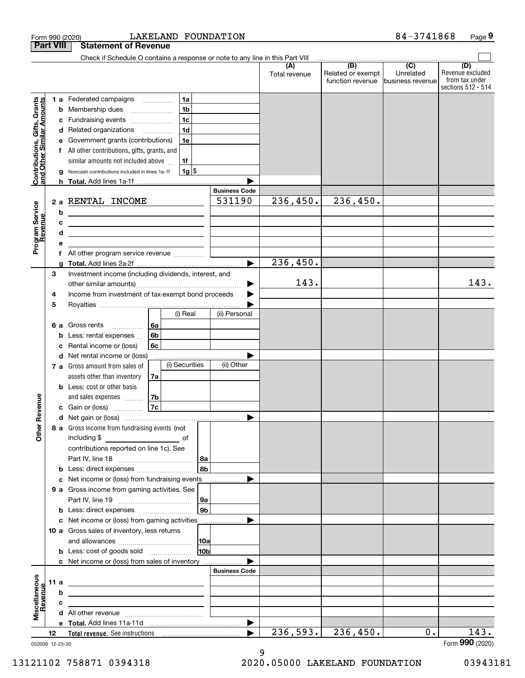|                                                           | <b>Part VIII</b>      | <b>Statement of Revenue</b>                                                                                                                                                                                                          |                                                                                            |                      |                      |                                              |                                      |                                                                 |
|-----------------------------------------------------------|-----------------------|--------------------------------------------------------------------------------------------------------------------------------------------------------------------------------------------------------------------------------------|--------------------------------------------------------------------------------------------|----------------------|----------------------|----------------------------------------------|--------------------------------------|-----------------------------------------------------------------|
|                                                           |                       | Check if Schedule O contains a response or note to any line in this Part VIII                                                                                                                                                        |                                                                                            |                      |                      |                                              |                                      |                                                                 |
|                                                           |                       |                                                                                                                                                                                                                                      |                                                                                            |                      | (A)<br>Total revenue | (B)<br>Related or exempt<br>function revenue | (C)<br>Unrelated<br>business revenue | (D)<br>Revenue excluded<br>from tax under<br>sections 512 - 514 |
| Contributions, Gifts, Grants<br>and Other Similar Amounts | b<br>с<br>d<br>е<br>f | 1 a Federated campaigns<br>Membership dues<br>Fundraising events<br>Related organizations<br>Government grants (contributions)<br>All other contributions, gifts, grants, and                                                        | 1a<br>1 <sub>b</sub><br>1 <sub>c</sub><br>1 <sub>d</sub><br>$\overline{\phantom{a}}$<br>1e |                      |                      |                                              |                                      |                                                                 |
|                                                           | g                     | similar amounts not included above<br>Noncash contributions included in lines 1a-1f                                                                                                                                                  | 1f<br>$1g$ \$                                                                              |                      |                      |                                              |                                      |                                                                 |
|                                                           |                       | h Total. Add lines 1a-1f                                                                                                                                                                                                             |                                                                                            |                      |                      |                                              |                                      |                                                                 |
|                                                           |                       |                                                                                                                                                                                                                                      |                                                                                            | <b>Business Code</b> |                      |                                              |                                      |                                                                 |
| Program Service<br>Revenue                                | b                     | 2 a RENTAL INCOME<br>the control of the control of the control of the control of the control of                                                                                                                                      |                                                                                            | 531190               | 236,450.             | 236,450.                                     |                                      |                                                                 |
|                                                           | c                     | <u> 1999 - Johann Barn, amerikansk politiker (</u>                                                                                                                                                                                   |                                                                                            |                      |                      |                                              |                                      |                                                                 |
|                                                           | d                     | the contract of the contract of the contract of the contract of the contract of                                                                                                                                                      |                                                                                            |                      |                      |                                              |                                      |                                                                 |
|                                                           | е                     |                                                                                                                                                                                                                                      |                                                                                            |                      |                      |                                              |                                      |                                                                 |
|                                                           | f                     |                                                                                                                                                                                                                                      |                                                                                            |                      |                      |                                              |                                      |                                                                 |
|                                                           | q                     |                                                                                                                                                                                                                                      |                                                                                            | ь                    | 236,450.             |                                              |                                      |                                                                 |
|                                                           | 3                     | Investment income (including dividends, interest, and                                                                                                                                                                                |                                                                                            |                      | 143.                 |                                              |                                      | 143.                                                            |
|                                                           | 4                     | Income from investment of tax-exempt bond proceeds                                                                                                                                                                                   |                                                                                            |                      |                      |                                              |                                      |                                                                 |
|                                                           | 5                     |                                                                                                                                                                                                                                      |                                                                                            |                      |                      |                                              |                                      |                                                                 |
|                                                           |                       |                                                                                                                                                                                                                                      | (i) Real                                                                                   | (ii) Personal        |                      |                                              |                                      |                                                                 |
|                                                           | 6а                    | Gross rents<br>.                                                                                                                                                                                                                     | 6a                                                                                         |                      |                      |                                              |                                      |                                                                 |
|                                                           | b                     | Less: rental expenses                                                                                                                                                                                                                | 6 <sub>b</sub>                                                                             |                      |                      |                                              |                                      |                                                                 |
|                                                           | c                     | Rental income or (loss)                                                                                                                                                                                                              | 6c                                                                                         |                      |                      |                                              |                                      |                                                                 |
|                                                           | d                     | Net rental income or (loss)                                                                                                                                                                                                          |                                                                                            |                      |                      |                                              |                                      |                                                                 |
|                                                           |                       | 7 a Gross amount from sales of                                                                                                                                                                                                       | (i) Securities                                                                             | (ii) Other           |                      |                                              |                                      |                                                                 |
|                                                           |                       | assets other than inventory                                                                                                                                                                                                          | 7a                                                                                         |                      |                      |                                              |                                      |                                                                 |
|                                                           |                       | <b>b</b> Less: cost or other basis                                                                                                                                                                                                   |                                                                                            |                      |                      |                                              |                                      |                                                                 |
|                                                           |                       | and sales expenses                                                                                                                                                                                                                   | 7b                                                                                         |                      |                      |                                              |                                      |                                                                 |
| Revenue                                                   |                       | c Gain or (loss)                                                                                                                                                                                                                     | 7c                                                                                         |                      |                      |                                              |                                      |                                                                 |
|                                                           |                       |                                                                                                                                                                                                                                      |                                                                                            |                      |                      |                                              |                                      |                                                                 |
| Other                                                     |                       | 8 a Gross income from fundraising events (not<br>including \$<br>contributions reported on line 1c). See                                                                                                                             | of<br>  8a                                                                                 |                      |                      |                                              |                                      |                                                                 |
|                                                           |                       |                                                                                                                                                                                                                                      | 8b                                                                                         |                      |                      |                                              |                                      |                                                                 |
|                                                           |                       | c Net income or (loss) from fundraising events                                                                                                                                                                                       |                                                                                            |                      |                      |                                              |                                      |                                                                 |
|                                                           |                       | 9 a Gross income from gaming activities. See                                                                                                                                                                                         |                                                                                            |                      |                      |                                              |                                      |                                                                 |
|                                                           |                       |                                                                                                                                                                                                                                      | 9a                                                                                         |                      |                      |                                              |                                      |                                                                 |
|                                                           |                       |                                                                                                                                                                                                                                      | 9 <sub>b</sub>                                                                             |                      |                      |                                              |                                      |                                                                 |
|                                                           |                       | c Net income or (loss) from gaming activities                                                                                                                                                                                        |                                                                                            |                      |                      |                                              |                                      |                                                                 |
|                                                           |                       | 10 a Gross sales of inventory, less returns                                                                                                                                                                                          |                                                                                            |                      |                      |                                              |                                      |                                                                 |
|                                                           |                       |                                                                                                                                                                                                                                      | 10a                                                                                        |                      |                      |                                              |                                      |                                                                 |
|                                                           |                       |                                                                                                                                                                                                                                      | 10b                                                                                        |                      |                      |                                              |                                      |                                                                 |
|                                                           |                       |                                                                                                                                                                                                                                      |                                                                                            |                      |                      |                                              |                                      |                                                                 |
|                                                           |                       | c Net income or (loss) from sales of inventory                                                                                                                                                                                       |                                                                                            |                      |                      |                                              |                                      |                                                                 |
|                                                           |                       |                                                                                                                                                                                                                                      |                                                                                            | <b>Business Code</b> |                      |                                              |                                      |                                                                 |
|                                                           | 11a                   | <u>and the contract of the contract of the contract of the contract of the contract of the contract of the contract of the contract of the contract of the contract of the contract of the contract of the contract of the contr</u> |                                                                                            |                      |                      |                                              |                                      |                                                                 |
| evenue                                                    | b                     | <u> 1989 - Johann Barn, mars ann an t-Amhain ann an t-Amhain ann an t-Amhain ann an t-Amhain ann an t-Amhain ann a</u>                                                                                                               |                                                                                            |                      |                      |                                              |                                      |                                                                 |
|                                                           | c                     | the contract of the contract of the contract of the contract of the contract of                                                                                                                                                      |                                                                                            |                      |                      |                                              |                                      |                                                                 |
| Miscellaneous                                             |                       |                                                                                                                                                                                                                                      |                                                                                            |                      |                      |                                              |                                      |                                                                 |
|                                                           |                       |                                                                                                                                                                                                                                      |                                                                                            | ▶                    |                      |                                              |                                      |                                                                 |
|                                                           | 12                    |                                                                                                                                                                                                                                      |                                                                                            |                      | 236,593.             | 236,450.                                     | 0.                                   | 143.                                                            |
|                                                           | 032009 12-23-20       |                                                                                                                                                                                                                                      |                                                                                            |                      |                      |                                              |                                      | Form 990 (2020)                                                 |

Form 990 (2020) Page LAKELAND FOUNDATION 84-3741868

9

13121102 758871 0394318 2020.05000 LAKELAND FOUNDATION 03943181

**9**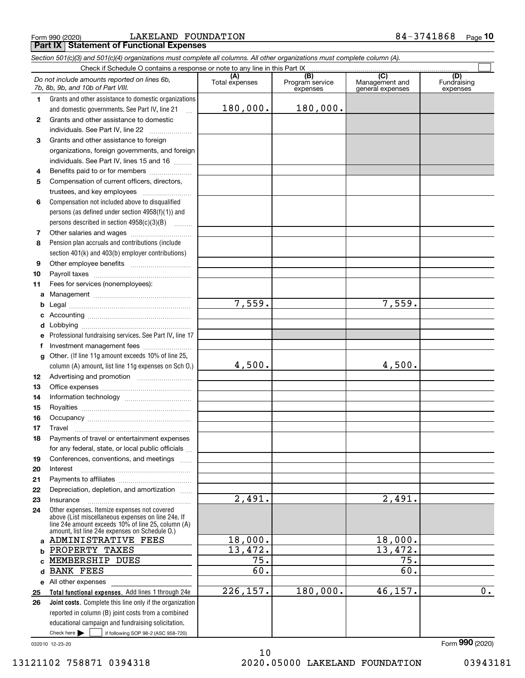$_{\rm Form}$  990 (2020) LAKELAND FOUNDATION 8  $4$  –  $3\,7\,4\,1\,8\,6\,8$   $\,$   $_{\rm Page}$ **Part IX Statement of Functional Expenses**

|              | Section 501(c)(3) and 501(c)(4) organizations must complete all columns. All other organizations must complete column (A).                                                                                 |                       |                                                 |                                                      |                                |
|--------------|------------------------------------------------------------------------------------------------------------------------------------------------------------------------------------------------------------|-----------------------|-------------------------------------------------|------------------------------------------------------|--------------------------------|
|              |                                                                                                                                                                                                            |                       |                                                 |                                                      |                                |
|              | Do not include amounts reported on lines 6b,<br>7b, 8b, 9b, and 10b of Part VIII.                                                                                                                          | (A)<br>Total expenses | $\overline{(B)}$<br>Program service<br>expenses | $\overline{C}$<br>Management and<br>general expenses | (D)<br>Fundraising<br>expenses |
| 1.           | Grants and other assistance to domestic organizations                                                                                                                                                      |                       |                                                 |                                                      |                                |
|              | and domestic governments. See Part IV, line 21                                                                                                                                                             | 180,000.              | 180,000.                                        |                                                      |                                |
| $\mathbf{2}$ | Grants and other assistance to domestic                                                                                                                                                                    |                       |                                                 |                                                      |                                |
|              | individuals. See Part IV, line 22                                                                                                                                                                          |                       |                                                 |                                                      |                                |
| 3            | Grants and other assistance to foreign                                                                                                                                                                     |                       |                                                 |                                                      |                                |
|              | organizations, foreign governments, and foreign                                                                                                                                                            |                       |                                                 |                                                      |                                |
|              | individuals. See Part IV, lines 15 and 16                                                                                                                                                                  |                       |                                                 |                                                      |                                |
| 4            | Benefits paid to or for members                                                                                                                                                                            |                       |                                                 |                                                      |                                |
| 5            | Compensation of current officers, directors,                                                                                                                                                               |                       |                                                 |                                                      |                                |
|              | trustees, and key employees                                                                                                                                                                                |                       |                                                 |                                                      |                                |
| 6            | Compensation not included above to disqualified                                                                                                                                                            |                       |                                                 |                                                      |                                |
|              | persons (as defined under section 4958(f)(1)) and                                                                                                                                                          |                       |                                                 |                                                      |                                |
|              | persons described in section 4958(c)(3)(B)                                                                                                                                                                 |                       |                                                 |                                                      |                                |
| 7            |                                                                                                                                                                                                            |                       |                                                 |                                                      |                                |
| 8            | Pension plan accruals and contributions (include                                                                                                                                                           |                       |                                                 |                                                      |                                |
|              | section 401(k) and 403(b) employer contributions)                                                                                                                                                          |                       |                                                 |                                                      |                                |
| 9            |                                                                                                                                                                                                            |                       |                                                 |                                                      |                                |
| 10           |                                                                                                                                                                                                            |                       |                                                 |                                                      |                                |
| 11           | Fees for services (nonemployees):                                                                                                                                                                          |                       |                                                 |                                                      |                                |
| a            |                                                                                                                                                                                                            |                       |                                                 |                                                      |                                |
| b            |                                                                                                                                                                                                            | 7,559.                |                                                 | 7,559.                                               |                                |
| с            |                                                                                                                                                                                                            |                       |                                                 |                                                      |                                |
| d            |                                                                                                                                                                                                            |                       |                                                 |                                                      |                                |
| е            | Professional fundraising services. See Part IV, line 17                                                                                                                                                    |                       |                                                 |                                                      |                                |
| f            | Investment management fees                                                                                                                                                                                 |                       |                                                 |                                                      |                                |
| g            | Other. (If line 11g amount exceeds 10% of line 25,                                                                                                                                                         |                       |                                                 |                                                      |                                |
|              | column (A) amount, list line 11g expenses on Sch O.)                                                                                                                                                       | 4,500.                |                                                 | 4,500.                                               |                                |
| 12           |                                                                                                                                                                                                            |                       |                                                 |                                                      |                                |
| 13           |                                                                                                                                                                                                            |                       |                                                 |                                                      |                                |
| 14           |                                                                                                                                                                                                            |                       |                                                 |                                                      |                                |
| 15           |                                                                                                                                                                                                            |                       |                                                 |                                                      |                                |
| 16           |                                                                                                                                                                                                            |                       |                                                 |                                                      |                                |
| 17           |                                                                                                                                                                                                            |                       |                                                 |                                                      |                                |
| 18           | Payments of travel or entertainment expenses                                                                                                                                                               |                       |                                                 |                                                      |                                |
|              | for any federal, state, or local public officials                                                                                                                                                          |                       |                                                 |                                                      |                                |
| 19           | Conferences, conventions, and meetings                                                                                                                                                                     |                       |                                                 |                                                      |                                |
| 20           | Interest                                                                                                                                                                                                   |                       |                                                 |                                                      |                                |
| 21           |                                                                                                                                                                                                            |                       |                                                 |                                                      |                                |
| 22           | Depreciation, depletion, and amortization                                                                                                                                                                  |                       |                                                 |                                                      |                                |
| 23           | Insurance                                                                                                                                                                                                  | $\overline{2,491}$ .  |                                                 | 2,491.                                               |                                |
| 24           | Other expenses. Itemize expenses not covered<br>above (List miscellaneous expenses on line 24e. If<br>line 24e amount exceeds 10% of line 25, column (A)<br>amount, list line 24e expenses on Schedule O.) |                       |                                                 |                                                      |                                |
|              | a ADMINISTRATIVE FEES                                                                                                                                                                                      | 18,000.               |                                                 | 18,000.                                              |                                |
| b            | PROPERTY TAXES                                                                                                                                                                                             | 13,472.               |                                                 | 13,472.                                              |                                |
|              | MEMBERSHIP DUES                                                                                                                                                                                            | $\overline{75}$ .     |                                                 | $\overline{75}$ .                                    |                                |
| d            | <b>BANK FEES</b>                                                                                                                                                                                           | 60.                   |                                                 | 60.                                                  |                                |
|              | e All other expenses                                                                                                                                                                                       |                       |                                                 |                                                      |                                |
| 25           | Total functional expenses. Add lines 1 through 24e                                                                                                                                                         | 226, 157.             | 180,000.                                        | 46,157.                                              | 0.                             |
| 26           | Joint costs. Complete this line only if the organization                                                                                                                                                   |                       |                                                 |                                                      |                                |
|              | reported in column (B) joint costs from a combined                                                                                                                                                         |                       |                                                 |                                                      |                                |
|              | educational campaign and fundraising solicitation.                                                                                                                                                         |                       |                                                 |                                                      |                                |
|              | Check here $\blacktriangleright$<br>if following SOP 98-2 (ASC 958-720)                                                                                                                                    |                       |                                                 |                                                      |                                |

032010 12-23-20

10 13121102 758871 0394318 2020.05000 LAKELAND FOUNDATION 03943181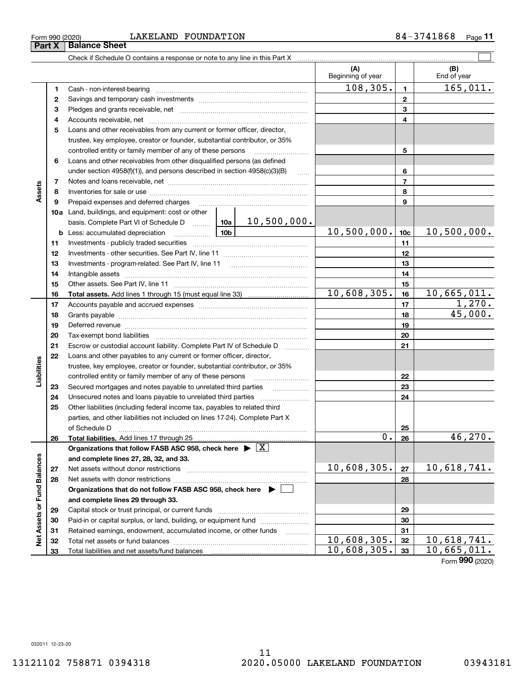### $_{\rm Form}$  990 (2020) LAKELAND FOUNDATION 8  $4$  –  $3\,7\,4\,1\,8\,6\,8$   $\,$   $_{\rm Page}$ **Part X Balance Sheet**

Check if Schedule O contains a response or note to any line in this Part X

|                             |    |                                                                                                                     |             |                          | (A)<br>Beginning of year |                | (B)<br>End of year |
|-----------------------------|----|---------------------------------------------------------------------------------------------------------------------|-------------|--------------------------|--------------------------|----------------|--------------------|
|                             | 1  | Cash - non-interest-bearing                                                                                         |             |                          | 108, 305.                | 1              | 165,011.           |
|                             | 2  |                                                                                                                     |             |                          |                          | $\mathbf{2}$   |                    |
|                             | 3  |                                                                                                                     |             |                          |                          | 3              |                    |
|                             | 4  |                                                                                                                     |             |                          | 4                        |                |                    |
|                             | 5  | Loans and other receivables from any current or former officer, director,                                           |             |                          |                          |                |                    |
|                             |    | trustee, key employee, creator or founder, substantial contributor, or 35%                                          |             |                          |                          |                |                    |
|                             |    | controlled entity or family member of any of these persons                                                          |             |                          |                          | 5              |                    |
|                             | 6  | Loans and other receivables from other disqualified persons (as defined                                             |             |                          |                          |                |                    |
|                             |    | under section $4958(f)(1)$ , and persons described in section $4958(c)(3)(B)$                                       |             | $\ldots$                 |                          | 6              |                    |
|                             | 7  |                                                                                                                     |             |                          |                          | $\overline{7}$ |                    |
| Assets                      | 8  |                                                                                                                     |             | 8                        |                          |                |                    |
|                             | 9  | Prepaid expenses and deferred charges                                                                               |             | 9                        |                          |                |                    |
|                             |    | <b>10a</b> Land, buildings, and equipment: cost or other                                                            |             |                          |                          |                |                    |
|                             |    | basis. Complete Part VI of Schedule D  10a                                                                          |             | 10,500,000.              |                          |                |                    |
|                             |    | <u>10b</u><br><b>b</b> Less: accumulated depreciation                                                               | 10,500,000. | 10 <sub>c</sub>          | 10,500,000.              |                |                    |
|                             | 11 |                                                                                                                     |             | 11                       |                          |                |                    |
|                             | 12 |                                                                                                                     |             |                          |                          | 12             |                    |
|                             | 13 |                                                                                                                     |             | 13                       |                          |                |                    |
|                             | 14 |                                                                                                                     |             | 14                       |                          |                |                    |
|                             | 15 |                                                                                                                     |             |                          |                          | 15             |                    |
|                             | 16 |                                                                                                                     |             |                          | 10,608,305.              | 16             | 10,665,011.        |
|                             | 17 |                                                                                                                     |             |                          |                          | 17             | 1,270.             |
|                             | 18 |                                                                                                                     |             |                          |                          | 18             | 45,000.            |
|                             | 19 | Deferred revenue manual contracts and contracts are all the manual contracts and contracts are all the contracts of |             | 19                       |                          |                |                    |
|                             | 20 |                                                                                                                     |             | 20                       |                          |                |                    |
|                             | 21 | Escrow or custodial account liability. Complete Part IV of Schedule D                                               |             | .                        |                          | 21             |                    |
|                             | 22 | Loans and other payables to any current or former officer, director,                                                |             |                          |                          |                |                    |
| abilities                   |    | trustee, key employee, creator or founder, substantial contributor, or 35%                                          |             |                          |                          |                |                    |
|                             |    | controlled entity or family member of any of these persons                                                          |             |                          |                          | 22             |                    |
|                             | 23 | Secured mortgages and notes payable to unrelated third parties                                                      |             | $\overline{\phantom{a}}$ |                          | 23             |                    |
|                             | 24 |                                                                                                                     |             |                          |                          | 24             |                    |
|                             | 25 | Other liabilities (including federal income tax, payables to related third                                          |             |                          |                          |                |                    |
|                             |    | parties, and other liabilities not included on lines 17-24). Complete Part X                                        |             |                          |                          |                |                    |
|                             |    | of Schedule D                                                                                                       |             |                          |                          | 25             |                    |
|                             | 26 | Total liabilities. Add lines 17 through 25                                                                          |             |                          | 0.                       | 26             | 46,270.            |
|                             |    | Organizations that follow FASB ASC 958, check here $\blacktriangleright \boxed{X}$                                  |             |                          |                          |                |                    |
|                             |    | and complete lines 27, 28, 32, and 33.                                                                              |             |                          |                          |                |                    |
|                             | 27 | Net assets without donor restrictions                                                                               |             |                          | 10,608,305.              | 27             | 10,618,741.        |
|                             | 28 |                                                                                                                     |             |                          |                          | 28             |                    |
|                             |    | Organizations that do not follow FASB ASC 958, check here $\blacktriangleright$                                     |             |                          |                          |                |                    |
|                             |    | and complete lines 29 through 33.                                                                                   |             |                          |                          |                |                    |
| Net Assets or Fund Balances | 29 |                                                                                                                     |             |                          |                          | 29             |                    |
|                             | 30 | Paid-in or capital surplus, or land, building, or equipment fund                                                    |             |                          |                          | 30             |                    |
|                             | 31 | Retained earnings, endowment, accumulated income, or other funds                                                    |             | .                        |                          | 31             |                    |
|                             | 32 |                                                                                                                     |             |                          | 10,608,305.              | 32             | 10,618,741.        |
|                             | 33 |                                                                                                                     |             |                          | 10,608,305.              | 33             | 10,665,011.        |

 $\mathcal{L}^{\text{max}}$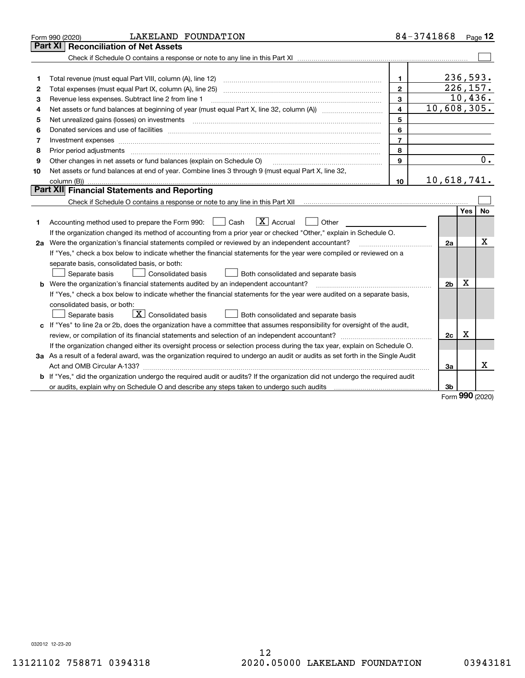| <b>Part XI   Reconciliation of Net Assets</b><br>236,593.<br>Total revenue (must equal Part VIII, column (A), line 12)<br>1.<br>1<br>226, 157.<br>$\mathbf{2}$<br>2<br>10,436.<br>$\overline{3}$<br>Revenue less expenses. Subtract line 2 from line 1<br>з<br>10,608,305.<br>4<br>4<br>5<br>Net unrealized gains (losses) on investments<br>5<br>6<br>6<br>$\overline{7}$<br>7<br>Investment expenses www.communication.com/www.communication.com/www.communication.com/www.com<br>8<br>8<br>Prior period adjustments<br>$\mathbf{Q}$<br>Other changes in net assets or fund balances (explain on Schedule O)<br>9<br>Net assets or fund balances at end of year. Combine lines 3 through 9 (must equal Part X, line 32,<br>10<br>10,618,741.<br>10<br>Part XII Financial Statements and Reporting<br>Check if Schedule O contains a response or note to any line in this Part XII [11] [12] Check if Schedule O contains a response or note to any line in this Part XII<br><b>Yes</b><br>$\boxed{\mathbf{X}}$ Accrual<br>Accounting method used to prepare the Form 990: <u>I</u> Cash<br>Other<br>1<br>If the organization changed its method of accounting from a prior year or checked "Other," explain in Schedule O.<br>2a Were the organization's financial statements compiled or reviewed by an independent accountant?<br>2a<br>If "Yes," check a box below to indicate whether the financial statements for the year were compiled or reviewed on a<br>separate basis, consolidated basis, or both:<br>Separate basis<br><b>Consolidated basis</b><br>Both consolidated and separate basis<br>X<br><b>b</b> Were the organization's financial statements audited by an independent accountant?<br>2 <sub>b</sub><br>If "Yes," check a box below to indicate whether the financial statements for the year were audited on a separate basis, | LAKELAND FOUNDATION<br>Form 990 (2020) | 84-3741868 | $P_{aqe}$ 12 |
|----------------------------------------------------------------------------------------------------------------------------------------------------------------------------------------------------------------------------------------------------------------------------------------------------------------------------------------------------------------------------------------------------------------------------------------------------------------------------------------------------------------------------------------------------------------------------------------------------------------------------------------------------------------------------------------------------------------------------------------------------------------------------------------------------------------------------------------------------------------------------------------------------------------------------------------------------------------------------------------------------------------------------------------------------------------------------------------------------------------------------------------------------------------------------------------------------------------------------------------------------------------------------------------------------------------------------------------------------------------------------------------------------------------------------------------------------------------------------------------------------------------------------------------------------------------------------------------------------------------------------------------------------------------------------------------------------------------------------------------------------------------------------------------------------------------------------------------------------------|----------------------------------------|------------|--------------|
|                                                                                                                                                                                                                                                                                                                                                                                                                                                                                                                                                                                                                                                                                                                                                                                                                                                                                                                                                                                                                                                                                                                                                                                                                                                                                                                                                                                                                                                                                                                                                                                                                                                                                                                                                                                                                                                          |                                        |            |              |
|                                                                                                                                                                                                                                                                                                                                                                                                                                                                                                                                                                                                                                                                                                                                                                                                                                                                                                                                                                                                                                                                                                                                                                                                                                                                                                                                                                                                                                                                                                                                                                                                                                                                                                                                                                                                                                                          |                                        |            |              |
|                                                                                                                                                                                                                                                                                                                                                                                                                                                                                                                                                                                                                                                                                                                                                                                                                                                                                                                                                                                                                                                                                                                                                                                                                                                                                                                                                                                                                                                                                                                                                                                                                                                                                                                                                                                                                                                          |                                        |            |              |
|                                                                                                                                                                                                                                                                                                                                                                                                                                                                                                                                                                                                                                                                                                                                                                                                                                                                                                                                                                                                                                                                                                                                                                                                                                                                                                                                                                                                                                                                                                                                                                                                                                                                                                                                                                                                                                                          |                                        |            |              |
|                                                                                                                                                                                                                                                                                                                                                                                                                                                                                                                                                                                                                                                                                                                                                                                                                                                                                                                                                                                                                                                                                                                                                                                                                                                                                                                                                                                                                                                                                                                                                                                                                                                                                                                                                                                                                                                          |                                        |            |              |
|                                                                                                                                                                                                                                                                                                                                                                                                                                                                                                                                                                                                                                                                                                                                                                                                                                                                                                                                                                                                                                                                                                                                                                                                                                                                                                                                                                                                                                                                                                                                                                                                                                                                                                                                                                                                                                                          |                                        |            |              |
|                                                                                                                                                                                                                                                                                                                                                                                                                                                                                                                                                                                                                                                                                                                                                                                                                                                                                                                                                                                                                                                                                                                                                                                                                                                                                                                                                                                                                                                                                                                                                                                                                                                                                                                                                                                                                                                          |                                        |            |              |
|                                                                                                                                                                                                                                                                                                                                                                                                                                                                                                                                                                                                                                                                                                                                                                                                                                                                                                                                                                                                                                                                                                                                                                                                                                                                                                                                                                                                                                                                                                                                                                                                                                                                                                                                                                                                                                                          |                                        |            |              |
|                                                                                                                                                                                                                                                                                                                                                                                                                                                                                                                                                                                                                                                                                                                                                                                                                                                                                                                                                                                                                                                                                                                                                                                                                                                                                                                                                                                                                                                                                                                                                                                                                                                                                                                                                                                                                                                          |                                        |            |              |
|                                                                                                                                                                                                                                                                                                                                                                                                                                                                                                                                                                                                                                                                                                                                                                                                                                                                                                                                                                                                                                                                                                                                                                                                                                                                                                                                                                                                                                                                                                                                                                                                                                                                                                                                                                                                                                                          |                                        |            |              |
|                                                                                                                                                                                                                                                                                                                                                                                                                                                                                                                                                                                                                                                                                                                                                                                                                                                                                                                                                                                                                                                                                                                                                                                                                                                                                                                                                                                                                                                                                                                                                                                                                                                                                                                                                                                                                                                          |                                        |            |              |
|                                                                                                                                                                                                                                                                                                                                                                                                                                                                                                                                                                                                                                                                                                                                                                                                                                                                                                                                                                                                                                                                                                                                                                                                                                                                                                                                                                                                                                                                                                                                                                                                                                                                                                                                                                                                                                                          |                                        |            | 0.           |
|                                                                                                                                                                                                                                                                                                                                                                                                                                                                                                                                                                                                                                                                                                                                                                                                                                                                                                                                                                                                                                                                                                                                                                                                                                                                                                                                                                                                                                                                                                                                                                                                                                                                                                                                                                                                                                                          |                                        |            |              |
|                                                                                                                                                                                                                                                                                                                                                                                                                                                                                                                                                                                                                                                                                                                                                                                                                                                                                                                                                                                                                                                                                                                                                                                                                                                                                                                                                                                                                                                                                                                                                                                                                                                                                                                                                                                                                                                          |                                        |            |              |
|                                                                                                                                                                                                                                                                                                                                                                                                                                                                                                                                                                                                                                                                                                                                                                                                                                                                                                                                                                                                                                                                                                                                                                                                                                                                                                                                                                                                                                                                                                                                                                                                                                                                                                                                                                                                                                                          |                                        |            |              |
|                                                                                                                                                                                                                                                                                                                                                                                                                                                                                                                                                                                                                                                                                                                                                                                                                                                                                                                                                                                                                                                                                                                                                                                                                                                                                                                                                                                                                                                                                                                                                                                                                                                                                                                                                                                                                                                          |                                        |            |              |
|                                                                                                                                                                                                                                                                                                                                                                                                                                                                                                                                                                                                                                                                                                                                                                                                                                                                                                                                                                                                                                                                                                                                                                                                                                                                                                                                                                                                                                                                                                                                                                                                                                                                                                                                                                                                                                                          |                                        |            | No           |
|                                                                                                                                                                                                                                                                                                                                                                                                                                                                                                                                                                                                                                                                                                                                                                                                                                                                                                                                                                                                                                                                                                                                                                                                                                                                                                                                                                                                                                                                                                                                                                                                                                                                                                                                                                                                                                                          |                                        |            |              |
|                                                                                                                                                                                                                                                                                                                                                                                                                                                                                                                                                                                                                                                                                                                                                                                                                                                                                                                                                                                                                                                                                                                                                                                                                                                                                                                                                                                                                                                                                                                                                                                                                                                                                                                                                                                                                                                          |                                        |            |              |
|                                                                                                                                                                                                                                                                                                                                                                                                                                                                                                                                                                                                                                                                                                                                                                                                                                                                                                                                                                                                                                                                                                                                                                                                                                                                                                                                                                                                                                                                                                                                                                                                                                                                                                                                                                                                                                                          |                                        |            | x            |
|                                                                                                                                                                                                                                                                                                                                                                                                                                                                                                                                                                                                                                                                                                                                                                                                                                                                                                                                                                                                                                                                                                                                                                                                                                                                                                                                                                                                                                                                                                                                                                                                                                                                                                                                                                                                                                                          |                                        |            |              |
|                                                                                                                                                                                                                                                                                                                                                                                                                                                                                                                                                                                                                                                                                                                                                                                                                                                                                                                                                                                                                                                                                                                                                                                                                                                                                                                                                                                                                                                                                                                                                                                                                                                                                                                                                                                                                                                          |                                        |            |              |
|                                                                                                                                                                                                                                                                                                                                                                                                                                                                                                                                                                                                                                                                                                                                                                                                                                                                                                                                                                                                                                                                                                                                                                                                                                                                                                                                                                                                                                                                                                                                                                                                                                                                                                                                                                                                                                                          |                                        |            |              |
|                                                                                                                                                                                                                                                                                                                                                                                                                                                                                                                                                                                                                                                                                                                                                                                                                                                                                                                                                                                                                                                                                                                                                                                                                                                                                                                                                                                                                                                                                                                                                                                                                                                                                                                                                                                                                                                          |                                        |            |              |
|                                                                                                                                                                                                                                                                                                                                                                                                                                                                                                                                                                                                                                                                                                                                                                                                                                                                                                                                                                                                                                                                                                                                                                                                                                                                                                                                                                                                                                                                                                                                                                                                                                                                                                                                                                                                                                                          |                                        |            |              |
|                                                                                                                                                                                                                                                                                                                                                                                                                                                                                                                                                                                                                                                                                                                                                                                                                                                                                                                                                                                                                                                                                                                                                                                                                                                                                                                                                                                                                                                                                                                                                                                                                                                                                                                                                                                                                                                          | consolidated basis, or both:           |            |              |
| $\mid$ $\rm X \mid$ Consolidated basis<br>Separate basis<br>Both consolidated and separate basis                                                                                                                                                                                                                                                                                                                                                                                                                                                                                                                                                                                                                                                                                                                                                                                                                                                                                                                                                                                                                                                                                                                                                                                                                                                                                                                                                                                                                                                                                                                                                                                                                                                                                                                                                         |                                        |            |              |
| c If "Yes" to line 2a or 2b, does the organization have a committee that assumes responsibility for oversight of the audit,                                                                                                                                                                                                                                                                                                                                                                                                                                                                                                                                                                                                                                                                                                                                                                                                                                                                                                                                                                                                                                                                                                                                                                                                                                                                                                                                                                                                                                                                                                                                                                                                                                                                                                                              |                                        |            |              |
| x<br>2c                                                                                                                                                                                                                                                                                                                                                                                                                                                                                                                                                                                                                                                                                                                                                                                                                                                                                                                                                                                                                                                                                                                                                                                                                                                                                                                                                                                                                                                                                                                                                                                                                                                                                                                                                                                                                                                  |                                        |            |              |
| If the organization changed either its oversight process or selection process during the tax year, explain on Schedule O.                                                                                                                                                                                                                                                                                                                                                                                                                                                                                                                                                                                                                                                                                                                                                                                                                                                                                                                                                                                                                                                                                                                                                                                                                                                                                                                                                                                                                                                                                                                                                                                                                                                                                                                                |                                        |            |              |
| 3a As a result of a federal award, was the organization required to undergo an audit or audits as set forth in the Single Audit                                                                                                                                                                                                                                                                                                                                                                                                                                                                                                                                                                                                                                                                                                                                                                                                                                                                                                                                                                                                                                                                                                                                                                                                                                                                                                                                                                                                                                                                                                                                                                                                                                                                                                                          |                                        |            |              |
| x<br>3a                                                                                                                                                                                                                                                                                                                                                                                                                                                                                                                                                                                                                                                                                                                                                                                                                                                                                                                                                                                                                                                                                                                                                                                                                                                                                                                                                                                                                                                                                                                                                                                                                                                                                                                                                                                                                                                  |                                        |            |              |
| If "Yes," did the organization undergo the required audit or audits? If the organization did not undergo the required audit<br>b                                                                                                                                                                                                                                                                                                                                                                                                                                                                                                                                                                                                                                                                                                                                                                                                                                                                                                                                                                                                                                                                                                                                                                                                                                                                                                                                                                                                                                                                                                                                                                                                                                                                                                                         |                                        |            |              |
| 3b<br>nnn                                                                                                                                                                                                                                                                                                                                                                                                                                                                                                                                                                                                                                                                                                                                                                                                                                                                                                                                                                                                                                                                                                                                                                                                                                                                                                                                                                                                                                                                                                                                                                                                                                                                                                                                                                                                                                                |                                        |            |              |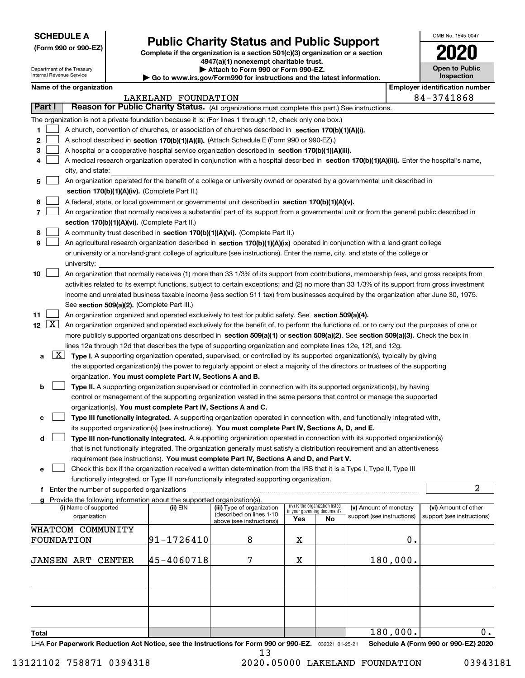| <b>SCHEDULE A</b> |
|-------------------|
|-------------------|

Department of the Treasury Internal Revenue Service

**(Form 990 or 990-EZ)**

## **Public Charity Status and Public Support**

**Complete if the organization is a section 501(c)(3) organization or a section 4947(a)(1) nonexempt charitable trust. | Attach to Form 990 or Form 990-EZ.** 

**60 to www.irs.gov/Form990 for instructions and information.** 

| ınd the latest information. |  |
|-----------------------------|--|
|                             |  |

OMB No. 1545-0047

**Open to Public Inspection**

**2020**

|        |                    | Name of the organization                                                                                                                     |                     |                                                        |                             |                                 |                            |          | <b>Employer identification number</b> |
|--------|--------------------|----------------------------------------------------------------------------------------------------------------------------------------------|---------------------|--------------------------------------------------------|-----------------------------|---------------------------------|----------------------------|----------|---------------------------------------|
|        |                    |                                                                                                                                              | LAKELAND FOUNDATION |                                                        |                             |                                 |                            |          | 84-3741868                            |
| Part I |                    | Reason for Public Charity Status. (All organizations must complete this part.) See instructions.                                             |                     |                                                        |                             |                                 |                            |          |                                       |
|        |                    | The organization is not a private foundation because it is: (For lines 1 through 12, check only one box.)                                    |                     |                                                        |                             |                                 |                            |          |                                       |
| 1      |                    | A church, convention of churches, or association of churches described in section 170(b)(1)(A)(i).                                           |                     |                                                        |                             |                                 |                            |          |                                       |
| 2      |                    | A school described in section 170(b)(1)(A)(ii). (Attach Schedule E (Form 990 or 990-EZ).)                                                    |                     |                                                        |                             |                                 |                            |          |                                       |
| 3      |                    | A hospital or a cooperative hospital service organization described in section 170(b)(1)(A)(iii).                                            |                     |                                                        |                             |                                 |                            |          |                                       |
|        |                    | A medical research organization operated in conjunction with a hospital described in section 170(b)(1)(A)(iii). Enter the hospital's name,   |                     |                                                        |                             |                                 |                            |          |                                       |
|        |                    | city, and state:                                                                                                                             |                     |                                                        |                             |                                 |                            |          |                                       |
| 5      |                    | An organization operated for the benefit of a college or university owned or operated by a governmental unit described in                    |                     |                                                        |                             |                                 |                            |          |                                       |
|        |                    | section 170(b)(1)(A)(iv). (Complete Part II.)                                                                                                |                     |                                                        |                             |                                 |                            |          |                                       |
| 6      |                    | A federal, state, or local government or governmental unit described in section 170(b)(1)(A)(v).                                             |                     |                                                        |                             |                                 |                            |          |                                       |
|        |                    | An organization that normally receives a substantial part of its support from a governmental unit or from the general public described in    |                     |                                                        |                             |                                 |                            |          |                                       |
|        |                    | section 170(b)(1)(A)(vi). (Complete Part II.)                                                                                                |                     |                                                        |                             |                                 |                            |          |                                       |
| 8      |                    | A community trust described in section 170(b)(1)(A)(vi). (Complete Part II.)                                                                 |                     |                                                        |                             |                                 |                            |          |                                       |
| 9      |                    | An agricultural research organization described in section 170(b)(1)(A)(ix) operated in conjunction with a land-grant college                |                     |                                                        |                             |                                 |                            |          |                                       |
|        |                    | or university or a non-land-grant college of agriculture (see instructions). Enter the name, city, and state of the college or               |                     |                                                        |                             |                                 |                            |          |                                       |
|        |                    | university:                                                                                                                                  |                     |                                                        |                             |                                 |                            |          |                                       |
| 10     |                    | An organization that normally receives (1) more than 33 1/3% of its support from contributions, membership fees, and gross receipts from     |                     |                                                        |                             |                                 |                            |          |                                       |
|        |                    | activities related to its exempt functions, subject to certain exceptions; and (2) no more than 33 1/3% of its support from gross investment |                     |                                                        |                             |                                 |                            |          |                                       |
|        |                    | income and unrelated business taxable income (less section 511 tax) from businesses acquired by the organization after June 30, 1975.        |                     |                                                        |                             |                                 |                            |          |                                       |
|        |                    | See section 509(a)(2). (Complete Part III.)                                                                                                  |                     |                                                        |                             |                                 |                            |          |                                       |
| 11     |                    | An organization organized and operated exclusively to test for public safety. See section 509(a)(4).                                         |                     |                                                        |                             |                                 |                            |          |                                       |
| 12     | $\boxed{\text{X}}$ | An organization organized and operated exclusively for the benefit of, to perform the functions of, or to carry out the purposes of one or   |                     |                                                        |                             |                                 |                            |          |                                       |
|        |                    | more publicly supported organizations described in section 509(a)(1) or section 509(a)(2). See section 509(a)(3). Check the box in           |                     |                                                        |                             |                                 |                            |          |                                       |
|        |                    | lines 12a through 12d that describes the type of supporting organization and complete lines 12e, 12f, and 12g.                               |                     |                                                        |                             |                                 |                            |          |                                       |
| а      |                    | $X$ Type I. A supporting organization operated, supervised, or controlled by its supported organization(s), typically by giving              |                     |                                                        |                             |                                 |                            |          |                                       |
|        |                    | the supported organization(s) the power to regularly appoint or elect a majority of the directors or trustees of the supporting              |                     |                                                        |                             |                                 |                            |          |                                       |
|        |                    | organization. You must complete Part IV, Sections A and B.                                                                                   |                     |                                                        |                             |                                 |                            |          |                                       |
| b      |                    | Type II. A supporting organization supervised or controlled in connection with its supported organization(s), by having                      |                     |                                                        |                             |                                 |                            |          |                                       |
|        |                    | control or management of the supporting organization vested in the same persons that control or manage the supported                         |                     |                                                        |                             |                                 |                            |          |                                       |
|        |                    | organization(s). You must complete Part IV, Sections A and C.                                                                                |                     |                                                        |                             |                                 |                            |          |                                       |
| с      |                    | Type III functionally integrated. A supporting organization operated in connection with, and functionally integrated with,                   |                     |                                                        |                             |                                 |                            |          |                                       |
|        |                    | its supported organization(s) (see instructions). You must complete Part IV, Sections A, D, and E.                                           |                     |                                                        |                             |                                 |                            |          |                                       |
| d      |                    | Type III non-functionally integrated. A supporting organization operated in connection with its supported organization(s)                    |                     |                                                        |                             |                                 |                            |          |                                       |
|        |                    | that is not functionally integrated. The organization generally must satisfy a distribution requirement and an attentiveness                 |                     |                                                        |                             |                                 |                            |          |                                       |
|        |                    | requirement (see instructions). You must complete Part IV, Sections A and D, and Part V.                                                     |                     |                                                        |                             |                                 |                            |          |                                       |
| е      |                    | Check this box if the organization received a written determination from the IRS that it is a Type I, Type II, Type III                      |                     |                                                        |                             |                                 |                            |          |                                       |
|        |                    | functionally integrated, or Type III non-functionally integrated supporting organization.                                                    |                     |                                                        |                             |                                 |                            |          |                                       |
|        |                    | f Enter the number of supported organizations                                                                                                |                     |                                                        |                             |                                 |                            |          | $\overline{a}$                        |
|        |                    | g Provide the following information about the supported organization(s).                                                                     |                     |                                                        |                             |                                 |                            |          |                                       |
|        |                    | (i) Name of supported                                                                                                                        | (ii) EIN            | (iii) Type of organization<br>(described on lines 1-10 | in your governing document? | (iv) Is the organization listed | (v) Amount of monetary     |          | (vi) Amount of other                  |
|        |                    | organization                                                                                                                                 |                     | above (see instructions))                              | Yes                         | No                              | support (see instructions) |          | support (see instructions)            |
|        |                    | WHATCOM COMMUNITY                                                                                                                            |                     |                                                        |                             |                                 |                            |          |                                       |
|        |                    | FOUNDATION                                                                                                                                   | 91-1726410          | 8                                                      | х                           |                                 |                            | Ο.       |                                       |
|        |                    |                                                                                                                                              |                     |                                                        |                             |                                 |                            |          |                                       |
|        |                    | <b>JANSEN ART CENTER</b>                                                                                                                     | 45-4060718          | 7                                                      | х                           |                                 |                            | 180,000. |                                       |
|        |                    |                                                                                                                                              |                     |                                                        |                             |                                 |                            |          |                                       |
|        |                    |                                                                                                                                              |                     |                                                        |                             |                                 |                            |          |                                       |
|        |                    |                                                                                                                                              |                     |                                                        |                             |                                 |                            |          |                                       |
|        |                    |                                                                                                                                              |                     |                                                        |                             |                                 |                            |          |                                       |
|        |                    |                                                                                                                                              |                     |                                                        |                             |                                 |                            |          |                                       |
|        |                    |                                                                                                                                              |                     |                                                        |                             |                                 |                            |          |                                       |
| Total  |                    |                                                                                                                                              |                     |                                                        |                             |                                 |                            | 180,000. | 0.                                    |
|        |                    | LHA For Paperwork Reduction Act Notice, see the Instructions for Form 990 or 990-EZ. 032021 01-25-21                                         |                     | 13                                                     |                             |                                 |                            |          | Schedule A (Form 990 or 990-EZ) 2020  |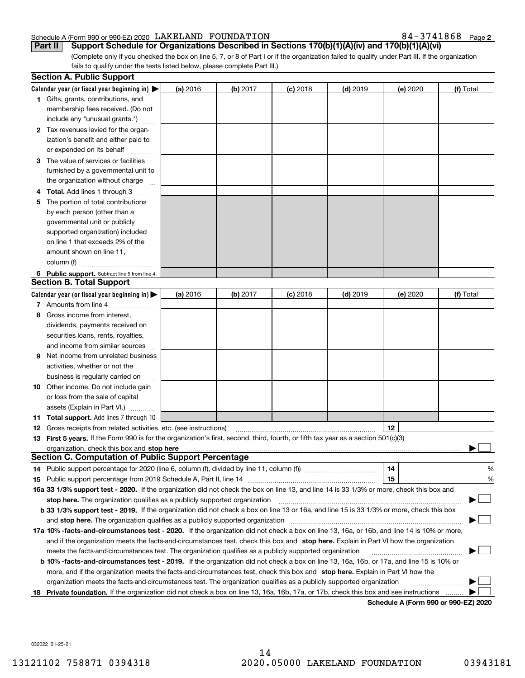### Schedule A (Form 990 or 990-EZ) 2020 Page LAKELAND FOUNDATION 84-3741868

84-3741868 Page 2

(Complete only if you checked the box on line 5, 7, or 8 of Part I or if the organization failed to qualify under Part III. If the organization fails to qualify under the tests listed below, please complete Part III.) **Part II Support Schedule for Organizations Described in Sections 170(b)(1)(A)(iv) and 170(b)(1)(A)(vi)**

|    | <b>Section A. Public Support</b>                                                                                                               |          |                 |            |            |                                      |           |
|----|------------------------------------------------------------------------------------------------------------------------------------------------|----------|-----------------|------------|------------|--------------------------------------|-----------|
|    | Calendar year (or fiscal year beginning in) $\blacktriangleright$                                                                              | (a) 2016 | <b>(b)</b> 2017 | $(c)$ 2018 | $(d)$ 2019 | (e) 2020                             | (f) Total |
|    | <b>1</b> Gifts, grants, contributions, and                                                                                                     |          |                 |            |            |                                      |           |
|    | membership fees received. (Do not                                                                                                              |          |                 |            |            |                                      |           |
|    | include any "unusual grants.")                                                                                                                 |          |                 |            |            |                                      |           |
|    | 2 Tax revenues levied for the organ-                                                                                                           |          |                 |            |            |                                      |           |
|    | ization's benefit and either paid to                                                                                                           |          |                 |            |            |                                      |           |
|    | or expended on its behalf                                                                                                                      |          |                 |            |            |                                      |           |
|    | 3 The value of services or facilities                                                                                                          |          |                 |            |            |                                      |           |
|    | furnished by a governmental unit to                                                                                                            |          |                 |            |            |                                      |           |
|    | the organization without charge                                                                                                                |          |                 |            |            |                                      |           |
|    | 4 Total. Add lines 1 through 3                                                                                                                 |          |                 |            |            |                                      |           |
| 5  | The portion of total contributions                                                                                                             |          |                 |            |            |                                      |           |
|    | by each person (other than a                                                                                                                   |          |                 |            |            |                                      |           |
|    | governmental unit or publicly                                                                                                                  |          |                 |            |            |                                      |           |
|    | supported organization) included                                                                                                               |          |                 |            |            |                                      |           |
|    | on line 1 that exceeds 2% of the                                                                                                               |          |                 |            |            |                                      |           |
|    | amount shown on line 11,                                                                                                                       |          |                 |            |            |                                      |           |
|    | column (f)                                                                                                                                     |          |                 |            |            |                                      |           |
|    | 6 Public support. Subtract line 5 from line 4.                                                                                                 |          |                 |            |            |                                      |           |
|    | <b>Section B. Total Support</b>                                                                                                                |          |                 |            |            |                                      |           |
|    | Calendar year (or fiscal year beginning in) $\blacktriangleright$                                                                              | (a) 2016 | (b) 2017        | $(c)$ 2018 | $(d)$ 2019 | (e) 2020                             | (f) Total |
|    | 7 Amounts from line 4                                                                                                                          |          |                 |            |            |                                      |           |
|    | 8 Gross income from interest,                                                                                                                  |          |                 |            |            |                                      |           |
|    | dividends, payments received on                                                                                                                |          |                 |            |            |                                      |           |
|    | securities loans, rents, royalties,                                                                                                            |          |                 |            |            |                                      |           |
|    | and income from similar sources                                                                                                                |          |                 |            |            |                                      |           |
| 9. | Net income from unrelated business                                                                                                             |          |                 |            |            |                                      |           |
|    | activities, whether or not the                                                                                                                 |          |                 |            |            |                                      |           |
|    | business is regularly carried on                                                                                                               |          |                 |            |            |                                      |           |
|    | <b>10</b> Other income. Do not include gain                                                                                                    |          |                 |            |            |                                      |           |
|    | or loss from the sale of capital                                                                                                               |          |                 |            |            |                                      |           |
|    | assets (Explain in Part VI.)                                                                                                                   |          |                 |            |            |                                      |           |
|    | <b>11 Total support.</b> Add lines 7 through 10                                                                                                |          |                 |            |            |                                      |           |
|    | <b>12</b> Gross receipts from related activities, etc. (see instructions)                                                                      |          |                 |            |            | 12                                   |           |
|    | 13 First 5 years. If the Form 990 is for the organization's first, second, third, fourth, or fifth tax year as a section 501(c)(3)             |          |                 |            |            |                                      |           |
|    |                                                                                                                                                |          |                 |            |            |                                      |           |
|    | <b>Section C. Computation of Public Support Percentage</b>                                                                                     |          |                 |            |            |                                      |           |
|    | 14 Public support percentage for 2020 (line 6, column (f), divided by line 11, column (f) <i>marroummaname</i>                                 |          |                 |            |            | 14                                   | %         |
|    |                                                                                                                                                |          |                 |            |            | 15                                   | %         |
|    | 16a 33 1/3% support test - 2020. If the organization did not check the box on line 13, and line 14 is 33 1/3% or more, check this box and      |          |                 |            |            |                                      |           |
|    | stop here. The organization qualifies as a publicly supported organization                                                                     |          |                 |            |            |                                      |           |
|    | b 33 1/3% support test - 2019. If the organization did not check a box on line 13 or 16a, and line 15 is 33 1/3% or more, check this box       |          |                 |            |            |                                      |           |
|    | and stop here. The organization qualifies as a publicly supported organization                                                                 |          |                 |            |            |                                      |           |
|    | 17a 10% -facts-and-circumstances test - 2020. If the organization did not check a box on line 13, 16a, or 16b, and line 14 is 10% or more,     |          |                 |            |            |                                      |           |
|    | and if the organization meets the facts-and-circumstances test, check this box and stop here. Explain in Part VI how the organization          |          |                 |            |            |                                      |           |
|    | meets the facts-and-circumstances test. The organization qualifies as a publicly supported organization                                        |          |                 |            |            |                                      |           |
|    | <b>b 10% -facts-and-circumstances test - 2019.</b> If the organization did not check a box on line 13, 16a, 16b, or 17a, and line 15 is 10% or |          |                 |            |            |                                      |           |
|    | more, and if the organization meets the facts-and-circumstances test, check this box and stop here. Explain in Part VI how the                 |          |                 |            |            |                                      |           |
|    | organization meets the facts-and-circumstances test. The organization qualifies as a publicly supported organization                           |          |                 |            |            |                                      |           |
| 18 | Private foundation. If the organization did not check a box on line 13, 16a, 16b, 17a, or 17b, check this box and see instructions             |          |                 |            |            |                                      |           |
|    |                                                                                                                                                |          |                 |            |            | Schedule A (Form 990 or 990-EZ) 2020 |           |

**Schedule A (Form 990 or 990-EZ) 2020**

032022 01-25-21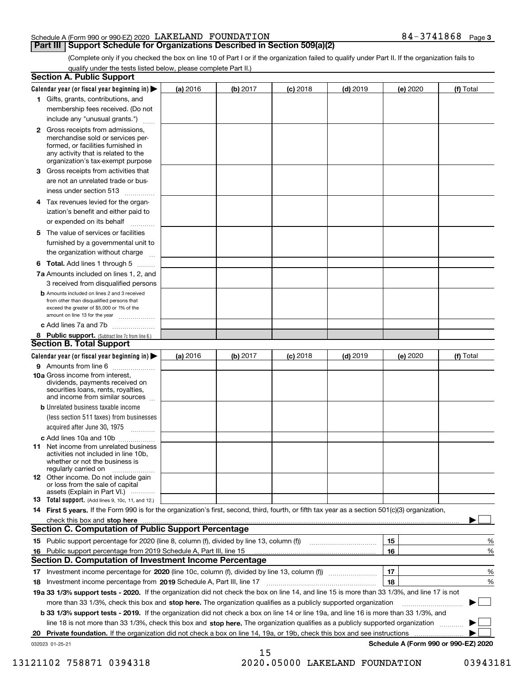### Schedule A (Form 990 or 990-EZ) 2020 Page LAKELAND FOUNDATION 84-3741868

### **Part III | Support Schedule for Organizations Described in Section 509(a)(2)**

**3**

(Complete only if you checked the box on line 10 of Part I or if the organization failed to qualify under Part II. If the organization fails to qualify under the tests listed below, please complete Part II.)

| <b>Section A. Public Support</b>                                                                                                                                                         |          |          |            |            |          |                                      |
|------------------------------------------------------------------------------------------------------------------------------------------------------------------------------------------|----------|----------|------------|------------|----------|--------------------------------------|
| Calendar year (or fiscal year beginning in) $\blacktriangleright$                                                                                                                        | (a) 2016 | (b) 2017 | $(c)$ 2018 | $(d)$ 2019 | (e) 2020 | (f) Total                            |
| 1 Gifts, grants, contributions, and                                                                                                                                                      |          |          |            |            |          |                                      |
| membership fees received. (Do not                                                                                                                                                        |          |          |            |            |          |                                      |
| include any "unusual grants.")                                                                                                                                                           |          |          |            |            |          |                                      |
| 2 Gross receipts from admissions,<br>merchandise sold or services per-<br>formed, or facilities furnished in<br>any activity that is related to the<br>organization's tax-exempt purpose |          |          |            |            |          |                                      |
| 3 Gross receipts from activities that                                                                                                                                                    |          |          |            |            |          |                                      |
| are not an unrelated trade or bus-<br>iness under section 513                                                                                                                            |          |          |            |            |          |                                      |
| 4 Tax revenues levied for the organ-                                                                                                                                                     |          |          |            |            |          |                                      |
| ization's benefit and either paid to<br>or expended on its behalf<br>.                                                                                                                   |          |          |            |            |          |                                      |
| 5 The value of services or facilities                                                                                                                                                    |          |          |            |            |          |                                      |
| furnished by a governmental unit to                                                                                                                                                      |          |          |            |            |          |                                      |
| the organization without charge                                                                                                                                                          |          |          |            |            |          |                                      |
| <b>6 Total.</b> Add lines 1 through 5                                                                                                                                                    |          |          |            |            |          |                                      |
| 7a Amounts included on lines 1, 2, and<br>3 received from disqualified persons                                                                                                           |          |          |            |            |          |                                      |
| <b>b</b> Amounts included on lines 2 and 3 received<br>from other than disqualified persons that<br>exceed the greater of \$5,000 or 1% of the<br>amount on line 13 for the year         |          |          |            |            |          |                                      |
| c Add lines 7a and 7b                                                                                                                                                                    |          |          |            |            |          |                                      |
| 8 Public support. (Subtract line 7c from line 6.)<br><b>Section B. Total Support</b>                                                                                                     |          |          |            |            |          |                                      |
| Calendar year (or fiscal year beginning in) $\blacktriangleright$                                                                                                                        | (a) 2016 | (b) 2017 | $(c)$ 2018 | $(d)$ 2019 | (e) 2020 | (f) Total                            |
| 9 Amounts from line 6                                                                                                                                                                    |          |          |            |            |          |                                      |
| 10a Gross income from interest,<br>dividends, payments received on<br>securities loans, rents, royalties,<br>and income from similar sources                                             |          |          |            |            |          |                                      |
| <b>b</b> Unrelated business taxable income                                                                                                                                               |          |          |            |            |          |                                      |
| (less section 511 taxes) from businesses<br>acquired after June 30, 1975<br>1.1.1.1.1.1.1.1.1.1                                                                                          |          |          |            |            |          |                                      |
| c Add lines 10a and 10b                                                                                                                                                                  |          |          |            |            |          |                                      |
| <b>11</b> Net income from unrelated business<br>activities not included in line 10b.<br>whether or not the business is<br>regularly carried on                                           |          |          |            |            |          |                                      |
| <b>12</b> Other income. Do not include gain<br>or loss from the sale of capital<br>assets (Explain in Part VI.)                                                                          |          |          |            |            |          |                                      |
| <b>13</b> Total support. (Add lines 9, 10c, 11, and 12.)                                                                                                                                 |          |          |            |            |          |                                      |
| 14 First 5 years. If the Form 990 is for the organization's first, second, third, fourth, or fifth tax year as a section 501(c)(3) organization,                                         |          |          |            |            |          |                                      |
| check this box and stop here <b>contractly contractly and structure and stop here</b> check this box and stop here <b>contractly and stop here contractly</b>                            |          |          |            |            |          |                                      |
| <b>Section C. Computation of Public Support Percentage</b>                                                                                                                               |          |          |            |            |          |                                      |
|                                                                                                                                                                                          |          |          |            |            | 15       | %                                    |
| 16 Public support percentage from 2019 Schedule A, Part III, line 15<br><b>Section D. Computation of Investment Income Percentage</b>                                                    |          |          |            |            | 16       | %                                    |
|                                                                                                                                                                                          |          |          |            |            |          |                                      |
| 17 Investment income percentage for 2020 (line 10c, column (f), divided by line 13, column (f))<br>18 Investment income percentage from 2019 Schedule A, Part III, line 17               |          |          |            |            | 17<br>18 | %<br>%                               |
| 19a 33 1/3% support tests - 2020. If the organization did not check the box on line 14, and line 15 is more than 33 1/3%, and line 17 is not                                             |          |          |            |            |          |                                      |
| more than 33 1/3%, check this box and stop here. The organization qualifies as a publicly supported organization                                                                         |          |          |            |            |          |                                      |
| b 33 1/3% support tests - 2019. If the organization did not check a box on line 14 or line 19a, and line 16 is more than 33 1/3%, and                                                    |          |          |            |            |          |                                      |
| line 18 is not more than 33 1/3%, check this box and stop here. The organization qualifies as a publicly supported organization                                                          |          |          |            |            |          |                                      |
| 20 Private foundation. If the organization did not check a box on line 14, 19a, or 19b, check this box and see instructions                                                              |          |          |            |            |          |                                      |
| 032023 01-25-21                                                                                                                                                                          |          |          |            |            |          | Schedule A (Form 990 or 990-EZ) 2020 |
|                                                                                                                                                                                          |          | 15       |            |            |          |                                      |

13121102 758871 0394318 2020.05000 LAKELAND FOUNDATION 03943181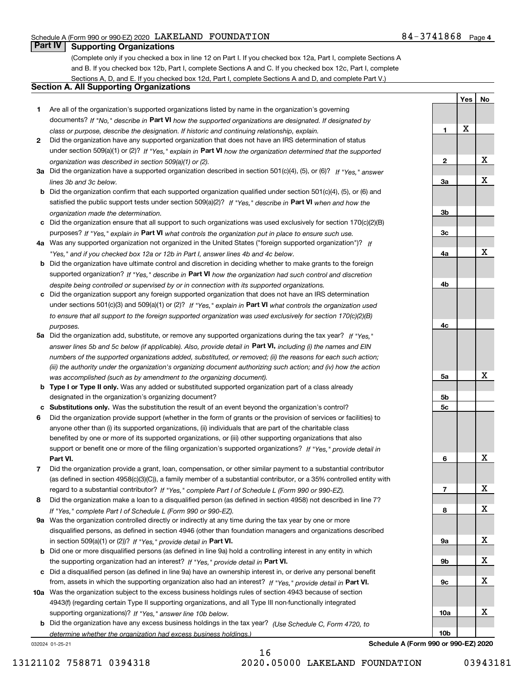**1**

**2**

**Yes**

X

**No**

X

### **Part IV Supporting Organizations**

(Complete only if you checked a box in line 12 on Part I. If you checked box 12a, Part I, complete Sections A and B. If you checked box 12b, Part I, complete Sections A and C. If you checked box 12c, Part I, complete Sections A, D, and E. If you checked box 12d, Part I, complete Sections A and D, and complete Part V.)

### **Section A. All Supporting Organizations**

- **1** Are all of the organization's supported organizations listed by name in the organization's governing documents? If "No," describe in **Part VI** how the supported organizations are designated. If designated by *class or purpose, describe the designation. If historic and continuing relationship, explain.*
- **2** Did the organization have any supported organization that does not have an IRS determination of status under section 509(a)(1) or (2)? If "Yes," explain in Part VI how the organization determined that the supported *organization was described in section 509(a)(1) or (2).*
- **3a** Did the organization have a supported organization described in section 501(c)(4), (5), or (6)? If "Yes," answer *lines 3b and 3c below.*
- **b** Did the organization confirm that each supported organization qualified under section 501(c)(4), (5), or (6) and satisfied the public support tests under section 509(a)(2)? If "Yes," describe in **Part VI** when and how the *organization made the determination.*
- **c**Did the organization ensure that all support to such organizations was used exclusively for section 170(c)(2)(B) purposes? If "Yes," explain in **Part VI** what controls the organization put in place to ensure such use.
- **4a***If* Was any supported organization not organized in the United States ("foreign supported organization")? *"Yes," and if you checked box 12a or 12b in Part I, answer lines 4b and 4c below.*
- **b** Did the organization have ultimate control and discretion in deciding whether to make grants to the foreign supported organization? If "Yes," describe in **Part VI** how the organization had such control and discretion *despite being controlled or supervised by or in connection with its supported organizations.*
- **c** Did the organization support any foreign supported organization that does not have an IRS determination under sections 501(c)(3) and 509(a)(1) or (2)? If "Yes," explain in **Part VI** what controls the organization used *to ensure that all support to the foreign supported organization was used exclusively for section 170(c)(2)(B) purposes.*
- **5a** Did the organization add, substitute, or remove any supported organizations during the tax year? If "Yes," answer lines 5b and 5c below (if applicable). Also, provide detail in **Part VI,** including (i) the names and EIN *numbers of the supported organizations added, substituted, or removed; (ii) the reasons for each such action; (iii) the authority under the organization's organizing document authorizing such action; and (iv) how the action was accomplished (such as by amendment to the organizing document).*
- **b** Type I or Type II only. Was any added or substituted supported organization part of a class already designated in the organization's organizing document?
- **cSubstitutions only.**  Was the substitution the result of an event beyond the organization's control?
- **6** Did the organization provide support (whether in the form of grants or the provision of services or facilities) to **Part VI.** *If "Yes," provide detail in* support or benefit one or more of the filing organization's supported organizations? anyone other than (i) its supported organizations, (ii) individuals that are part of the charitable class benefited by one or more of its supported organizations, or (iii) other supporting organizations that also
- **7**Did the organization provide a grant, loan, compensation, or other similar payment to a substantial contributor *If "Yes," complete Part I of Schedule L (Form 990 or 990-EZ).* regard to a substantial contributor? (as defined in section 4958(c)(3)(C)), a family member of a substantial contributor, or a 35% controlled entity with
- **8** Did the organization make a loan to a disqualified person (as defined in section 4958) not described in line 7? *If "Yes," complete Part I of Schedule L (Form 990 or 990-EZ).*
- **9a** Was the organization controlled directly or indirectly at any time during the tax year by one or more in section 509(a)(1) or (2))? If "Yes," *provide detail in* <code>Part VI.</code> disqualified persons, as defined in section 4946 (other than foundation managers and organizations described
- **b**the supporting organization had an interest? If "Yes," provide detail in P**art VI**. Did one or more disqualified persons (as defined in line 9a) hold a controlling interest in any entity in which
- **c**Did a disqualified person (as defined in line 9a) have an ownership interest in, or derive any personal benefit from, assets in which the supporting organization also had an interest? If "Yes," provide detail in P**art VI.**
- **10a** Was the organization subject to the excess business holdings rules of section 4943 because of section supporting organizations)? If "Yes," answer line 10b below. 4943(f) (regarding certain Type II supporting organizations, and all Type III non-functionally integrated
- **b** Did the organization have any excess business holdings in the tax year? (Use Schedule C, Form 4720, to *determine whether the organization had excess business holdings.)*

032024 01-25-21

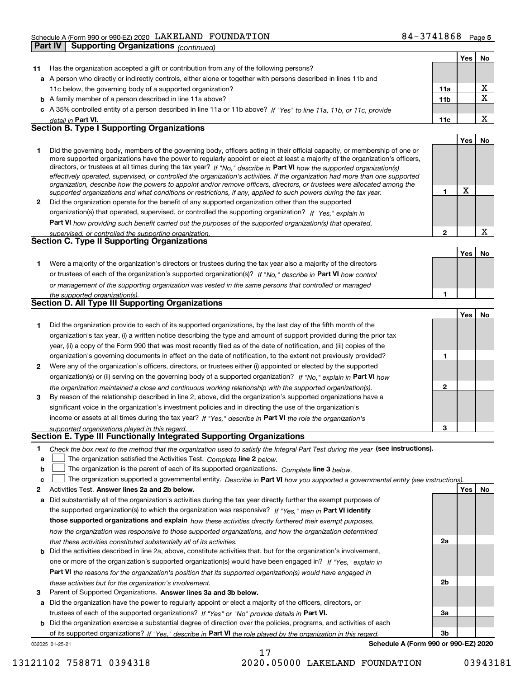|              | Part IV | Supporting Organizations (continued)                                                                                                                                                                                                                                                                                                                                                                                                                                                                                                                                                                                                                 |                 |     |                         |
|--------------|---------|------------------------------------------------------------------------------------------------------------------------------------------------------------------------------------------------------------------------------------------------------------------------------------------------------------------------------------------------------------------------------------------------------------------------------------------------------------------------------------------------------------------------------------------------------------------------------------------------------------------------------------------------------|-----------------|-----|-------------------------|
|              |         |                                                                                                                                                                                                                                                                                                                                                                                                                                                                                                                                                                                                                                                      |                 | Yes | No.                     |
| 11           |         | Has the organization accepted a gift or contribution from any of the following persons?                                                                                                                                                                                                                                                                                                                                                                                                                                                                                                                                                              |                 |     |                         |
|              |         | a A person who directly or indirectly controls, either alone or together with persons described in lines 11b and                                                                                                                                                                                                                                                                                                                                                                                                                                                                                                                                     |                 |     |                         |
|              |         | 11c below, the governing body of a supported organization?                                                                                                                                                                                                                                                                                                                                                                                                                                                                                                                                                                                           | 11a             |     | X                       |
|              |         | <b>b</b> A family member of a person described in line 11a above?                                                                                                                                                                                                                                                                                                                                                                                                                                                                                                                                                                                    | 11 <sub>b</sub> |     | $\overline{\mathbf{x}}$ |
|              |         | c A 35% controlled entity of a person described in line 11a or 11b above? If "Yes" to line 11a, 11b, or 11c, provide                                                                                                                                                                                                                                                                                                                                                                                                                                                                                                                                 |                 |     |                         |
|              |         | detail in Part VI.                                                                                                                                                                                                                                                                                                                                                                                                                                                                                                                                                                                                                                   | 11c             |     | X                       |
|              |         | <b>Section B. Type I Supporting Organizations</b>                                                                                                                                                                                                                                                                                                                                                                                                                                                                                                                                                                                                    |                 |     |                         |
|              |         |                                                                                                                                                                                                                                                                                                                                                                                                                                                                                                                                                                                                                                                      |                 | Yes | No                      |
| 1            |         | Did the governing body, members of the governing body, officers acting in their official capacity, or membership of one or<br>more supported organizations have the power to regularly appoint or elect at least a majority of the organization's officers,<br>directors, or trustees at all times during the tax year? If "No," describe in Part VI how the supported organization(s)<br>effectively operated, supervised, or controlled the organization's activities. If the organization had more than one supported<br>organization, describe how the powers to appoint and/or remove officers, directors, or trustees were allocated among the |                 |     |                         |
|              |         | supported organizations and what conditions or restrictions, if any, applied to such powers during the tax year.                                                                                                                                                                                                                                                                                                                                                                                                                                                                                                                                     | 1               | X   |                         |
| $\mathbf{2}$ |         | Did the organization operate for the benefit of any supported organization other than the supported                                                                                                                                                                                                                                                                                                                                                                                                                                                                                                                                                  |                 |     |                         |
|              |         | organization(s) that operated, supervised, or controlled the supporting organization? If "Yes," explain in                                                                                                                                                                                                                                                                                                                                                                                                                                                                                                                                           |                 |     |                         |
|              |         | <b>Part VI</b> how providing such benefit carried out the purposes of the supported organization(s) that operated,                                                                                                                                                                                                                                                                                                                                                                                                                                                                                                                                   |                 |     |                         |
|              |         | supervised, or controlled the supporting organization.                                                                                                                                                                                                                                                                                                                                                                                                                                                                                                                                                                                               | $\mathbf{2}$    |     | $\mathbf X$             |
|              |         | <b>Section C. Type II Supporting Organizations</b>                                                                                                                                                                                                                                                                                                                                                                                                                                                                                                                                                                                                   |                 |     |                         |
|              |         |                                                                                                                                                                                                                                                                                                                                                                                                                                                                                                                                                                                                                                                      |                 | Yes | No                      |
| 1            |         | Were a majority of the organization's directors or trustees during the tax year also a majority of the directors                                                                                                                                                                                                                                                                                                                                                                                                                                                                                                                                     |                 |     |                         |
|              |         | or trustees of each of the organization's supported organization(s)? If "No," describe in Part VI how control                                                                                                                                                                                                                                                                                                                                                                                                                                                                                                                                        |                 |     |                         |
|              |         | or management of the supporting organization was vested in the same persons that controlled or managed                                                                                                                                                                                                                                                                                                                                                                                                                                                                                                                                               |                 |     |                         |
|              |         | the supported organization(s).                                                                                                                                                                                                                                                                                                                                                                                                                                                                                                                                                                                                                       | 1               |     |                         |
|              |         | <b>Section D. All Type III Supporting Organizations</b>                                                                                                                                                                                                                                                                                                                                                                                                                                                                                                                                                                                              |                 |     |                         |
|              |         |                                                                                                                                                                                                                                                                                                                                                                                                                                                                                                                                                                                                                                                      |                 | Yes | No                      |
| 1            |         | Did the organization provide to each of its supported organizations, by the last day of the fifth month of the                                                                                                                                                                                                                                                                                                                                                                                                                                                                                                                                       |                 |     |                         |
|              |         | organization's tax year, (i) a written notice describing the type and amount of support provided during the prior tax                                                                                                                                                                                                                                                                                                                                                                                                                                                                                                                                |                 |     |                         |
|              |         | year, (ii) a copy of the Form 990 that was most recently filed as of the date of notification, and (iii) copies of the                                                                                                                                                                                                                                                                                                                                                                                                                                                                                                                               |                 |     |                         |
|              |         | organization's governing documents in effect on the date of notification, to the extent not previously provided?                                                                                                                                                                                                                                                                                                                                                                                                                                                                                                                                     | 1               |     |                         |
| 2            |         | Were any of the organization's officers, directors, or trustees either (i) appointed or elected by the supported                                                                                                                                                                                                                                                                                                                                                                                                                                                                                                                                     |                 |     |                         |
|              |         | organization(s) or (ii) serving on the governing body of a supported organization? If "No," explain in Part VI how                                                                                                                                                                                                                                                                                                                                                                                                                                                                                                                                   |                 |     |                         |
|              |         |                                                                                                                                                                                                                                                                                                                                                                                                                                                                                                                                                                                                                                                      | $\mathbf{2}$    |     |                         |
| 3            |         | the organization maintained a close and continuous working relationship with the supported organization(s).<br>By reason of the relationship described in line 2, above, did the organization's supported organizations have a                                                                                                                                                                                                                                                                                                                                                                                                                       |                 |     |                         |
|              |         |                                                                                                                                                                                                                                                                                                                                                                                                                                                                                                                                                                                                                                                      |                 |     |                         |
|              |         | significant voice in the organization's investment policies and in directing the use of the organization's                                                                                                                                                                                                                                                                                                                                                                                                                                                                                                                                           |                 |     |                         |
|              |         | income or assets at all times during the tax year? If "Yes," describe in Part VI the role the organization's                                                                                                                                                                                                                                                                                                                                                                                                                                                                                                                                         | 3               |     |                         |
|              |         | supported organizations played in this regard.<br>Section E. Type III Functionally Integrated Supporting Organizations                                                                                                                                                                                                                                                                                                                                                                                                                                                                                                                               |                 |     |                         |
|              |         |                                                                                                                                                                                                                                                                                                                                                                                                                                                                                                                                                                                                                                                      |                 |     |                         |
| 1            |         | Check the box next to the method that the organization used to satisfy the Integral Part Test during the year (see instructions).                                                                                                                                                                                                                                                                                                                                                                                                                                                                                                                    |                 |     |                         |

- **alinupy** The organization satisfied the Activities Test. Complete line 2 below.
- **bThe organization is the parent of each of its supported organizations. Complete line 3 below.**

|  |  |  |  | c $\Box$ The organization supported a governmental entity. Describe in Part VI how you supported a governmental entity (see instructions) |
|--|--|--|--|-------------------------------------------------------------------------------------------------------------------------------------------|
|--|--|--|--|-------------------------------------------------------------------------------------------------------------------------------------------|

17

- **2Answer lines 2a and 2b below. Yes No** Activities Test.
- **a** Did substantially all of the organization's activities during the tax year directly further the exempt purposes of the supported organization(s) to which the organization was responsive? If "Yes," then in **Part VI identify those supported organizations and explain**  *how these activities directly furthered their exempt purposes, how the organization was responsive to those supported organizations, and how the organization determined that these activities constituted substantially all of its activities.*
- **b** Did the activities described in line 2a, above, constitute activities that, but for the organization's involvement, **Part VI**  *the reasons for the organization's position that its supported organization(s) would have engaged in* one or more of the organization's supported organization(s) would have been engaged in? If "Yes," e*xplain in these activities but for the organization's involvement.*
- **3** Parent of Supported Organizations. Answer lines 3a and 3b below.

**a** Did the organization have the power to regularly appoint or elect a majority of the officers, directors, or trustees of each of the supported organizations? If "Yes" or "No" provide details in **Part VI.** 

**b** Did the organization exercise a substantial degree of direction over the policies, programs, and activities of each of its supported organizations? If "Yes," describe in Part VI the role played by the organization in this regard.

032025 01-25-21

**Schedule A (Form 990 or 990-EZ) 2020**

**2a**

**2b**

**3a**

**3b**

13121102 758871 0394318 2020.05000 LAKELAND FOUNDATION 03943181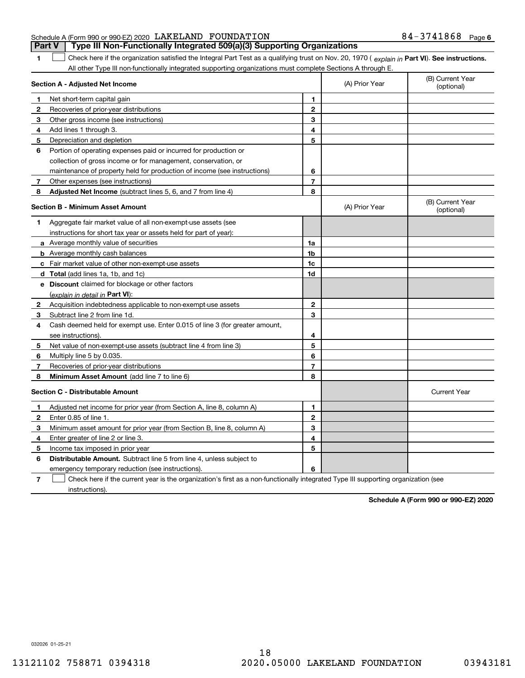### Schedule A (Form 990 or 990-EZ) 2020 Page LAKELAND FOUNDATION 84-3741868 **Part V Type III Non-Functionally Integrated 509(a)(3) Supporting Organizations**

**1**1 Check here if the organization satisfied the Integral Part Test as a qualifying trust on Nov. 20, 1970 (explain in Part VI). See instructions. All other Type III non-functionally integrated supporting organizations must complete Sections A through E.

|                                         | Section A - Adjusted Net Income                                                                                                   |                | (A) Prior Year | (B) Current Year<br>(optional) |
|-----------------------------------------|-----------------------------------------------------------------------------------------------------------------------------------|----------------|----------------|--------------------------------|
| 1                                       | Net short-term capital gain                                                                                                       | 1              |                |                                |
| 2                                       | Recoveries of prior-year distributions                                                                                            | $\overline{2}$ |                |                                |
| 3                                       | Other gross income (see instructions)                                                                                             | 3              |                |                                |
| 4                                       | Add lines 1 through 3.                                                                                                            | 4              |                |                                |
| 5                                       | Depreciation and depletion                                                                                                        | 5              |                |                                |
| 6                                       | Portion of operating expenses paid or incurred for production or                                                                  |                |                |                                |
|                                         | collection of gross income or for management, conservation, or                                                                    |                |                |                                |
|                                         | maintenance of property held for production of income (see instructions)                                                          | 6              |                |                                |
| 7                                       | Other expenses (see instructions)                                                                                                 | $\overline{7}$ |                |                                |
| 8                                       | Adjusted Net Income (subtract lines 5, 6, and 7 from line 4)                                                                      | 8              |                |                                |
| <b>Section B - Minimum Asset Amount</b> |                                                                                                                                   |                | (A) Prior Year | (B) Current Year<br>(optional) |
| 1                                       | Aggregate fair market value of all non-exempt-use assets (see                                                                     |                |                |                                |
|                                         | instructions for short tax year or assets held for part of year):                                                                 |                |                |                                |
|                                         | a Average monthly value of securities                                                                                             | 1a             |                |                                |
|                                         | <b>b</b> Average monthly cash balances                                                                                            | 1 <sub>b</sub> |                |                                |
|                                         | c Fair market value of other non-exempt-use assets                                                                                | 1c             |                |                                |
|                                         | d Total (add lines 1a, 1b, and 1c)                                                                                                | 1d             |                |                                |
|                                         | e Discount claimed for blockage or other factors                                                                                  |                |                |                                |
|                                         | (explain in detail in Part VI):                                                                                                   |                |                |                                |
| $\mathbf{2}$                            | Acquisition indebtedness applicable to non-exempt-use assets                                                                      | 2              |                |                                |
| 3                                       | Subtract line 2 from line 1d.                                                                                                     | 3              |                |                                |
| 4                                       | Cash deemed held for exempt use. Enter 0.015 of line 3 (for greater amount,                                                       |                |                |                                |
|                                         | see instructions).                                                                                                                | 4              |                |                                |
| 5                                       | Net value of non-exempt-use assets (subtract line 4 from line 3)                                                                  | 5              |                |                                |
| 6                                       | Multiply line 5 by 0.035.                                                                                                         | 6              |                |                                |
| 7                                       | Recoveries of prior-year distributions                                                                                            | $\overline{7}$ |                |                                |
| 8                                       | Minimum Asset Amount (add line 7 to line 6)                                                                                       | 8              |                |                                |
|                                         | <b>Section C - Distributable Amount</b>                                                                                           |                |                | <b>Current Year</b>            |
| 1                                       | Adjusted net income for prior year (from Section A, line 8, column A)                                                             | 1              |                |                                |
| 2                                       | Enter 0.85 of line 1.                                                                                                             | $\overline{2}$ |                |                                |
| з                                       | Minimum asset amount for prior year (from Section B, line 8, column A)                                                            | 3              |                |                                |
| 4                                       | Enter greater of line 2 or line 3.                                                                                                | 4              |                |                                |
| 5                                       | Income tax imposed in prior year                                                                                                  | 5              |                |                                |
| 6                                       | <b>Distributable Amount.</b> Subtract line 5 from line 4, unless subject to                                                       |                |                |                                |
|                                         | emergency temporary reduction (see instructions).                                                                                 | 6              |                |                                |
| 7                                       | Check here if the current year is the organization's first as a non-functionally integrated Type III supporting organization (see |                |                |                                |

**7**instructions).

**Schedule A (Form 990 or 990-EZ) 2020**

032026 01-25-21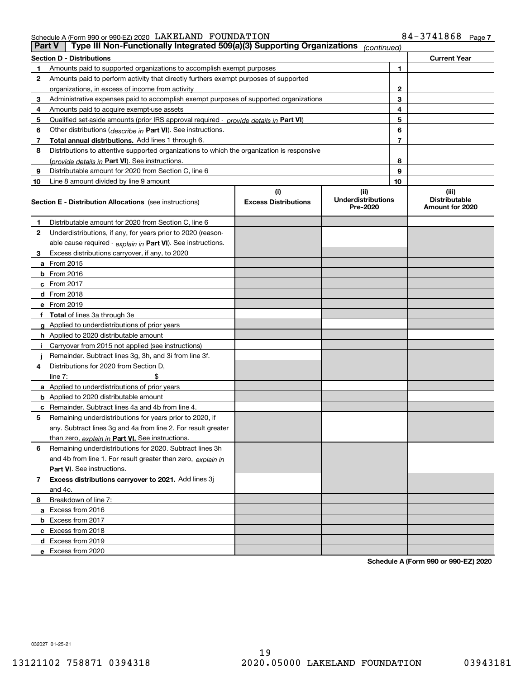Schedule A (Form 990 or 990-EZ) 2020 Page LAKELAND FOUNDATION 84-3741868

| <b>Part V</b> | Type III Non-Functionally Integrated 509(a)(3) Supporting Organizations                    |                             | (continued)                           |                                         |
|---------------|--------------------------------------------------------------------------------------------|-----------------------------|---------------------------------------|-----------------------------------------|
|               | <b>Section D - Distributions</b>                                                           |                             |                                       | <b>Current Year</b>                     |
| 1             | Amounts paid to supported organizations to accomplish exempt purposes                      |                             | 1                                     |                                         |
| 2             | Amounts paid to perform activity that directly furthers exempt purposes of supported       |                             |                                       |                                         |
|               | organizations, in excess of income from activity                                           |                             |                                       | $\mathbf{2}$                            |
| 3             | Administrative expenses paid to accomplish exempt purposes of supported organizations      |                             |                                       | 3                                       |
| 4             | Amounts paid to acquire exempt-use assets                                                  |                             |                                       | 4                                       |
| 5             | Qualified set-aside amounts (prior IRS approval required - provide details in Part VI)     |                             | 5                                     |                                         |
| 6             | Other distributions ( <i>describe in</i> Part VI). See instructions.                       |                             |                                       | 6                                       |
| 7             | Total annual distributions. Add lines 1 through 6.                                         |                             |                                       | $\overline{7}$                          |
| 8             | Distributions to attentive supported organizations to which the organization is responsive |                             |                                       |                                         |
|               | (provide details in Part VI). See instructions.                                            |                             |                                       | 8                                       |
| 9             | Distributable amount for 2020 from Section C, line 6                                       |                             |                                       | 9                                       |
| 10            | Line 8 amount divided by line 9 amount                                                     |                             | 10                                    |                                         |
|               |                                                                                            | (i)                         | (ii)                                  | (iii)                                   |
|               | <b>Section E - Distribution Allocations</b> (see instructions)                             | <b>Excess Distributions</b> | <b>Underdistributions</b><br>Pre-2020 | <b>Distributable</b><br>Amount for 2020 |
| 1             | Distributable amount for 2020 from Section C, line 6                                       |                             |                                       |                                         |
| 2             | Underdistributions, if any, for years prior to 2020 (reason-                               |                             |                                       |                                         |
|               | able cause required - explain in Part VI). See instructions.                               |                             |                                       |                                         |
| 3             | Excess distributions carryover, if any, to 2020                                            |                             |                                       |                                         |
|               | a From 2015                                                                                |                             |                                       |                                         |
|               | <b>b</b> From 2016                                                                         |                             |                                       |                                         |
|               | $c$ From 2017                                                                              |                             |                                       |                                         |
|               | d From 2018                                                                                |                             |                                       |                                         |
|               | e From 2019                                                                                |                             |                                       |                                         |
|               | f Total of lines 3a through 3e                                                             |                             |                                       |                                         |
|               | g Applied to underdistributions of prior years                                             |                             |                                       |                                         |
|               | <b>h</b> Applied to 2020 distributable amount                                              |                             |                                       |                                         |
|               | Carryover from 2015 not applied (see instructions)                                         |                             |                                       |                                         |
|               | Remainder. Subtract lines 3g, 3h, and 3i from line 3f.                                     |                             |                                       |                                         |
| 4             | Distributions for 2020 from Section D,                                                     |                             |                                       |                                         |
|               | line $7:$                                                                                  |                             |                                       |                                         |
|               | a Applied to underdistributions of prior years                                             |                             |                                       |                                         |
|               | <b>b</b> Applied to 2020 distributable amount                                              |                             |                                       |                                         |
|               | c Remainder. Subtract lines 4a and 4b from line 4.                                         |                             |                                       |                                         |
| 5.            | Remaining underdistributions for years prior to 2020, if                                   |                             |                                       |                                         |
|               | any. Subtract lines 3g and 4a from line 2. For result greater                              |                             |                                       |                                         |
|               | than zero, explain in Part VI. See instructions.                                           |                             |                                       |                                         |
| 6             | Remaining underdistributions for 2020. Subtract lines 3h                                   |                             |                                       |                                         |
|               | and 4b from line 1. For result greater than zero, explain in                               |                             |                                       |                                         |
|               | Part VI. See instructions.                                                                 |                             |                                       |                                         |
| 7             | Excess distributions carryover to 2021. Add lines 3j                                       |                             |                                       |                                         |
|               | and 4c.                                                                                    |                             |                                       |                                         |
| 8             | Breakdown of line 7:                                                                       |                             |                                       |                                         |
|               | a Excess from 2016                                                                         |                             |                                       |                                         |
|               | <b>b</b> Excess from 2017                                                                  |                             |                                       |                                         |
|               | c Excess from 2018                                                                         |                             |                                       |                                         |
|               | d Excess from 2019                                                                         |                             |                                       |                                         |
|               | e Excess from 2020                                                                         |                             |                                       |                                         |

**Schedule A (Form 990 or 990-EZ) 2020**

032027 01-25-21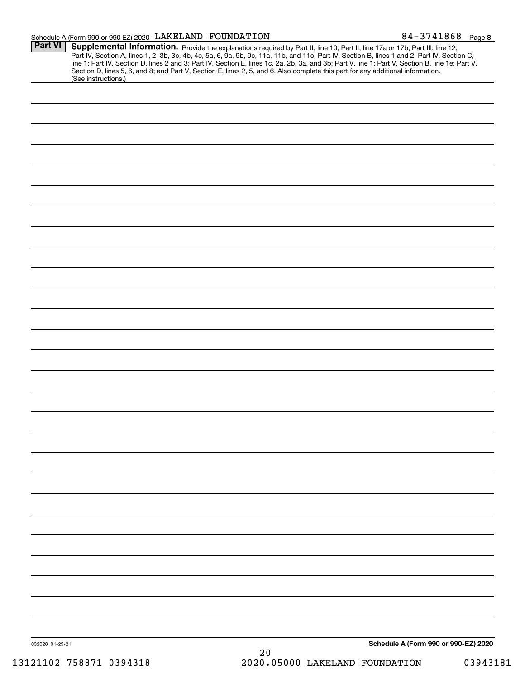### Schedule A (Form 990 or 990-EZ) 2020 Page LAKELAND FOUNDATION 84-3741868

| <b>Part VI</b>  | Supplemental Information. Provide the explanations required by Part II, line 10; Part II, line 17a or 17b; Part III, line 12;<br>Part IV, Section A, lines 1, 2, 3b, 3c, 4b, 4c, 5a, 6, 9a, 9b, 9c, 11a, 11b, and 11c; Part IV, Section B, lines 1 and 2; Part IV, Section C,<br>line 1; Part IV, Section D, lines 2 and 3; Part IV, Section E, lines 1c, 2a, 2b, 3a, and 3b; Part V, line 1; Part V, Section B, line 1e; Part V,<br>Section D, lines 5, 6, and 8; and Part V, Section E, lines 2, 5, and 6. Also complete this part for any additional information.<br>(See instructions.) |
|-----------------|---------------------------------------------------------------------------------------------------------------------------------------------------------------------------------------------------------------------------------------------------------------------------------------------------------------------------------------------------------------------------------------------------------------------------------------------------------------------------------------------------------------------------------------------------------------------------------------------|
|                 |                                                                                                                                                                                                                                                                                                                                                                                                                                                                                                                                                                                             |
|                 |                                                                                                                                                                                                                                                                                                                                                                                                                                                                                                                                                                                             |
|                 |                                                                                                                                                                                                                                                                                                                                                                                                                                                                                                                                                                                             |
|                 |                                                                                                                                                                                                                                                                                                                                                                                                                                                                                                                                                                                             |
|                 |                                                                                                                                                                                                                                                                                                                                                                                                                                                                                                                                                                                             |
|                 |                                                                                                                                                                                                                                                                                                                                                                                                                                                                                                                                                                                             |
|                 |                                                                                                                                                                                                                                                                                                                                                                                                                                                                                                                                                                                             |
|                 |                                                                                                                                                                                                                                                                                                                                                                                                                                                                                                                                                                                             |
|                 |                                                                                                                                                                                                                                                                                                                                                                                                                                                                                                                                                                                             |
|                 |                                                                                                                                                                                                                                                                                                                                                                                                                                                                                                                                                                                             |
|                 |                                                                                                                                                                                                                                                                                                                                                                                                                                                                                                                                                                                             |
|                 |                                                                                                                                                                                                                                                                                                                                                                                                                                                                                                                                                                                             |
|                 |                                                                                                                                                                                                                                                                                                                                                                                                                                                                                                                                                                                             |
|                 |                                                                                                                                                                                                                                                                                                                                                                                                                                                                                                                                                                                             |
|                 |                                                                                                                                                                                                                                                                                                                                                                                                                                                                                                                                                                                             |
|                 |                                                                                                                                                                                                                                                                                                                                                                                                                                                                                                                                                                                             |
|                 |                                                                                                                                                                                                                                                                                                                                                                                                                                                                                                                                                                                             |
|                 |                                                                                                                                                                                                                                                                                                                                                                                                                                                                                                                                                                                             |
|                 |                                                                                                                                                                                                                                                                                                                                                                                                                                                                                                                                                                                             |
|                 |                                                                                                                                                                                                                                                                                                                                                                                                                                                                                                                                                                                             |
|                 |                                                                                                                                                                                                                                                                                                                                                                                                                                                                                                                                                                                             |
|                 |                                                                                                                                                                                                                                                                                                                                                                                                                                                                                                                                                                                             |
|                 |                                                                                                                                                                                                                                                                                                                                                                                                                                                                                                                                                                                             |
|                 |                                                                                                                                                                                                                                                                                                                                                                                                                                                                                                                                                                                             |
|                 |                                                                                                                                                                                                                                                                                                                                                                                                                                                                                                                                                                                             |
|                 |                                                                                                                                                                                                                                                                                                                                                                                                                                                                                                                                                                                             |
|                 |                                                                                                                                                                                                                                                                                                                                                                                                                                                                                                                                                                                             |
|                 |                                                                                                                                                                                                                                                                                                                                                                                                                                                                                                                                                                                             |
|                 |                                                                                                                                                                                                                                                                                                                                                                                                                                                                                                                                                                                             |
|                 |                                                                                                                                                                                                                                                                                                                                                                                                                                                                                                                                                                                             |
|                 |                                                                                                                                                                                                                                                                                                                                                                                                                                                                                                                                                                                             |
|                 |                                                                                                                                                                                                                                                                                                                                                                                                                                                                                                                                                                                             |
|                 |                                                                                                                                                                                                                                                                                                                                                                                                                                                                                                                                                                                             |
|                 |                                                                                                                                                                                                                                                                                                                                                                                                                                                                                                                                                                                             |
|                 |                                                                                                                                                                                                                                                                                                                                                                                                                                                                                                                                                                                             |
|                 |                                                                                                                                                                                                                                                                                                                                                                                                                                                                                                                                                                                             |
| 032028 01-25-21 | Schedule A (Form 990 or 990-EZ) 2020<br>20                                                                                                                                                                                                                                                                                                                                                                                                                                                                                                                                                  |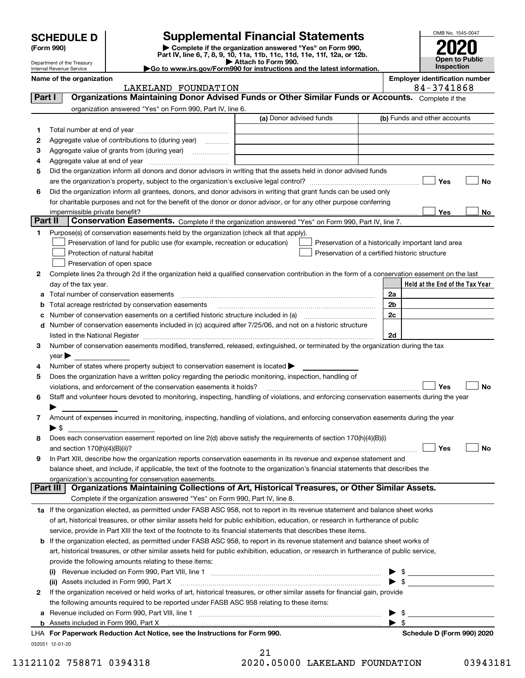| <b>SCHEDULE D</b> |
|-------------------|
|-------------------|

# **Supplemental Financial Statements**

**(Form 990)** (**Form 990,**<br>Part IV, line 6, 7, 8, 9, 10, 11a, 11b, 11c, 11d, 11e, 11f, 12a, or 12b.<br>Department of the Treasury **and Exercise Connect Connect Connect Connect Connect Connect Connect Connect Connect** 



Department of the Treasury Internal Revenue Service

| <b>P</b> Attach to Form 990.                                                                 |  |  |  |  |  |  |  |  |
|----------------------------------------------------------------------------------------------|--|--|--|--|--|--|--|--|
| $\blacktriangleright$ Go to www.irs.gov/Form990 for instructions and the latest information. |  |  |  |  |  |  |  |  |

**Name of the organization**<br>**RACK TRACK TO BUT A TO BUT AND FOUNDATION** 

| Organizations Maintaining Donor Advised Funds or Other Similar Funds or Accounts. Complete if the<br>Part I<br>organization answered "Yes" on Form 990, Part IV, line 6.<br>(a) Donor advised funds<br>(b) Funds and other accounts<br>1<br>Aggregate value of contributions to (during year)<br>2<br>3<br>Aggregate value of grants from (during year) <i>mimimimimia</i><br>4<br>Did the organization inform all donors and donor advisors in writing that the assets held in donor advised funds<br>5<br>Yes<br>No<br>Did the organization inform all grantees, donors, and donor advisors in writing that grant funds can be used only<br>6<br>for charitable purposes and not for the benefit of the donor or donor advisor, or for any other purpose conferring<br>impermissible private benefit?<br>Yes<br>Part II<br>Conservation Easements. Complete if the organization answered "Yes" on Form 990, Part IV, line 7.<br>Purpose(s) of conservation easements held by the organization (check all that apply).<br>1.<br>Preservation of land for public use (for example, recreation or education)<br>Preservation of a historically important land area<br>Preservation of a certified historic structure<br>Protection of natural habitat<br>Preservation of open space<br>Complete lines 2a through 2d if the organization held a qualified conservation contribution in the form of a conservation easement on the last<br>2<br>Held at the End of the Tax Year<br>day of the tax year.<br>Total number of conservation easements<br>2a<br>2 <sub>b</sub><br>Total acreage restricted by conservation easements<br>2c<br>Number of conservation easements on a certified historic structure included in (a)<br>d Number of conservation easements included in (c) acquired after 7/25/06, and not on a historic structure<br>listed in the National Register [111] Marshall Register [11] Marshall Register [11] Marshall Register [11] Marshall Register [11] Marshall Register [11] Marshall Register [11] Marshall Register [11] Marshall Register [11]<br>2d<br>Number of conservation easements modified, transferred, released, extinguished, or terminated by the organization during the tax<br>3<br>$\vee$ ear<br>Number of states where property subject to conservation easement is located ><br>4<br>Does the organization have a written policy regarding the periodic monitoring, inspection, handling of<br>5<br>Yes<br>No<br>violations, and enforcement of the conservation easements it holds?<br>Staff and volunteer hours devoted to monitoring, inspecting, handling of violations, and enforcing conservation easements during the year<br>6<br>Amount of expenses incurred in monitoring, inspecting, handling of violations, and enforcing conservation easements during the year<br>7<br>► \$<br>Does each conservation easement reported on line 2(d) above satisfy the requirements of section 170(h)(4)(B)(i)<br>8<br>Yes<br>No<br>and section $170(h)(4)(B)(ii)?$<br>In Part XIII, describe how the organization reports conservation easements in its revenue and expense statement and<br>9<br>balance sheet, and include, if applicable, the text of the footnote to the organization's financial statements that describes the<br>organization's accounting for conservation easements.<br>Organizations Maintaining Collections of Art, Historical Treasures, or Other Similar Assets.<br>Part III<br>Complete if the organization answered "Yes" on Form 990, Part IV, line 8.<br>1a If the organization elected, as permitted under FASB ASC 958, not to report in its revenue statement and balance sheet works<br>of art, historical treasures, or other similar assets held for public exhibition, education, or research in furtherance of public<br>service, provide in Part XIII the text of the footnote to its financial statements that describes these items.<br><b>b</b> If the organization elected, as permitted under FASB ASC 958, to report in its revenue statement and balance sheet works of<br>art, historical treasures, or other similar assets held for public exhibition, education, or research in furtherance of public service,<br>provide the following amounts relating to these items:<br>\$<br>$\blacktriangleright$ s<br>(ii) Assets included in Form 990, Part X<br>If the organization received or held works of art, historical treasures, or other similar assets for financial gain, provide<br>$\mathbf{2}$<br>the following amounts required to be reported under FASB ASC 958 relating to these items:<br>\$<br>$\blacktriangleright$ s | LAKELAND FOUNDATION                                                        | 84-3741868 |                            |  |  |  |
|----------------------------------------------------------------------------------------------------------------------------------------------------------------------------------------------------------------------------------------------------------------------------------------------------------------------------------------------------------------------------------------------------------------------------------------------------------------------------------------------------------------------------------------------------------------------------------------------------------------------------------------------------------------------------------------------------------------------------------------------------------------------------------------------------------------------------------------------------------------------------------------------------------------------------------------------------------------------------------------------------------------------------------------------------------------------------------------------------------------------------------------------------------------------------------------------------------------------------------------------------------------------------------------------------------------------------------------------------------------------------------------------------------------------------------------------------------------------------------------------------------------------------------------------------------------------------------------------------------------------------------------------------------------------------------------------------------------------------------------------------------------------------------------------------------------------------------------------------------------------------------------------------------------------------------------------------------------------------------------------------------------------------------------------------------------------------------------------------------------------------------------------------------------------------------------------------------------------------------------------------------------------------------------------------------------------------------------------------------------------------------------------------------------------------------------------------------------------------------------------------------------------------------------------------------------------------------------------------------------------------------------------------------------------------------------------------------------------------------------------------------------------------------------------------------------------------------------------------------------------------------------------------------------------------------------------------------------------------------------------------------------------------------------------------------------------------------------------------------------------------------------------------------------------------------------------------------------------------------------------------------------------------------------------------------------------------------------------------------------------------------------------------------------------------------------------------------------------------------------------------------------------------------------------------------------------------------------------------------------------------------------------------------------------------------------------------------------------------------------------------------------------------------------------------------------------------------------------------------------------------------------------------------------------------------------------------------------------------------------------------------------------------------------------------------------------------------------------------------------------------------------------------------------------------------------------------------------------------------------------------------------------------------------------------------------------------------------------------------------------------------------------------------------------------------------------------------------------------------------------------------------------------------------------------------------------------------------------------------------------------------|----------------------------------------------------------------------------|------------|----------------------------|--|--|--|
|                                                                                                                                                                                                                                                                                                                                                                                                                                                                                                                                                                                                                                                                                                                                                                                                                                                                                                                                                                                                                                                                                                                                                                                                                                                                                                                                                                                                                                                                                                                                                                                                                                                                                                                                                                                                                                                                                                                                                                                                                                                                                                                                                                                                                                                                                                                                                                                                                                                                                                                                                                                                                                                                                                                                                                                                                                                                                                                                                                                                                                                                                                                                                                                                                                                                                                                                                                                                                                                                                                                                                                                                                                                                                                                                                                                                                                                                                                                                                                                                                                                                                                                                                                                                                                                                                                                                                                                                                                                                                                                                                                                                                                  |                                                                            |            |                            |  |  |  |
|                                                                                                                                                                                                                                                                                                                                                                                                                                                                                                                                                                                                                                                                                                                                                                                                                                                                                                                                                                                                                                                                                                                                                                                                                                                                                                                                                                                                                                                                                                                                                                                                                                                                                                                                                                                                                                                                                                                                                                                                                                                                                                                                                                                                                                                                                                                                                                                                                                                                                                                                                                                                                                                                                                                                                                                                                                                                                                                                                                                                                                                                                                                                                                                                                                                                                                                                                                                                                                                                                                                                                                                                                                                                                                                                                                                                                                                                                                                                                                                                                                                                                                                                                                                                                                                                                                                                                                                                                                                                                                                                                                                                                                  |                                                                            |            |                            |  |  |  |
|                                                                                                                                                                                                                                                                                                                                                                                                                                                                                                                                                                                                                                                                                                                                                                                                                                                                                                                                                                                                                                                                                                                                                                                                                                                                                                                                                                                                                                                                                                                                                                                                                                                                                                                                                                                                                                                                                                                                                                                                                                                                                                                                                                                                                                                                                                                                                                                                                                                                                                                                                                                                                                                                                                                                                                                                                                                                                                                                                                                                                                                                                                                                                                                                                                                                                                                                                                                                                                                                                                                                                                                                                                                                                                                                                                                                                                                                                                                                                                                                                                                                                                                                                                                                                                                                                                                                                                                                                                                                                                                                                                                                                                  |                                                                            |            |                            |  |  |  |
|                                                                                                                                                                                                                                                                                                                                                                                                                                                                                                                                                                                                                                                                                                                                                                                                                                                                                                                                                                                                                                                                                                                                                                                                                                                                                                                                                                                                                                                                                                                                                                                                                                                                                                                                                                                                                                                                                                                                                                                                                                                                                                                                                                                                                                                                                                                                                                                                                                                                                                                                                                                                                                                                                                                                                                                                                                                                                                                                                                                                                                                                                                                                                                                                                                                                                                                                                                                                                                                                                                                                                                                                                                                                                                                                                                                                                                                                                                                                                                                                                                                                                                                                                                                                                                                                                                                                                                                                                                                                                                                                                                                                                                  |                                                                            |            |                            |  |  |  |
|                                                                                                                                                                                                                                                                                                                                                                                                                                                                                                                                                                                                                                                                                                                                                                                                                                                                                                                                                                                                                                                                                                                                                                                                                                                                                                                                                                                                                                                                                                                                                                                                                                                                                                                                                                                                                                                                                                                                                                                                                                                                                                                                                                                                                                                                                                                                                                                                                                                                                                                                                                                                                                                                                                                                                                                                                                                                                                                                                                                                                                                                                                                                                                                                                                                                                                                                                                                                                                                                                                                                                                                                                                                                                                                                                                                                                                                                                                                                                                                                                                                                                                                                                                                                                                                                                                                                                                                                                                                                                                                                                                                                                                  |                                                                            |            |                            |  |  |  |
|                                                                                                                                                                                                                                                                                                                                                                                                                                                                                                                                                                                                                                                                                                                                                                                                                                                                                                                                                                                                                                                                                                                                                                                                                                                                                                                                                                                                                                                                                                                                                                                                                                                                                                                                                                                                                                                                                                                                                                                                                                                                                                                                                                                                                                                                                                                                                                                                                                                                                                                                                                                                                                                                                                                                                                                                                                                                                                                                                                                                                                                                                                                                                                                                                                                                                                                                                                                                                                                                                                                                                                                                                                                                                                                                                                                                                                                                                                                                                                                                                                                                                                                                                                                                                                                                                                                                                                                                                                                                                                                                                                                                                                  |                                                                            |            |                            |  |  |  |
|                                                                                                                                                                                                                                                                                                                                                                                                                                                                                                                                                                                                                                                                                                                                                                                                                                                                                                                                                                                                                                                                                                                                                                                                                                                                                                                                                                                                                                                                                                                                                                                                                                                                                                                                                                                                                                                                                                                                                                                                                                                                                                                                                                                                                                                                                                                                                                                                                                                                                                                                                                                                                                                                                                                                                                                                                                                                                                                                                                                                                                                                                                                                                                                                                                                                                                                                                                                                                                                                                                                                                                                                                                                                                                                                                                                                                                                                                                                                                                                                                                                                                                                                                                                                                                                                                                                                                                                                                                                                                                                                                                                                                                  |                                                                            |            |                            |  |  |  |
|                                                                                                                                                                                                                                                                                                                                                                                                                                                                                                                                                                                                                                                                                                                                                                                                                                                                                                                                                                                                                                                                                                                                                                                                                                                                                                                                                                                                                                                                                                                                                                                                                                                                                                                                                                                                                                                                                                                                                                                                                                                                                                                                                                                                                                                                                                                                                                                                                                                                                                                                                                                                                                                                                                                                                                                                                                                                                                                                                                                                                                                                                                                                                                                                                                                                                                                                                                                                                                                                                                                                                                                                                                                                                                                                                                                                                                                                                                                                                                                                                                                                                                                                                                                                                                                                                                                                                                                                                                                                                                                                                                                                                                  |                                                                            |            |                            |  |  |  |
|                                                                                                                                                                                                                                                                                                                                                                                                                                                                                                                                                                                                                                                                                                                                                                                                                                                                                                                                                                                                                                                                                                                                                                                                                                                                                                                                                                                                                                                                                                                                                                                                                                                                                                                                                                                                                                                                                                                                                                                                                                                                                                                                                                                                                                                                                                                                                                                                                                                                                                                                                                                                                                                                                                                                                                                                                                                                                                                                                                                                                                                                                                                                                                                                                                                                                                                                                                                                                                                                                                                                                                                                                                                                                                                                                                                                                                                                                                                                                                                                                                                                                                                                                                                                                                                                                                                                                                                                                                                                                                                                                                                                                                  |                                                                            |            |                            |  |  |  |
|                                                                                                                                                                                                                                                                                                                                                                                                                                                                                                                                                                                                                                                                                                                                                                                                                                                                                                                                                                                                                                                                                                                                                                                                                                                                                                                                                                                                                                                                                                                                                                                                                                                                                                                                                                                                                                                                                                                                                                                                                                                                                                                                                                                                                                                                                                                                                                                                                                                                                                                                                                                                                                                                                                                                                                                                                                                                                                                                                                                                                                                                                                                                                                                                                                                                                                                                                                                                                                                                                                                                                                                                                                                                                                                                                                                                                                                                                                                                                                                                                                                                                                                                                                                                                                                                                                                                                                                                                                                                                                                                                                                                                                  |                                                                            |            |                            |  |  |  |
|                                                                                                                                                                                                                                                                                                                                                                                                                                                                                                                                                                                                                                                                                                                                                                                                                                                                                                                                                                                                                                                                                                                                                                                                                                                                                                                                                                                                                                                                                                                                                                                                                                                                                                                                                                                                                                                                                                                                                                                                                                                                                                                                                                                                                                                                                                                                                                                                                                                                                                                                                                                                                                                                                                                                                                                                                                                                                                                                                                                                                                                                                                                                                                                                                                                                                                                                                                                                                                                                                                                                                                                                                                                                                                                                                                                                                                                                                                                                                                                                                                                                                                                                                                                                                                                                                                                                                                                                                                                                                                                                                                                                                                  |                                                                            |            |                            |  |  |  |
|                                                                                                                                                                                                                                                                                                                                                                                                                                                                                                                                                                                                                                                                                                                                                                                                                                                                                                                                                                                                                                                                                                                                                                                                                                                                                                                                                                                                                                                                                                                                                                                                                                                                                                                                                                                                                                                                                                                                                                                                                                                                                                                                                                                                                                                                                                                                                                                                                                                                                                                                                                                                                                                                                                                                                                                                                                                                                                                                                                                                                                                                                                                                                                                                                                                                                                                                                                                                                                                                                                                                                                                                                                                                                                                                                                                                                                                                                                                                                                                                                                                                                                                                                                                                                                                                                                                                                                                                                                                                                                                                                                                                                                  |                                                                            |            | No                         |  |  |  |
|                                                                                                                                                                                                                                                                                                                                                                                                                                                                                                                                                                                                                                                                                                                                                                                                                                                                                                                                                                                                                                                                                                                                                                                                                                                                                                                                                                                                                                                                                                                                                                                                                                                                                                                                                                                                                                                                                                                                                                                                                                                                                                                                                                                                                                                                                                                                                                                                                                                                                                                                                                                                                                                                                                                                                                                                                                                                                                                                                                                                                                                                                                                                                                                                                                                                                                                                                                                                                                                                                                                                                                                                                                                                                                                                                                                                                                                                                                                                                                                                                                                                                                                                                                                                                                                                                                                                                                                                                                                                                                                                                                                                                                  |                                                                            |            |                            |  |  |  |
|                                                                                                                                                                                                                                                                                                                                                                                                                                                                                                                                                                                                                                                                                                                                                                                                                                                                                                                                                                                                                                                                                                                                                                                                                                                                                                                                                                                                                                                                                                                                                                                                                                                                                                                                                                                                                                                                                                                                                                                                                                                                                                                                                                                                                                                                                                                                                                                                                                                                                                                                                                                                                                                                                                                                                                                                                                                                                                                                                                                                                                                                                                                                                                                                                                                                                                                                                                                                                                                                                                                                                                                                                                                                                                                                                                                                                                                                                                                                                                                                                                                                                                                                                                                                                                                                                                                                                                                                                                                                                                                                                                                                                                  |                                                                            |            |                            |  |  |  |
|                                                                                                                                                                                                                                                                                                                                                                                                                                                                                                                                                                                                                                                                                                                                                                                                                                                                                                                                                                                                                                                                                                                                                                                                                                                                                                                                                                                                                                                                                                                                                                                                                                                                                                                                                                                                                                                                                                                                                                                                                                                                                                                                                                                                                                                                                                                                                                                                                                                                                                                                                                                                                                                                                                                                                                                                                                                                                                                                                                                                                                                                                                                                                                                                                                                                                                                                                                                                                                                                                                                                                                                                                                                                                                                                                                                                                                                                                                                                                                                                                                                                                                                                                                                                                                                                                                                                                                                                                                                                                                                                                                                                                                  |                                                                            |            |                            |  |  |  |
|                                                                                                                                                                                                                                                                                                                                                                                                                                                                                                                                                                                                                                                                                                                                                                                                                                                                                                                                                                                                                                                                                                                                                                                                                                                                                                                                                                                                                                                                                                                                                                                                                                                                                                                                                                                                                                                                                                                                                                                                                                                                                                                                                                                                                                                                                                                                                                                                                                                                                                                                                                                                                                                                                                                                                                                                                                                                                                                                                                                                                                                                                                                                                                                                                                                                                                                                                                                                                                                                                                                                                                                                                                                                                                                                                                                                                                                                                                                                                                                                                                                                                                                                                                                                                                                                                                                                                                                                                                                                                                                                                                                                                                  |                                                                            |            |                            |  |  |  |
|                                                                                                                                                                                                                                                                                                                                                                                                                                                                                                                                                                                                                                                                                                                                                                                                                                                                                                                                                                                                                                                                                                                                                                                                                                                                                                                                                                                                                                                                                                                                                                                                                                                                                                                                                                                                                                                                                                                                                                                                                                                                                                                                                                                                                                                                                                                                                                                                                                                                                                                                                                                                                                                                                                                                                                                                                                                                                                                                                                                                                                                                                                                                                                                                                                                                                                                                                                                                                                                                                                                                                                                                                                                                                                                                                                                                                                                                                                                                                                                                                                                                                                                                                                                                                                                                                                                                                                                                                                                                                                                                                                                                                                  |                                                                            |            |                            |  |  |  |
|                                                                                                                                                                                                                                                                                                                                                                                                                                                                                                                                                                                                                                                                                                                                                                                                                                                                                                                                                                                                                                                                                                                                                                                                                                                                                                                                                                                                                                                                                                                                                                                                                                                                                                                                                                                                                                                                                                                                                                                                                                                                                                                                                                                                                                                                                                                                                                                                                                                                                                                                                                                                                                                                                                                                                                                                                                                                                                                                                                                                                                                                                                                                                                                                                                                                                                                                                                                                                                                                                                                                                                                                                                                                                                                                                                                                                                                                                                                                                                                                                                                                                                                                                                                                                                                                                                                                                                                                                                                                                                                                                                                                                                  |                                                                            |            |                            |  |  |  |
|                                                                                                                                                                                                                                                                                                                                                                                                                                                                                                                                                                                                                                                                                                                                                                                                                                                                                                                                                                                                                                                                                                                                                                                                                                                                                                                                                                                                                                                                                                                                                                                                                                                                                                                                                                                                                                                                                                                                                                                                                                                                                                                                                                                                                                                                                                                                                                                                                                                                                                                                                                                                                                                                                                                                                                                                                                                                                                                                                                                                                                                                                                                                                                                                                                                                                                                                                                                                                                                                                                                                                                                                                                                                                                                                                                                                                                                                                                                                                                                                                                                                                                                                                                                                                                                                                                                                                                                                                                                                                                                                                                                                                                  |                                                                            |            |                            |  |  |  |
|                                                                                                                                                                                                                                                                                                                                                                                                                                                                                                                                                                                                                                                                                                                                                                                                                                                                                                                                                                                                                                                                                                                                                                                                                                                                                                                                                                                                                                                                                                                                                                                                                                                                                                                                                                                                                                                                                                                                                                                                                                                                                                                                                                                                                                                                                                                                                                                                                                                                                                                                                                                                                                                                                                                                                                                                                                                                                                                                                                                                                                                                                                                                                                                                                                                                                                                                                                                                                                                                                                                                                                                                                                                                                                                                                                                                                                                                                                                                                                                                                                                                                                                                                                                                                                                                                                                                                                                                                                                                                                                                                                                                                                  |                                                                            |            |                            |  |  |  |
|                                                                                                                                                                                                                                                                                                                                                                                                                                                                                                                                                                                                                                                                                                                                                                                                                                                                                                                                                                                                                                                                                                                                                                                                                                                                                                                                                                                                                                                                                                                                                                                                                                                                                                                                                                                                                                                                                                                                                                                                                                                                                                                                                                                                                                                                                                                                                                                                                                                                                                                                                                                                                                                                                                                                                                                                                                                                                                                                                                                                                                                                                                                                                                                                                                                                                                                                                                                                                                                                                                                                                                                                                                                                                                                                                                                                                                                                                                                                                                                                                                                                                                                                                                                                                                                                                                                                                                                                                                                                                                                                                                                                                                  |                                                                            |            |                            |  |  |  |
|                                                                                                                                                                                                                                                                                                                                                                                                                                                                                                                                                                                                                                                                                                                                                                                                                                                                                                                                                                                                                                                                                                                                                                                                                                                                                                                                                                                                                                                                                                                                                                                                                                                                                                                                                                                                                                                                                                                                                                                                                                                                                                                                                                                                                                                                                                                                                                                                                                                                                                                                                                                                                                                                                                                                                                                                                                                                                                                                                                                                                                                                                                                                                                                                                                                                                                                                                                                                                                                                                                                                                                                                                                                                                                                                                                                                                                                                                                                                                                                                                                                                                                                                                                                                                                                                                                                                                                                                                                                                                                                                                                                                                                  |                                                                            |            |                            |  |  |  |
|                                                                                                                                                                                                                                                                                                                                                                                                                                                                                                                                                                                                                                                                                                                                                                                                                                                                                                                                                                                                                                                                                                                                                                                                                                                                                                                                                                                                                                                                                                                                                                                                                                                                                                                                                                                                                                                                                                                                                                                                                                                                                                                                                                                                                                                                                                                                                                                                                                                                                                                                                                                                                                                                                                                                                                                                                                                                                                                                                                                                                                                                                                                                                                                                                                                                                                                                                                                                                                                                                                                                                                                                                                                                                                                                                                                                                                                                                                                                                                                                                                                                                                                                                                                                                                                                                                                                                                                                                                                                                                                                                                                                                                  |                                                                            |            |                            |  |  |  |
|                                                                                                                                                                                                                                                                                                                                                                                                                                                                                                                                                                                                                                                                                                                                                                                                                                                                                                                                                                                                                                                                                                                                                                                                                                                                                                                                                                                                                                                                                                                                                                                                                                                                                                                                                                                                                                                                                                                                                                                                                                                                                                                                                                                                                                                                                                                                                                                                                                                                                                                                                                                                                                                                                                                                                                                                                                                                                                                                                                                                                                                                                                                                                                                                                                                                                                                                                                                                                                                                                                                                                                                                                                                                                                                                                                                                                                                                                                                                                                                                                                                                                                                                                                                                                                                                                                                                                                                                                                                                                                                                                                                                                                  |                                                                            |            |                            |  |  |  |
|                                                                                                                                                                                                                                                                                                                                                                                                                                                                                                                                                                                                                                                                                                                                                                                                                                                                                                                                                                                                                                                                                                                                                                                                                                                                                                                                                                                                                                                                                                                                                                                                                                                                                                                                                                                                                                                                                                                                                                                                                                                                                                                                                                                                                                                                                                                                                                                                                                                                                                                                                                                                                                                                                                                                                                                                                                                                                                                                                                                                                                                                                                                                                                                                                                                                                                                                                                                                                                                                                                                                                                                                                                                                                                                                                                                                                                                                                                                                                                                                                                                                                                                                                                                                                                                                                                                                                                                                                                                                                                                                                                                                                                  |                                                                            |            |                            |  |  |  |
|                                                                                                                                                                                                                                                                                                                                                                                                                                                                                                                                                                                                                                                                                                                                                                                                                                                                                                                                                                                                                                                                                                                                                                                                                                                                                                                                                                                                                                                                                                                                                                                                                                                                                                                                                                                                                                                                                                                                                                                                                                                                                                                                                                                                                                                                                                                                                                                                                                                                                                                                                                                                                                                                                                                                                                                                                                                                                                                                                                                                                                                                                                                                                                                                                                                                                                                                                                                                                                                                                                                                                                                                                                                                                                                                                                                                                                                                                                                                                                                                                                                                                                                                                                                                                                                                                                                                                                                                                                                                                                                                                                                                                                  |                                                                            |            |                            |  |  |  |
|                                                                                                                                                                                                                                                                                                                                                                                                                                                                                                                                                                                                                                                                                                                                                                                                                                                                                                                                                                                                                                                                                                                                                                                                                                                                                                                                                                                                                                                                                                                                                                                                                                                                                                                                                                                                                                                                                                                                                                                                                                                                                                                                                                                                                                                                                                                                                                                                                                                                                                                                                                                                                                                                                                                                                                                                                                                                                                                                                                                                                                                                                                                                                                                                                                                                                                                                                                                                                                                                                                                                                                                                                                                                                                                                                                                                                                                                                                                                                                                                                                                                                                                                                                                                                                                                                                                                                                                                                                                                                                                                                                                                                                  |                                                                            |            |                            |  |  |  |
|                                                                                                                                                                                                                                                                                                                                                                                                                                                                                                                                                                                                                                                                                                                                                                                                                                                                                                                                                                                                                                                                                                                                                                                                                                                                                                                                                                                                                                                                                                                                                                                                                                                                                                                                                                                                                                                                                                                                                                                                                                                                                                                                                                                                                                                                                                                                                                                                                                                                                                                                                                                                                                                                                                                                                                                                                                                                                                                                                                                                                                                                                                                                                                                                                                                                                                                                                                                                                                                                                                                                                                                                                                                                                                                                                                                                                                                                                                                                                                                                                                                                                                                                                                                                                                                                                                                                                                                                                                                                                                                                                                                                                                  |                                                                            |            |                            |  |  |  |
|                                                                                                                                                                                                                                                                                                                                                                                                                                                                                                                                                                                                                                                                                                                                                                                                                                                                                                                                                                                                                                                                                                                                                                                                                                                                                                                                                                                                                                                                                                                                                                                                                                                                                                                                                                                                                                                                                                                                                                                                                                                                                                                                                                                                                                                                                                                                                                                                                                                                                                                                                                                                                                                                                                                                                                                                                                                                                                                                                                                                                                                                                                                                                                                                                                                                                                                                                                                                                                                                                                                                                                                                                                                                                                                                                                                                                                                                                                                                                                                                                                                                                                                                                                                                                                                                                                                                                                                                                                                                                                                                                                                                                                  |                                                                            |            |                            |  |  |  |
|                                                                                                                                                                                                                                                                                                                                                                                                                                                                                                                                                                                                                                                                                                                                                                                                                                                                                                                                                                                                                                                                                                                                                                                                                                                                                                                                                                                                                                                                                                                                                                                                                                                                                                                                                                                                                                                                                                                                                                                                                                                                                                                                                                                                                                                                                                                                                                                                                                                                                                                                                                                                                                                                                                                                                                                                                                                                                                                                                                                                                                                                                                                                                                                                                                                                                                                                                                                                                                                                                                                                                                                                                                                                                                                                                                                                                                                                                                                                                                                                                                                                                                                                                                                                                                                                                                                                                                                                                                                                                                                                                                                                                                  |                                                                            |            |                            |  |  |  |
|                                                                                                                                                                                                                                                                                                                                                                                                                                                                                                                                                                                                                                                                                                                                                                                                                                                                                                                                                                                                                                                                                                                                                                                                                                                                                                                                                                                                                                                                                                                                                                                                                                                                                                                                                                                                                                                                                                                                                                                                                                                                                                                                                                                                                                                                                                                                                                                                                                                                                                                                                                                                                                                                                                                                                                                                                                                                                                                                                                                                                                                                                                                                                                                                                                                                                                                                                                                                                                                                                                                                                                                                                                                                                                                                                                                                                                                                                                                                                                                                                                                                                                                                                                                                                                                                                                                                                                                                                                                                                                                                                                                                                                  |                                                                            |            |                            |  |  |  |
|                                                                                                                                                                                                                                                                                                                                                                                                                                                                                                                                                                                                                                                                                                                                                                                                                                                                                                                                                                                                                                                                                                                                                                                                                                                                                                                                                                                                                                                                                                                                                                                                                                                                                                                                                                                                                                                                                                                                                                                                                                                                                                                                                                                                                                                                                                                                                                                                                                                                                                                                                                                                                                                                                                                                                                                                                                                                                                                                                                                                                                                                                                                                                                                                                                                                                                                                                                                                                                                                                                                                                                                                                                                                                                                                                                                                                                                                                                                                                                                                                                                                                                                                                                                                                                                                                                                                                                                                                                                                                                                                                                                                                                  |                                                                            |            |                            |  |  |  |
|                                                                                                                                                                                                                                                                                                                                                                                                                                                                                                                                                                                                                                                                                                                                                                                                                                                                                                                                                                                                                                                                                                                                                                                                                                                                                                                                                                                                                                                                                                                                                                                                                                                                                                                                                                                                                                                                                                                                                                                                                                                                                                                                                                                                                                                                                                                                                                                                                                                                                                                                                                                                                                                                                                                                                                                                                                                                                                                                                                                                                                                                                                                                                                                                                                                                                                                                                                                                                                                                                                                                                                                                                                                                                                                                                                                                                                                                                                                                                                                                                                                                                                                                                                                                                                                                                                                                                                                                                                                                                                                                                                                                                                  |                                                                            |            |                            |  |  |  |
|                                                                                                                                                                                                                                                                                                                                                                                                                                                                                                                                                                                                                                                                                                                                                                                                                                                                                                                                                                                                                                                                                                                                                                                                                                                                                                                                                                                                                                                                                                                                                                                                                                                                                                                                                                                                                                                                                                                                                                                                                                                                                                                                                                                                                                                                                                                                                                                                                                                                                                                                                                                                                                                                                                                                                                                                                                                                                                                                                                                                                                                                                                                                                                                                                                                                                                                                                                                                                                                                                                                                                                                                                                                                                                                                                                                                                                                                                                                                                                                                                                                                                                                                                                                                                                                                                                                                                                                                                                                                                                                                                                                                                                  |                                                                            |            |                            |  |  |  |
|                                                                                                                                                                                                                                                                                                                                                                                                                                                                                                                                                                                                                                                                                                                                                                                                                                                                                                                                                                                                                                                                                                                                                                                                                                                                                                                                                                                                                                                                                                                                                                                                                                                                                                                                                                                                                                                                                                                                                                                                                                                                                                                                                                                                                                                                                                                                                                                                                                                                                                                                                                                                                                                                                                                                                                                                                                                                                                                                                                                                                                                                                                                                                                                                                                                                                                                                                                                                                                                                                                                                                                                                                                                                                                                                                                                                                                                                                                                                                                                                                                                                                                                                                                                                                                                                                                                                                                                                                                                                                                                                                                                                                                  |                                                                            |            |                            |  |  |  |
|                                                                                                                                                                                                                                                                                                                                                                                                                                                                                                                                                                                                                                                                                                                                                                                                                                                                                                                                                                                                                                                                                                                                                                                                                                                                                                                                                                                                                                                                                                                                                                                                                                                                                                                                                                                                                                                                                                                                                                                                                                                                                                                                                                                                                                                                                                                                                                                                                                                                                                                                                                                                                                                                                                                                                                                                                                                                                                                                                                                                                                                                                                                                                                                                                                                                                                                                                                                                                                                                                                                                                                                                                                                                                                                                                                                                                                                                                                                                                                                                                                                                                                                                                                                                                                                                                                                                                                                                                                                                                                                                                                                                                                  |                                                                            |            |                            |  |  |  |
|                                                                                                                                                                                                                                                                                                                                                                                                                                                                                                                                                                                                                                                                                                                                                                                                                                                                                                                                                                                                                                                                                                                                                                                                                                                                                                                                                                                                                                                                                                                                                                                                                                                                                                                                                                                                                                                                                                                                                                                                                                                                                                                                                                                                                                                                                                                                                                                                                                                                                                                                                                                                                                                                                                                                                                                                                                                                                                                                                                                                                                                                                                                                                                                                                                                                                                                                                                                                                                                                                                                                                                                                                                                                                                                                                                                                                                                                                                                                                                                                                                                                                                                                                                                                                                                                                                                                                                                                                                                                                                                                                                                                                                  |                                                                            |            |                            |  |  |  |
|                                                                                                                                                                                                                                                                                                                                                                                                                                                                                                                                                                                                                                                                                                                                                                                                                                                                                                                                                                                                                                                                                                                                                                                                                                                                                                                                                                                                                                                                                                                                                                                                                                                                                                                                                                                                                                                                                                                                                                                                                                                                                                                                                                                                                                                                                                                                                                                                                                                                                                                                                                                                                                                                                                                                                                                                                                                                                                                                                                                                                                                                                                                                                                                                                                                                                                                                                                                                                                                                                                                                                                                                                                                                                                                                                                                                                                                                                                                                                                                                                                                                                                                                                                                                                                                                                                                                                                                                                                                                                                                                                                                                                                  |                                                                            |            |                            |  |  |  |
|                                                                                                                                                                                                                                                                                                                                                                                                                                                                                                                                                                                                                                                                                                                                                                                                                                                                                                                                                                                                                                                                                                                                                                                                                                                                                                                                                                                                                                                                                                                                                                                                                                                                                                                                                                                                                                                                                                                                                                                                                                                                                                                                                                                                                                                                                                                                                                                                                                                                                                                                                                                                                                                                                                                                                                                                                                                                                                                                                                                                                                                                                                                                                                                                                                                                                                                                                                                                                                                                                                                                                                                                                                                                                                                                                                                                                                                                                                                                                                                                                                                                                                                                                                                                                                                                                                                                                                                                                                                                                                                                                                                                                                  |                                                                            |            |                            |  |  |  |
|                                                                                                                                                                                                                                                                                                                                                                                                                                                                                                                                                                                                                                                                                                                                                                                                                                                                                                                                                                                                                                                                                                                                                                                                                                                                                                                                                                                                                                                                                                                                                                                                                                                                                                                                                                                                                                                                                                                                                                                                                                                                                                                                                                                                                                                                                                                                                                                                                                                                                                                                                                                                                                                                                                                                                                                                                                                                                                                                                                                                                                                                                                                                                                                                                                                                                                                                                                                                                                                                                                                                                                                                                                                                                                                                                                                                                                                                                                                                                                                                                                                                                                                                                                                                                                                                                                                                                                                                                                                                                                                                                                                                                                  |                                                                            |            |                            |  |  |  |
|                                                                                                                                                                                                                                                                                                                                                                                                                                                                                                                                                                                                                                                                                                                                                                                                                                                                                                                                                                                                                                                                                                                                                                                                                                                                                                                                                                                                                                                                                                                                                                                                                                                                                                                                                                                                                                                                                                                                                                                                                                                                                                                                                                                                                                                                                                                                                                                                                                                                                                                                                                                                                                                                                                                                                                                                                                                                                                                                                                                                                                                                                                                                                                                                                                                                                                                                                                                                                                                                                                                                                                                                                                                                                                                                                                                                                                                                                                                                                                                                                                                                                                                                                                                                                                                                                                                                                                                                                                                                                                                                                                                                                                  |                                                                            |            |                            |  |  |  |
|                                                                                                                                                                                                                                                                                                                                                                                                                                                                                                                                                                                                                                                                                                                                                                                                                                                                                                                                                                                                                                                                                                                                                                                                                                                                                                                                                                                                                                                                                                                                                                                                                                                                                                                                                                                                                                                                                                                                                                                                                                                                                                                                                                                                                                                                                                                                                                                                                                                                                                                                                                                                                                                                                                                                                                                                                                                                                                                                                                                                                                                                                                                                                                                                                                                                                                                                                                                                                                                                                                                                                                                                                                                                                                                                                                                                                                                                                                                                                                                                                                                                                                                                                                                                                                                                                                                                                                                                                                                                                                                                                                                                                                  |                                                                            |            |                            |  |  |  |
|                                                                                                                                                                                                                                                                                                                                                                                                                                                                                                                                                                                                                                                                                                                                                                                                                                                                                                                                                                                                                                                                                                                                                                                                                                                                                                                                                                                                                                                                                                                                                                                                                                                                                                                                                                                                                                                                                                                                                                                                                                                                                                                                                                                                                                                                                                                                                                                                                                                                                                                                                                                                                                                                                                                                                                                                                                                                                                                                                                                                                                                                                                                                                                                                                                                                                                                                                                                                                                                                                                                                                                                                                                                                                                                                                                                                                                                                                                                                                                                                                                                                                                                                                                                                                                                                                                                                                                                                                                                                                                                                                                                                                                  |                                                                            |            |                            |  |  |  |
|                                                                                                                                                                                                                                                                                                                                                                                                                                                                                                                                                                                                                                                                                                                                                                                                                                                                                                                                                                                                                                                                                                                                                                                                                                                                                                                                                                                                                                                                                                                                                                                                                                                                                                                                                                                                                                                                                                                                                                                                                                                                                                                                                                                                                                                                                                                                                                                                                                                                                                                                                                                                                                                                                                                                                                                                                                                                                                                                                                                                                                                                                                                                                                                                                                                                                                                                                                                                                                                                                                                                                                                                                                                                                                                                                                                                                                                                                                                                                                                                                                                                                                                                                                                                                                                                                                                                                                                                                                                                                                                                                                                                                                  |                                                                            |            |                            |  |  |  |
|                                                                                                                                                                                                                                                                                                                                                                                                                                                                                                                                                                                                                                                                                                                                                                                                                                                                                                                                                                                                                                                                                                                                                                                                                                                                                                                                                                                                                                                                                                                                                                                                                                                                                                                                                                                                                                                                                                                                                                                                                                                                                                                                                                                                                                                                                                                                                                                                                                                                                                                                                                                                                                                                                                                                                                                                                                                                                                                                                                                                                                                                                                                                                                                                                                                                                                                                                                                                                                                                                                                                                                                                                                                                                                                                                                                                                                                                                                                                                                                                                                                                                                                                                                                                                                                                                                                                                                                                                                                                                                                                                                                                                                  |                                                                            |            |                            |  |  |  |
|                                                                                                                                                                                                                                                                                                                                                                                                                                                                                                                                                                                                                                                                                                                                                                                                                                                                                                                                                                                                                                                                                                                                                                                                                                                                                                                                                                                                                                                                                                                                                                                                                                                                                                                                                                                                                                                                                                                                                                                                                                                                                                                                                                                                                                                                                                                                                                                                                                                                                                                                                                                                                                                                                                                                                                                                                                                                                                                                                                                                                                                                                                                                                                                                                                                                                                                                                                                                                                                                                                                                                                                                                                                                                                                                                                                                                                                                                                                                                                                                                                                                                                                                                                                                                                                                                                                                                                                                                                                                                                                                                                                                                                  |                                                                            |            |                            |  |  |  |
|                                                                                                                                                                                                                                                                                                                                                                                                                                                                                                                                                                                                                                                                                                                                                                                                                                                                                                                                                                                                                                                                                                                                                                                                                                                                                                                                                                                                                                                                                                                                                                                                                                                                                                                                                                                                                                                                                                                                                                                                                                                                                                                                                                                                                                                                                                                                                                                                                                                                                                                                                                                                                                                                                                                                                                                                                                                                                                                                                                                                                                                                                                                                                                                                                                                                                                                                                                                                                                                                                                                                                                                                                                                                                                                                                                                                                                                                                                                                                                                                                                                                                                                                                                                                                                                                                                                                                                                                                                                                                                                                                                                                                                  |                                                                            |            |                            |  |  |  |
|                                                                                                                                                                                                                                                                                                                                                                                                                                                                                                                                                                                                                                                                                                                                                                                                                                                                                                                                                                                                                                                                                                                                                                                                                                                                                                                                                                                                                                                                                                                                                                                                                                                                                                                                                                                                                                                                                                                                                                                                                                                                                                                                                                                                                                                                                                                                                                                                                                                                                                                                                                                                                                                                                                                                                                                                                                                                                                                                                                                                                                                                                                                                                                                                                                                                                                                                                                                                                                                                                                                                                                                                                                                                                                                                                                                                                                                                                                                                                                                                                                                                                                                                                                                                                                                                                                                                                                                                                                                                                                                                                                                                                                  |                                                                            |            |                            |  |  |  |
|                                                                                                                                                                                                                                                                                                                                                                                                                                                                                                                                                                                                                                                                                                                                                                                                                                                                                                                                                                                                                                                                                                                                                                                                                                                                                                                                                                                                                                                                                                                                                                                                                                                                                                                                                                                                                                                                                                                                                                                                                                                                                                                                                                                                                                                                                                                                                                                                                                                                                                                                                                                                                                                                                                                                                                                                                                                                                                                                                                                                                                                                                                                                                                                                                                                                                                                                                                                                                                                                                                                                                                                                                                                                                                                                                                                                                                                                                                                                                                                                                                                                                                                                                                                                                                                                                                                                                                                                                                                                                                                                                                                                                                  |                                                                            |            |                            |  |  |  |
|                                                                                                                                                                                                                                                                                                                                                                                                                                                                                                                                                                                                                                                                                                                                                                                                                                                                                                                                                                                                                                                                                                                                                                                                                                                                                                                                                                                                                                                                                                                                                                                                                                                                                                                                                                                                                                                                                                                                                                                                                                                                                                                                                                                                                                                                                                                                                                                                                                                                                                                                                                                                                                                                                                                                                                                                                                                                                                                                                                                                                                                                                                                                                                                                                                                                                                                                                                                                                                                                                                                                                                                                                                                                                                                                                                                                                                                                                                                                                                                                                                                                                                                                                                                                                                                                                                                                                                                                                                                                                                                                                                                                                                  |                                                                            |            |                            |  |  |  |
|                                                                                                                                                                                                                                                                                                                                                                                                                                                                                                                                                                                                                                                                                                                                                                                                                                                                                                                                                                                                                                                                                                                                                                                                                                                                                                                                                                                                                                                                                                                                                                                                                                                                                                                                                                                                                                                                                                                                                                                                                                                                                                                                                                                                                                                                                                                                                                                                                                                                                                                                                                                                                                                                                                                                                                                                                                                                                                                                                                                                                                                                                                                                                                                                                                                                                                                                                                                                                                                                                                                                                                                                                                                                                                                                                                                                                                                                                                                                                                                                                                                                                                                                                                                                                                                                                                                                                                                                                                                                                                                                                                                                                                  |                                                                            |            |                            |  |  |  |
|                                                                                                                                                                                                                                                                                                                                                                                                                                                                                                                                                                                                                                                                                                                                                                                                                                                                                                                                                                                                                                                                                                                                                                                                                                                                                                                                                                                                                                                                                                                                                                                                                                                                                                                                                                                                                                                                                                                                                                                                                                                                                                                                                                                                                                                                                                                                                                                                                                                                                                                                                                                                                                                                                                                                                                                                                                                                                                                                                                                                                                                                                                                                                                                                                                                                                                                                                                                                                                                                                                                                                                                                                                                                                                                                                                                                                                                                                                                                                                                                                                                                                                                                                                                                                                                                                                                                                                                                                                                                                                                                                                                                                                  | LHA For Paperwork Reduction Act Notice, see the Instructions for Form 990. |            | Schedule D (Form 990) 2020 |  |  |  |

032051 12-01-20

21 13121102 758871 0394318 2020.05000 LAKELAND FOUNDATION 03943181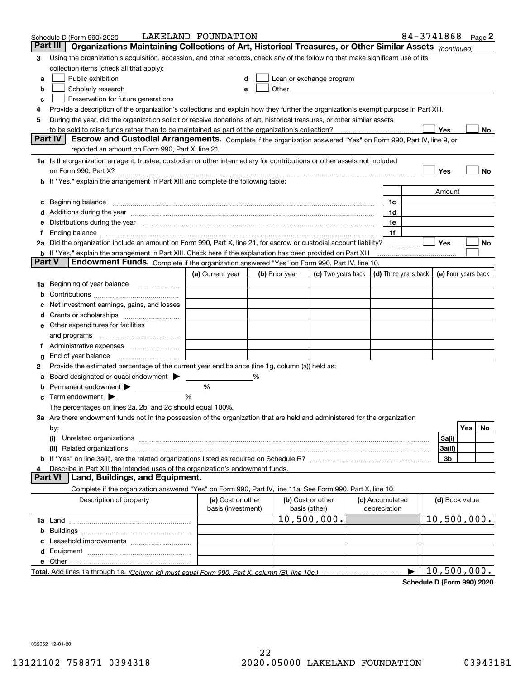|        | Schedule D (Form 990) 2020                                                                                                                                                                                                         | LAKELAND FOUNDATION                     |   |                |                                                                                                                                                                                                                               |  |                                 | 84-3741868 $_{Page}$ 2 |                     |     |    |
|--------|------------------------------------------------------------------------------------------------------------------------------------------------------------------------------------------------------------------------------------|-----------------------------------------|---|----------------|-------------------------------------------------------------------------------------------------------------------------------------------------------------------------------------------------------------------------------|--|---------------------------------|------------------------|---------------------|-----|----|
|        | Part III<br>Organizations Maintaining Collections of Art, Historical Treasures, or Other Similar Assets (continued)                                                                                                                |                                         |   |                |                                                                                                                                                                                                                               |  |                                 |                        |                     |     |    |
| 3      | Using the organization's acquisition, accession, and other records, check any of the following that make significant use of its                                                                                                    |                                         |   |                |                                                                                                                                                                                                                               |  |                                 |                        |                     |     |    |
|        | collection items (check all that apply):                                                                                                                                                                                           |                                         |   |                |                                                                                                                                                                                                                               |  |                                 |                        |                     |     |    |
| a      | Public exhibition                                                                                                                                                                                                                  |                                         |   |                | Loan or exchange program                                                                                                                                                                                                      |  |                                 |                        |                     |     |    |
| b      | Scholarly research                                                                                                                                                                                                                 |                                         |   |                | Other and the contract of the contract of the contract of the contract of the contract of the contract of the contract of the contract of the contract of the contract of the contract of the contract of the contract of the |  |                                 |                        |                     |     |    |
| с      | Preservation for future generations                                                                                                                                                                                                |                                         |   |                |                                                                                                                                                                                                                               |  |                                 |                        |                     |     |    |
| 4      | Provide a description of the organization's collections and explain how they further the organization's exempt purpose in Part XIII.                                                                                               |                                         |   |                |                                                                                                                                                                                                                               |  |                                 |                        |                     |     |    |
| 5      | During the year, did the organization solicit or receive donations of art, historical treasures, or other similar assets                                                                                                           |                                         |   |                |                                                                                                                                                                                                                               |  |                                 |                        |                     |     |    |
|        | to be sold to raise funds rather than to be maintained as part of the organization's collection?                                                                                                                                   |                                         |   |                |                                                                                                                                                                                                                               |  |                                 |                        | Yes                 |     | No |
|        | <b>Part IV</b><br>Escrow and Custodial Arrangements. Complete if the organization answered "Yes" on Form 990, Part IV, line 9, or                                                                                                  |                                         |   |                |                                                                                                                                                                                                                               |  |                                 |                        |                     |     |    |
|        | reported an amount on Form 990, Part X, line 21.                                                                                                                                                                                   |                                         |   |                |                                                                                                                                                                                                                               |  |                                 |                        |                     |     |    |
|        | 1a Is the organization an agent, trustee, custodian or other intermediary for contributions or other assets not included                                                                                                           |                                         |   |                |                                                                                                                                                                                                                               |  |                                 |                        |                     |     |    |
|        | on Form 990, Part X? [11] matter contracts and contracts and contracts are contracted as a form 990, Part X?                                                                                                                       |                                         |   |                |                                                                                                                                                                                                                               |  |                                 |                        | Yes                 |     | No |
|        | <b>b</b> If "Yes," explain the arrangement in Part XIII and complete the following table:                                                                                                                                          |                                         |   |                |                                                                                                                                                                                                                               |  |                                 |                        |                     |     |    |
|        |                                                                                                                                                                                                                                    |                                         |   |                |                                                                                                                                                                                                                               |  |                                 |                        | Amount              |     |    |
| c      | Beginning balance <u>manual membershare communication</u> and the set of the set of the set of the set of the set of the set of the set of the set of the set of the set of the set of the set of the set of the set of the set of |                                         |   |                |                                                                                                                                                                                                                               |  | 1c                              |                        |                     |     |    |
|        |                                                                                                                                                                                                                                    |                                         |   |                |                                                                                                                                                                                                                               |  | 1d                              |                        |                     |     |    |
|        | e Distributions during the year manufactured and contain an account of the state of the state of the state of                                                                                                                      |                                         |   |                |                                                                                                                                                                                                                               |  | 1e                              |                        |                     |     |    |
|        | 2a Did the organization include an amount on Form 990, Part X, line 21, for escrow or custodial account liability?                                                                                                                 |                                         |   |                |                                                                                                                                                                                                                               |  | 1f                              |                        | Yes                 |     |    |
|        | <b>b</b> If "Yes," explain the arrangement in Part XIII. Check here if the explanation has been provided on Part XIII                                                                                                              |                                         |   |                |                                                                                                                                                                                                                               |  |                                 | .                      |                     |     | No |
| Part V | Endowment Funds. Complete if the organization answered "Yes" on Form 990, Part IV, line 10.                                                                                                                                        |                                         |   |                |                                                                                                                                                                                                                               |  |                                 |                        |                     |     |    |
|        |                                                                                                                                                                                                                                    | (a) Current year                        |   | (b) Prior year | (c) Two years back $\vert$ (d) Three years back $\vert$                                                                                                                                                                       |  |                                 |                        | (e) Four years back |     |    |
|        | 1a Beginning of year balance                                                                                                                                                                                                       |                                         |   |                |                                                                                                                                                                                                                               |  |                                 |                        |                     |     |    |
| b      |                                                                                                                                                                                                                                    |                                         |   |                |                                                                                                                                                                                                                               |  |                                 |                        |                     |     |    |
|        | Net investment earnings, gains, and losses                                                                                                                                                                                         |                                         |   |                |                                                                                                                                                                                                                               |  |                                 |                        |                     |     |    |
|        |                                                                                                                                                                                                                                    |                                         |   |                |                                                                                                                                                                                                                               |  |                                 |                        |                     |     |    |
|        | e Other expenditures for facilities                                                                                                                                                                                                |                                         |   |                |                                                                                                                                                                                                                               |  |                                 |                        |                     |     |    |
|        |                                                                                                                                                                                                                                    |                                         |   |                |                                                                                                                                                                                                                               |  |                                 |                        |                     |     |    |
|        | f Administrative expenses                                                                                                                                                                                                          |                                         |   |                |                                                                                                                                                                                                                               |  |                                 |                        |                     |     |    |
| g      | End of year balance <i>manually contained</i>                                                                                                                                                                                      |                                         |   |                |                                                                                                                                                                                                                               |  |                                 |                        |                     |     |    |
| 2      | Provide the estimated percentage of the current year end balance (line 1g, column (a)) held as:                                                                                                                                    |                                         |   |                |                                                                                                                                                                                                                               |  |                                 |                        |                     |     |    |
| а      | Board designated or quasi-endowment                                                                                                                                                                                                |                                         | % |                |                                                                                                                                                                                                                               |  |                                 |                        |                     |     |    |
| b      | Permanent endowment >                                                                                                                                                                                                              | %                                       |   |                |                                                                                                                                                                                                                               |  |                                 |                        |                     |     |    |
| c      | Term endowment $\blacktriangleright$                                                                                                                                                                                               | %                                       |   |                |                                                                                                                                                                                                                               |  |                                 |                        |                     |     |    |
|        | The percentages on lines 2a, 2b, and 2c should equal 100%.                                                                                                                                                                         |                                         |   |                |                                                                                                                                                                                                                               |  |                                 |                        |                     |     |    |
|        | 3a Are there endowment funds not in the possession of the organization that are held and administered for the organization                                                                                                         |                                         |   |                |                                                                                                                                                                                                                               |  |                                 |                        |                     |     |    |
|        | by:                                                                                                                                                                                                                                |                                         |   |                |                                                                                                                                                                                                                               |  |                                 |                        |                     | Yes | No |
|        | (i)                                                                                                                                                                                                                                |                                         |   |                |                                                                                                                                                                                                                               |  |                                 |                        | 3a(i)               |     |    |
|        |                                                                                                                                                                                                                                    |                                         |   |                |                                                                                                                                                                                                                               |  |                                 |                        | 3a(ii)              |     |    |
|        |                                                                                                                                                                                                                                    |                                         |   |                |                                                                                                                                                                                                                               |  |                                 |                        | 3b                  |     |    |
|        | Describe in Part XIII the intended uses of the organization's endowment funds.                                                                                                                                                     |                                         |   |                |                                                                                                                                                                                                                               |  |                                 |                        |                     |     |    |
|        | Land, Buildings, and Equipment.<br><b>Part VI</b>                                                                                                                                                                                  |                                         |   |                |                                                                                                                                                                                                                               |  |                                 |                        |                     |     |    |
|        | Complete if the organization answered "Yes" on Form 990, Part IV, line 11a. See Form 990, Part X, line 10.                                                                                                                         |                                         |   |                |                                                                                                                                                                                                                               |  |                                 |                        |                     |     |    |
|        | Description of property                                                                                                                                                                                                            | (a) Cost or other<br>basis (investment) |   |                | (b) Cost or other<br>basis (other)                                                                                                                                                                                            |  | (c) Accumulated<br>depreciation |                        | (d) Book value      |     |    |
|        |                                                                                                                                                                                                                                    |                                         |   |                | 10,500,000.                                                                                                                                                                                                                   |  |                                 |                        | 10,500,000.         |     |    |
| b      |                                                                                                                                                                                                                                    |                                         |   |                |                                                                                                                                                                                                                               |  |                                 |                        |                     |     |    |
|        |                                                                                                                                                                                                                                    |                                         |   |                |                                                                                                                                                                                                                               |  |                                 |                        |                     |     |    |
|        |                                                                                                                                                                                                                                    |                                         |   |                |                                                                                                                                                                                                                               |  |                                 |                        |                     |     |    |
|        |                                                                                                                                                                                                                                    |                                         |   |                |                                                                                                                                                                                                                               |  |                                 |                        |                     |     |    |
|        |                                                                                                                                                                                                                                    |                                         |   |                |                                                                                                                                                                                                                               |  |                                 |                        | 10,500,000.         |     |    |

**Schedule D (Form 990) 2020**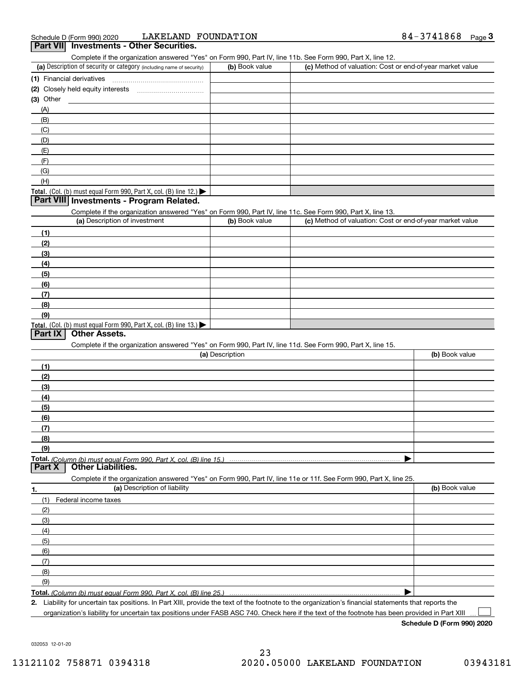| Schedule D (Form 990) 2020 | LAKELAND FOUNDATI |  |
|----------------------------|-------------------|--|
|                            |                   |  |

| LAKELAND FOUNDATION<br>Schedule D (Form 990) 2020                                                                                           |                 |                                                           | 84-3741868<br>$Page$ 3 |
|---------------------------------------------------------------------------------------------------------------------------------------------|-----------------|-----------------------------------------------------------|------------------------|
| Part VII Investments - Other Securities.                                                                                                    |                 |                                                           |                        |
| Complete if the organization answered "Yes" on Form 990, Part IV, line 11b. See Form 990, Part X, line 12.                                  |                 |                                                           |                        |
| (a) Description of security or category (including name of security)                                                                        | (b) Book value  | (c) Method of valuation: Cost or end-of-year market value |                        |
| (1) Financial derivatives                                                                                                                   |                 |                                                           |                        |
|                                                                                                                                             |                 |                                                           |                        |
| (3) Other                                                                                                                                   |                 |                                                           |                        |
| (A)                                                                                                                                         |                 |                                                           |                        |
| (B)                                                                                                                                         |                 |                                                           |                        |
| (C)                                                                                                                                         |                 |                                                           |                        |
| (D)                                                                                                                                         |                 |                                                           |                        |
| (E)                                                                                                                                         |                 |                                                           |                        |
| (F)                                                                                                                                         |                 |                                                           |                        |
| (G)                                                                                                                                         |                 |                                                           |                        |
| (H)                                                                                                                                         |                 |                                                           |                        |
| Total. (Col. (b) must equal Form 990, Part X, col. (B) line 12.)<br>Part VIII Investments - Program Related.                                |                 |                                                           |                        |
|                                                                                                                                             |                 |                                                           |                        |
| Complete if the organization answered "Yes" on Form 990, Part IV, line 11c. See Form 990, Part X, line 13.<br>(a) Description of investment | (b) Book value  | (c) Method of valuation: Cost or end-of-year market value |                        |
|                                                                                                                                             |                 |                                                           |                        |
| (1)                                                                                                                                         |                 |                                                           |                        |
| (2)                                                                                                                                         |                 |                                                           |                        |
| (3)                                                                                                                                         |                 |                                                           |                        |
| (4)                                                                                                                                         |                 |                                                           |                        |
| (5)                                                                                                                                         |                 |                                                           |                        |
| (6)                                                                                                                                         |                 |                                                           |                        |
| (7)                                                                                                                                         |                 |                                                           |                        |
| (8)                                                                                                                                         |                 |                                                           |                        |
| (9)                                                                                                                                         |                 |                                                           |                        |
| Total. (Col. (b) must equal Form 990, Part X, col. (B) line $13.$ )<br>Other Assets.<br>Part IX                                             |                 |                                                           |                        |
| Complete if the organization answered "Yes" on Form 990, Part IV, line 11d. See Form 990, Part X, line 15.                                  |                 |                                                           |                        |
|                                                                                                                                             | (a) Description |                                                           | (b) Book value         |
| (1)                                                                                                                                         |                 |                                                           |                        |
| (2)                                                                                                                                         |                 |                                                           |                        |
| (3)                                                                                                                                         |                 |                                                           |                        |
| (4)                                                                                                                                         |                 |                                                           |                        |
| (5)                                                                                                                                         |                 |                                                           |                        |
| (6)                                                                                                                                         |                 |                                                           |                        |
| (7)                                                                                                                                         |                 |                                                           |                        |
| (8)                                                                                                                                         |                 |                                                           |                        |
| (9)                                                                                                                                         |                 |                                                           |                        |
| Total. (Column (b) must equal Form 990. Part X, col. (B) line 15.)                                                                          |                 |                                                           |                        |
| <b>Other Liabilities.</b><br>Part X                                                                                                         |                 |                                                           |                        |
| Complete if the organization answered "Yes" on Form 990, Part IV, line 11e or 11f. See Form 990, Part X, line 25.                           |                 |                                                           |                        |
| (a) Description of liability<br>1.                                                                                                          |                 |                                                           | (b) Book value         |
| (1)<br>Federal income taxes                                                                                                                 |                 |                                                           |                        |
| (2)                                                                                                                                         |                 |                                                           |                        |
| (3)                                                                                                                                         |                 |                                                           |                        |
| (4)                                                                                                                                         |                 |                                                           |                        |
| (5)                                                                                                                                         |                 |                                                           |                        |
| (6)                                                                                                                                         |                 |                                                           |                        |
| (7)                                                                                                                                         |                 |                                                           |                        |
| (8)                                                                                                                                         |                 |                                                           |                        |
| (9)                                                                                                                                         |                 |                                                           |                        |
| Total. (Column (b) must equal Form 990. Part X, col. (B) line 25.                                                                           |                 |                                                           |                        |
|                                                                                                                                             |                 |                                                           |                        |

**2.** Liability for uncertain tax positions. In Part XIII, provide the text of the footnote to the organization's financial statements that reports the organization's liability for uncertain tax positions under FASB ASC 740. Check here if the text of the footnote has been provided in Part XIII

**Schedule D (Form 990) 2020**

032053 12-01-20

 $\mathcal{L}^{\text{max}}$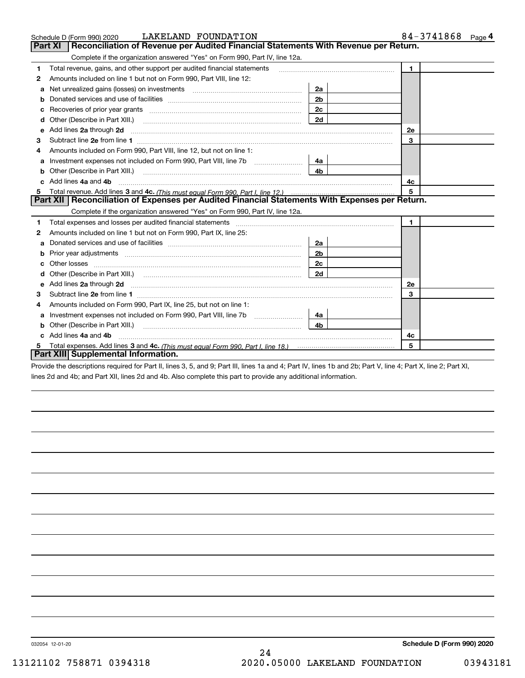|   | LAKELAND FOUNDATION<br>Schedule D (Form 990) 2020                                                                                                                                                                                    | 84-3741868 Page 4 |              |
|---|--------------------------------------------------------------------------------------------------------------------------------------------------------------------------------------------------------------------------------------|-------------------|--------------|
|   | Reconciliation of Revenue per Audited Financial Statements With Revenue per Return.<br><b>Part XI</b>                                                                                                                                |                   |              |
|   | Complete if the organization answered "Yes" on Form 990, Part IV, line 12a.                                                                                                                                                          |                   |              |
| 1 | Total revenue, gains, and other support per audited financial statements                                                                                                                                                             |                   | $\mathbf{1}$ |
| 2 | Amounts included on line 1 but not on Form 990, Part VIII, line 12:                                                                                                                                                                  |                   |              |
| a |                                                                                                                                                                                                                                      | 2a                |              |
| b |                                                                                                                                                                                                                                      | 2 <sub>b</sub>    |              |
| с |                                                                                                                                                                                                                                      | 2 <sub>c</sub>    |              |
| d | Other (Describe in Part XIII.)                                                                                                                                                                                                       | 2d                |              |
| е | Add lines 2a through 2d                                                                                                                                                                                                              |                   | <b>2e</b>    |
| з |                                                                                                                                                                                                                                      |                   | 3            |
|   | Amounts included on Form 990, Part VIII, line 12, but not on line 1:                                                                                                                                                                 |                   |              |
| a |                                                                                                                                                                                                                                      | 4a                |              |
| b | Other (Describe in Part XIII.)                                                                                                                                                                                                       | 4 <sub>b</sub>    |              |
|   | Add lines 4a and 4b                                                                                                                                                                                                                  | 4c                |              |
| 5 |                                                                                                                                                                                                                                      | 5                 |              |
|   | Part XII   Reconciliation of Expenses per Audited Financial Statements With Expenses per Return.                                                                                                                                     |                   |              |
|   | Complete if the organization answered "Yes" on Form 990, Part IV, line 12a.                                                                                                                                                          |                   |              |
| 1 |                                                                                                                                                                                                                                      |                   | $\mathbf{1}$ |
| 2 | Amounts included on line 1 but not on Form 990, Part IX, line 25:                                                                                                                                                                    |                   |              |
| a |                                                                                                                                                                                                                                      | 2a                |              |
| b |                                                                                                                                                                                                                                      | 2b                |              |
| C | Other losses <b>with a contract the contract of the contract of the contract of the contract of the contract of the contract of the contract of the contract of the contract of the contract of the contract of the contract of </b> | 2c                |              |
|   |                                                                                                                                                                                                                                      | 2d                |              |
| е | Add lines 2a through 2d <b>contract and all anomalisation</b> and all and all anomalisation of the state of the state of the state of the state of the state of the state of the state of the state of the state of the state of th  |                   | <b>2e</b>    |
| 3 |                                                                                                                                                                                                                                      |                   | 3            |
| 4 | Amounts included on Form 990, Part IX, line 25, but not on line 1:                                                                                                                                                                   |                   |              |
| a |                                                                                                                                                                                                                                      | 4a                |              |
| b |                                                                                                                                                                                                                                      | 4b.               |              |
|   | c Add lines 4a and 4b                                                                                                                                                                                                                |                   | 4c           |
|   |                                                                                                                                                                                                                                      |                   | 5            |
|   | Part XIII Supplemental Information.                                                                                                                                                                                                  |                   |              |

Provide the descriptions required for Part II, lines 3, 5, and 9; Part III, lines 1a and 4; Part IV, lines 1b and 2b; Part V, line 4; Part X, line 2; Part XI, lines 2d and 4b; and Part XII, lines 2d and 4b. Also complete this part to provide any additional information.

032054 12-01-20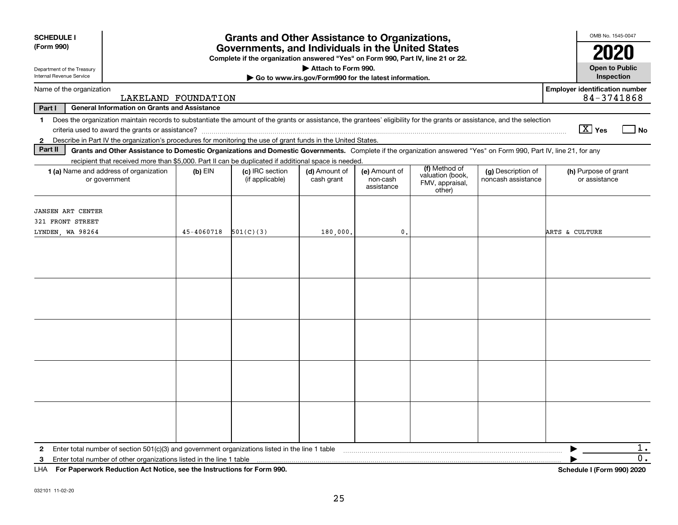| <b>SCHEDULE I</b><br>(Form 990)                                            | <b>Grants and Other Assistance to Organizations,</b><br>Governments, and Individuals in the United States<br>Complete if the organization answered "Yes" on Form 990, Part IV, line 21 or 22. |            |                                                                                                                                                                                                                                                                           |                                                       |                                         |                                                                |                                          |                                                     |
|----------------------------------------------------------------------------|-----------------------------------------------------------------------------------------------------------------------------------------------------------------------------------------------|------------|---------------------------------------------------------------------------------------------------------------------------------------------------------------------------------------------------------------------------------------------------------------------------|-------------------------------------------------------|-----------------------------------------|----------------------------------------------------------------|------------------------------------------|-----------------------------------------------------|
| Department of the Treasury                                                 |                                                                                                                                                                                               |            |                                                                                                                                                                                                                                                                           | Attach to Form 990.                                   |                                         |                                                                |                                          | 2020<br><b>Open to Public</b>                       |
| Internal Revenue Service                                                   |                                                                                                                                                                                               |            |                                                                                                                                                                                                                                                                           | Go to www.irs.gov/Form990 for the latest information. |                                         |                                                                |                                          | Inspection                                          |
| Name of the organization                                                   | LAKELAND FOUNDATION                                                                                                                                                                           |            |                                                                                                                                                                                                                                                                           |                                                       |                                         |                                                                |                                          | <b>Employer identification number</b><br>84-3741868 |
| Part I                                                                     | <b>General Information on Grants and Assistance</b>                                                                                                                                           |            |                                                                                                                                                                                                                                                                           |                                                       |                                         |                                                                |                                          |                                                     |
| $\mathbf 1$                                                                |                                                                                                                                                                                               |            | Does the organization maintain records to substantiate the amount of the grants or assistance, the grantees' eligibility for the grants or assistance, and the selection                                                                                                  |                                                       |                                         |                                                                |                                          | $\boxed{\text{X}}$ Yes<br>  No                      |
| $\mathbf{2}$<br>Part II                                                    |                                                                                                                                                                                               |            | Describe in Part IV the organization's procedures for monitoring the use of grant funds in the United States.                                                                                                                                                             |                                                       |                                         |                                                                |                                          |                                                     |
|                                                                            |                                                                                                                                                                                               |            | Grants and Other Assistance to Domestic Organizations and Domestic Governments. Complete if the organization answered "Yes" on Form 990, Part IV, line 21, for any<br>recipient that received more than \$5,000. Part II can be duplicated if additional space is needed. |                                                       |                                         |                                                                |                                          |                                                     |
| 1 (a) Name and address of organization<br>or government                    |                                                                                                                                                                                               | $(b)$ EIN  | (c) IRC section<br>(if applicable)                                                                                                                                                                                                                                        | (d) Amount of<br>cash grant                           | (e) Amount of<br>non-cash<br>assistance | (f) Method of<br>valuation (book,<br>FMV, appraisal,<br>other) | (g) Description of<br>noncash assistance | (h) Purpose of grant<br>or assistance               |
| <b>JANSEN ART CENTER</b><br>321 FRONT STREET                               |                                                                                                                                                                                               |            |                                                                                                                                                                                                                                                                           |                                                       |                                         |                                                                |                                          |                                                     |
| LYNDEN, WA 98264                                                           |                                                                                                                                                                                               | 45-4060718 | 501(C)(3)                                                                                                                                                                                                                                                                 | 180,000.                                              | $\mathbf{0}$                            |                                                                |                                          | <b>ARTS &amp; CULTURE</b>                           |
|                                                                            |                                                                                                                                                                                               |            |                                                                                                                                                                                                                                                                           |                                                       |                                         |                                                                |                                          |                                                     |
|                                                                            |                                                                                                                                                                                               |            |                                                                                                                                                                                                                                                                           |                                                       |                                         |                                                                |                                          |                                                     |
|                                                                            |                                                                                                                                                                                               |            |                                                                                                                                                                                                                                                                           |                                                       |                                         |                                                                |                                          |                                                     |
|                                                                            |                                                                                                                                                                                               |            |                                                                                                                                                                                                                                                                           |                                                       |                                         |                                                                |                                          |                                                     |
|                                                                            |                                                                                                                                                                                               |            |                                                                                                                                                                                                                                                                           |                                                       |                                         |                                                                |                                          |                                                     |
| $\mathbf{2}$                                                               |                                                                                                                                                                                               |            | Enter total number of section $501(c)(3)$ and government organizations listed in the line 1 table                                                                                                                                                                         |                                                       |                                         |                                                                |                                          | $1$ .                                               |
| 3                                                                          | Enter total number of other organizations listed in the line 1 table                                                                                                                          |            |                                                                                                                                                                                                                                                                           |                                                       |                                         |                                                                |                                          | 0.                                                  |
| LHA For Paperwork Reduction Act Notice, see the Instructions for Form 990. |                                                                                                                                                                                               |            |                                                                                                                                                                                                                                                                           |                                                       |                                         |                                                                |                                          | Schedule I (Form 990) 2020                          |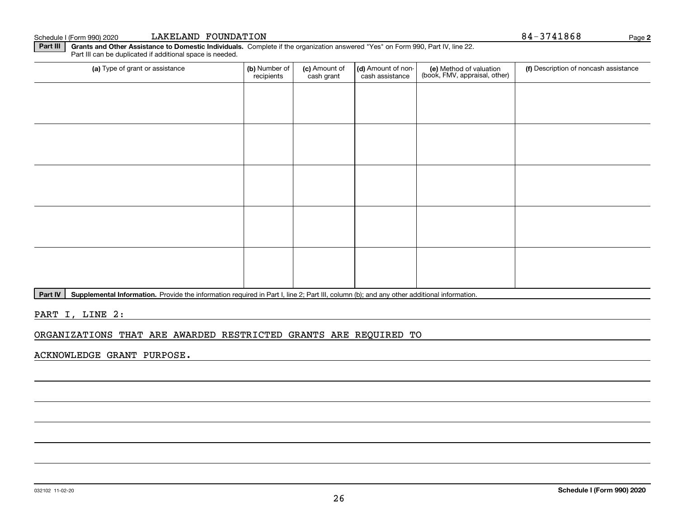### **Part III | Grants and Other Assistance to Domestic Individuals. Complete if the organization answered "Yes" on Form 990, Part IV, line 22.**

(a) Type of grant or assistance **(b)** Number of **(c)** Amount of **(d)** Amount of non-**(e)** Method of valuation (f)<br>cash are continuous cash are cash assistance (book, FMV, appraisal, other) Part III can be duplicated if additional space is needed. (a) Type of grant or assistance (b) Number of recipients(c) Amount of cash grant (d) Amount of noncash assistance (f) Description of noncash assistance

Part IV | Supplemental Information. Provide the information required in Part I, line 2; Part III, column (b); and any other additional information.

PART I, LINE 2:

ORGANIZATIONS THAT ARE AWARDED RESTRICTED GRANTS ARE REQUIRED TO

ACKNOWLEDGE GRANT PURPOSE.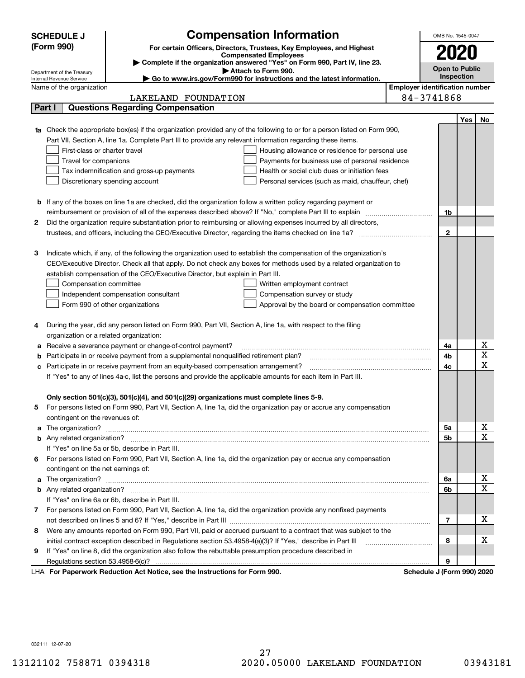| <b>Compensation Information</b><br><b>SCHEDULE J</b> |                                                                          |                                                                                                                                  | OMB No. 1545-0047                     |                            |                   |                         |  |
|------------------------------------------------------|--------------------------------------------------------------------------|----------------------------------------------------------------------------------------------------------------------------------|---------------------------------------|----------------------------|-------------------|-------------------------|--|
|                                                      | (Form 990)                                                               | For certain Officers, Directors, Trustees, Key Employees, and Highest                                                            |                                       | 2020                       |                   |                         |  |
|                                                      |                                                                          | <b>Compensated Employees</b>                                                                                                     |                                       |                            |                   |                         |  |
|                                                      |                                                                          | Complete if the organization answered "Yes" on Form 990, Part IV, line 23.<br>Attach to Form 990.                                |                                       | <b>Open to Public</b>      |                   |                         |  |
|                                                      | Department of the Treasury<br>Internal Revenue Service                   | ► Go to www.irs.gov/Form990 for instructions and the latest information.                                                         |                                       |                            | <b>Inspection</b> |                         |  |
|                                                      | Name of the organization                                                 |                                                                                                                                  | <b>Employer identification number</b> |                            |                   |                         |  |
|                                                      |                                                                          | LAKELAND FOUNDATION                                                                                                              |                                       | 84-3741868                 |                   |                         |  |
| Part I                                               |                                                                          | <b>Questions Regarding Compensation</b>                                                                                          |                                       |                            |                   |                         |  |
|                                                      |                                                                          |                                                                                                                                  |                                       |                            | Yes               | No                      |  |
|                                                      |                                                                          | <b>1a</b> Check the appropriate box(es) if the organization provided any of the following to or for a person listed on Form 990, |                                       |                            |                   |                         |  |
|                                                      |                                                                          | Part VII, Section A, line 1a. Complete Part III to provide any relevant information regarding these items.                       |                                       |                            |                   |                         |  |
|                                                      | First-class or charter travel                                            | Housing allowance or residence for personal use                                                                                  |                                       |                            |                   |                         |  |
|                                                      | Travel for companions<br>Payments for business use of personal residence |                                                                                                                                  |                                       |                            |                   |                         |  |
|                                                      |                                                                          | Tax indemnification and gross-up payments<br>Health or social club dues or initiation fees                                       |                                       |                            |                   |                         |  |
|                                                      |                                                                          | Discretionary spending account<br>Personal services (such as maid, chauffeur, chef)                                              |                                       |                            |                   |                         |  |
|                                                      |                                                                          |                                                                                                                                  |                                       |                            |                   |                         |  |
|                                                      |                                                                          | <b>b</b> If any of the boxes on line 1a are checked, did the organization follow a written policy regarding payment or           |                                       |                            |                   |                         |  |
|                                                      |                                                                          |                                                                                                                                  |                                       | 1b                         |                   |                         |  |
| 2                                                    |                                                                          | Did the organization require substantiation prior to reimbursing or allowing expenses incurred by all directors,                 |                                       |                            |                   |                         |  |
|                                                      |                                                                          |                                                                                                                                  |                                       | $\mathbf{2}$               |                   |                         |  |
|                                                      |                                                                          |                                                                                                                                  |                                       |                            |                   |                         |  |
| З                                                    |                                                                          | Indicate which, if any, of the following the organization used to establish the compensation of the organization's               |                                       |                            |                   |                         |  |
|                                                      |                                                                          | CEO/Executive Director. Check all that apply. Do not check any boxes for methods used by a related organization to               |                                       |                            |                   |                         |  |
|                                                      |                                                                          | establish compensation of the CEO/Executive Director, but explain in Part III.                                                   |                                       |                            |                   |                         |  |
|                                                      | Compensation committee                                                   | Written employment contract                                                                                                      |                                       |                            |                   |                         |  |
|                                                      |                                                                          | Compensation survey or study<br>Independent compensation consultant                                                              |                                       |                            |                   |                         |  |
|                                                      |                                                                          | Form 990 of other organizations<br>Approval by the board or compensation committee                                               |                                       |                            |                   |                         |  |
| 4                                                    |                                                                          | During the year, did any person listed on Form 990, Part VII, Section A, line 1a, with respect to the filing                     |                                       |                            |                   |                         |  |
|                                                      | organization or a related organization:                                  |                                                                                                                                  |                                       |                            |                   |                         |  |
| а                                                    |                                                                          | Receive a severance payment or change-of-control payment?                                                                        |                                       | 4a                         |                   | х                       |  |
| b                                                    |                                                                          | Participate in or receive payment from a supplemental nonqualified retirement plan?                                              |                                       | 4b                         |                   | $\overline{\textbf{X}}$ |  |
| с                                                    |                                                                          | Participate in or receive payment from an equity-based compensation arrangement?                                                 |                                       | 4c                         |                   | $\mathbf X$             |  |
|                                                      |                                                                          | If "Yes" to any of lines 4a-c, list the persons and provide the applicable amounts for each item in Part III.                    |                                       |                            |                   |                         |  |
|                                                      |                                                                          |                                                                                                                                  |                                       |                            |                   |                         |  |
|                                                      |                                                                          | Only section 501(c)(3), 501(c)(4), and 501(c)(29) organizations must complete lines 5-9.                                         |                                       |                            |                   |                         |  |
|                                                      |                                                                          | For persons listed on Form 990, Part VII, Section A, line 1a, did the organization pay or accrue any compensation                |                                       |                            |                   |                         |  |
|                                                      | contingent on the revenues of:                                           |                                                                                                                                  |                                       |                            |                   |                         |  |
|                                                      |                                                                          |                                                                                                                                  |                                       | 5a                         |                   | x                       |  |
|                                                      |                                                                          |                                                                                                                                  |                                       | 5b                         |                   | $\overline{\mathbf{x}}$ |  |
|                                                      |                                                                          | If "Yes" on line 5a or 5b, describe in Part III.                                                                                 |                                       |                            |                   |                         |  |
|                                                      |                                                                          | 6 For persons listed on Form 990, Part VII, Section A, line 1a, did the organization pay or accrue any compensation              |                                       |                            |                   |                         |  |
|                                                      | contingent on the net earnings of:                                       |                                                                                                                                  |                                       |                            |                   |                         |  |
|                                                      |                                                                          |                                                                                                                                  |                                       | 6a                         |                   | х                       |  |
|                                                      |                                                                          |                                                                                                                                  |                                       | 6b                         |                   | $\mathbf x$             |  |
|                                                      |                                                                          | If "Yes" on line 6a or 6b, describe in Part III.                                                                                 |                                       |                            |                   |                         |  |
|                                                      |                                                                          | 7 For persons listed on Form 990, Part VII, Section A, line 1a, did the organization provide any nonfixed payments               |                                       |                            |                   |                         |  |
|                                                      |                                                                          |                                                                                                                                  |                                       | $\overline{7}$             |                   | х                       |  |
|                                                      |                                                                          | 8 Were any amounts reported on Form 990, Part VII, paid or accrued pursuant to a contract that was subject to the                |                                       |                            |                   |                         |  |
|                                                      |                                                                          | initial contract exception described in Regulations section 53.4958-4(a)(3)? If "Yes," describe in Part III                      |                                       | 8                          |                   | х                       |  |
| 9                                                    |                                                                          | If "Yes" on line 8, did the organization also follow the rebuttable presumption procedure described in                           |                                       |                            |                   |                         |  |
|                                                      |                                                                          |                                                                                                                                  |                                       | 9                          |                   |                         |  |
|                                                      |                                                                          | LHA For Paperwork Reduction Act Notice, see the Instructions for Form 990.                                                       |                                       | Schedule J (Form 990) 2020 |                   |                         |  |

032111 12-07-20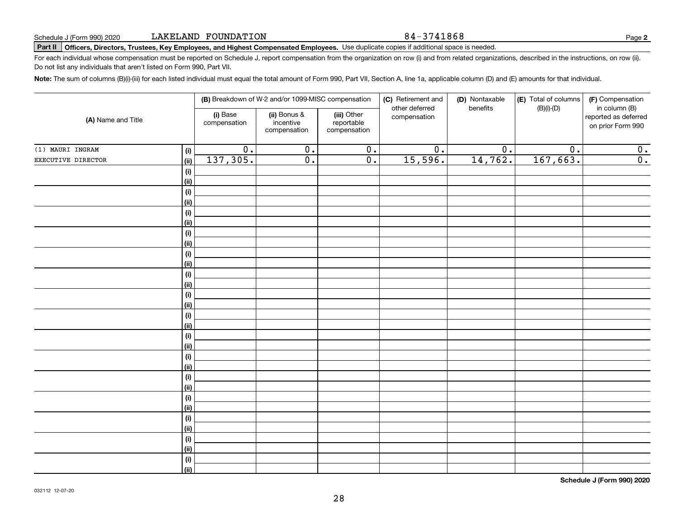#### 84-3741868

# **Part II Officers, Directors, Trustees, Key Employees, and Highest Compensated Employees.**  Schedule J (Form 990) 2020 Page Use duplicate copies if additional space is needed.

For each individual whose compensation must be reported on Schedule J, report compensation from the organization on row (i) and from related organizations, described in the instructions, on row (ii). Do not list any individuals that aren't listed on Form 990, Part VII.

**Note:**  The sum of columns (B)(i)-(iii) for each listed individual must equal the total amount of Form 990, Part VII, Section A, line 1a, applicable column (D) and (E) amounts for that individual.

|                    |                              |                          | (B) Breakdown of W-2 and/or 1099-MISC compensation |                                           | (C) Retirement and             | (D) Nontaxable   | (E) Total of columns | (F) Compensation                                           |
|--------------------|------------------------------|--------------------------|----------------------------------------------------|-------------------------------------------|--------------------------------|------------------|----------------------|------------------------------------------------------------|
| (A) Name and Title |                              | (i) Base<br>compensation | (ii) Bonus &<br>incentive<br>compensation          | (iii) Other<br>reportable<br>compensation | other deferred<br>compensation | benefits         | $(B)(i)-(D)$         | in column (B)<br>reported as deferred<br>on prior Form 990 |
| (1) MAURI INGRAM   | (i)                          | $\overline{0}$ .         | $\overline{0}$ .                                   | $\overline{0}$ .                          | $\overline{0}$ .               | $\overline{0}$ . | $\overline{0}$ .     | 0.                                                         |
| EXECUTIVE DIRECTOR | (ii)                         | 137,305.                 | $\overline{0}$ .                                   | $\overline{0}$ .                          | 15,596.                        | 14,762.          | 167,663.             | $\overline{0}$ .                                           |
|                    | $(\sf{i})$                   |                          |                                                    |                                           |                                |                  |                      |                                                            |
|                    | (ii)                         |                          |                                                    |                                           |                                |                  |                      |                                                            |
|                    | (i)                          |                          |                                                    |                                           |                                |                  |                      |                                                            |
|                    | (ii)                         |                          |                                                    |                                           |                                |                  |                      |                                                            |
|                    | (i)                          |                          |                                                    |                                           |                                |                  |                      |                                                            |
|                    | (ii)                         |                          |                                                    |                                           |                                |                  |                      |                                                            |
|                    | (i)                          |                          |                                                    |                                           |                                |                  |                      |                                                            |
|                    | (ii)                         |                          |                                                    |                                           |                                |                  |                      |                                                            |
|                    | (i)                          |                          |                                                    |                                           |                                |                  |                      |                                                            |
|                    | (ii)                         |                          |                                                    |                                           |                                |                  |                      |                                                            |
|                    | (i)                          |                          |                                                    |                                           |                                |                  |                      |                                                            |
|                    | (ii)                         |                          |                                                    |                                           |                                |                  |                      |                                                            |
|                    | $\qquad \qquad \textbf{(i)}$ |                          |                                                    |                                           |                                |                  |                      |                                                            |
|                    | (ii)                         |                          |                                                    |                                           |                                |                  |                      |                                                            |
|                    | (i)                          |                          |                                                    |                                           |                                |                  |                      |                                                            |
|                    | (ii)                         |                          |                                                    |                                           |                                |                  |                      |                                                            |
|                    | (i)<br>(ii)                  |                          |                                                    |                                           |                                |                  |                      |                                                            |
|                    | (i)                          |                          |                                                    |                                           |                                |                  |                      |                                                            |
|                    | (ii)                         |                          |                                                    |                                           |                                |                  |                      |                                                            |
|                    | (i)                          |                          |                                                    |                                           |                                |                  |                      |                                                            |
|                    | (ii)                         |                          |                                                    |                                           |                                |                  |                      |                                                            |
|                    | (i)                          |                          |                                                    |                                           |                                |                  |                      |                                                            |
|                    | (ii)                         |                          |                                                    |                                           |                                |                  |                      |                                                            |
|                    | (i)                          |                          |                                                    |                                           |                                |                  |                      |                                                            |
|                    | (ii)                         |                          |                                                    |                                           |                                |                  |                      |                                                            |
|                    | (i)                          |                          |                                                    |                                           |                                |                  |                      |                                                            |
|                    | (ii)                         |                          |                                                    |                                           |                                |                  |                      |                                                            |
|                    | (i)                          |                          |                                                    |                                           |                                |                  |                      |                                                            |
|                    | (ii)                         |                          |                                                    |                                           |                                |                  |                      |                                                            |

**Schedule J (Form 990) 2020**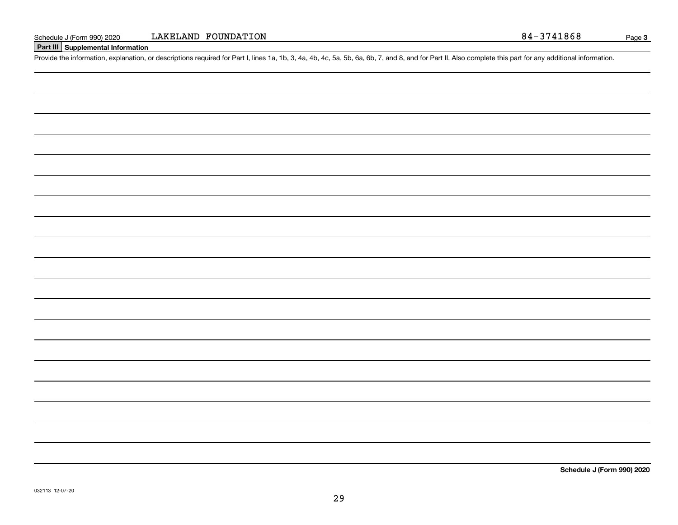### **Part III Supplemental Information**

Schedule J (Form 990) 2020 LAKELAND FOUNDATION<br>Part III Supplemental Information<br>Provide the information, explanation, or descriptions required for Part I, lines 1a, 1b, 3, 4a, 4b, 4c, 5a, 5b, 6a, 6b, 7, and 8, and for Pa

**Schedule J (Form 990) 2020**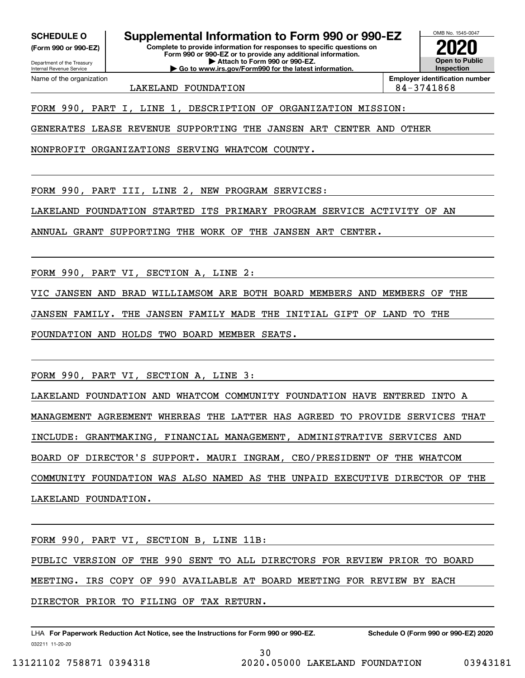**(Form 990 or 990-EZ)**

Department of the Treasury Internal Revenue Service Name of the organization

**SCHEDULE O Supplemental Information to Form 990 or 990-EZ**

**Complete to provide information for responses to specific questions on Form 990 or 990-EZ or to provide any additional information. | Attach to Form 990 or 990-EZ. | Go to www.irs.gov/Form990 for the latest information.**



LAKELAND FOUNDATION  $\begin{array}{|c|c|c|c|c|c|c|c|c|} \hline \text{LAKELAND} & \text{FOUNDATION} \hline \end{array}$ 

**Employer identification number**

FORM 990, PART I, LINE 1, DESCRIPTION OF ORGANIZATION MISSION:

GENERATES LEASE REVENUE SUPPORTING THE JANSEN ART CENTER AND OTHER

NONPROFIT ORGANIZATIONS SERVING WHATCOM COUNTY.

FORM 990, PART III, LINE 2, NEW PROGRAM SERVICES:

LAKELAND FOUNDATION STARTED ITS PRIMARY PROGRAM SERVICE ACTIVITY OF AN

ANNUAL GRANT SUPPORTING THE WORK OF THE JANSEN ART CENTER.

FORM 990, PART VI, SECTION A, LINE 2:

VIC JANSEN AND BRAD WILLIAMSOM ARE BOTH BOARD MEMBERS AND MEMBERS OF THE

JANSEN FAMILY. THE JANSEN FAMILY MADE THE INITIAL GIFT OF LAND TO THE

FOUNDATION AND HOLDS TWO BOARD MEMBER SEATS.

FORM 990, PART VI, SECTION A, LINE 3:

LAKELAND FOUNDATION AND WHATCOM COMMUNITY FOUNDATION HAVE ENTERED INTO A MANAGEMENT AGREEMENT WHEREAS THE LATTER HAS AGREED TO PROVIDE SERVICES THAT INCLUDE: GRANTMAKING, FINANCIAL MANAGEMENT, ADMINISTRATIVE SERVICES AND BOARD OF DIRECTOR'S SUPPORT. MAURI INGRAM, CEO/PRESIDENT OF THE WHATCOM COMMUNITY FOUNDATION WAS ALSO NAMED AS THE UNPAID EXECUTIVE DIRECTOR OF THE LAKELAND FOUNDATION.

FORM 990, PART VI, SECTION B, LINE 11B: PUBLIC VERSION OF THE 990 SENT TO ALL DIRECTORS FOR REVIEW PRIOR TO BOARD MEETING. IRS COPY OF 990 AVAILABLE AT BOARD MEETING FOR REVIEW BY EACH DIRECTOR PRIOR TO FILING OF TAX RETURN.

30

032211 11-20-20 LHA For Paperwork Reduction Act Notice, see the Instructions for Form 990 or 990-EZ. Schedule O (Form 990 or 990-EZ) 2020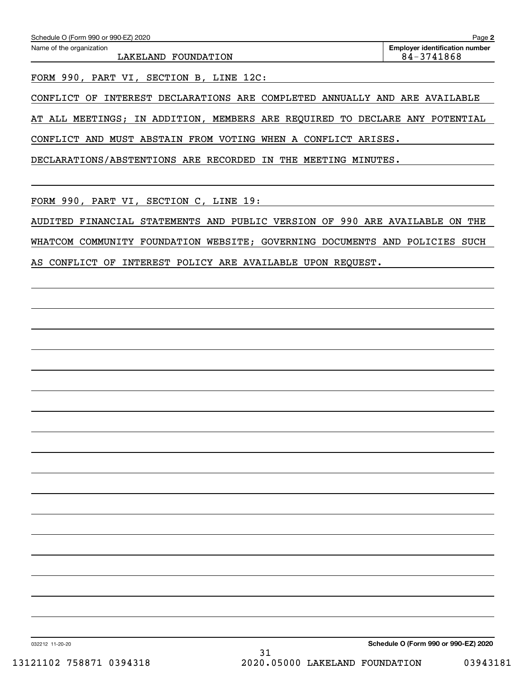FORM 990, PART VI, SECTION B, LINE 12C:

CONFLICT OF INTEREST DECLARATIONS ARE COMPLETED ANNUALLY AND ARE AVAILABLE

AT ALL MEETINGS; IN ADDITION, MEMBERS ARE REQUIRED TO DECLARE ANY POTENTIAL

CONFLICT AND MUST ABSTAIN FROM VOTING WHEN A CONFLICT ARISES.

DECLARATIONS/ABSTENTIONS ARE RECORDED IN THE MEETING MINUTES.

FORM 990, PART VI, SECTION C, LINE 19:

AUDITED FINANCIAL STATEMENTS AND PUBLIC VERSION OF 990 ARE AVAILABLE ON THE WHATCOM COMMUNITY FOUNDATION WEBSITE; GOVERNING DOCUMENTS AND POLICIES SUCH AS CONFLICT OF INTEREST POLICY ARE AVAILABLE UPON REQUEST.

032212 11-20-20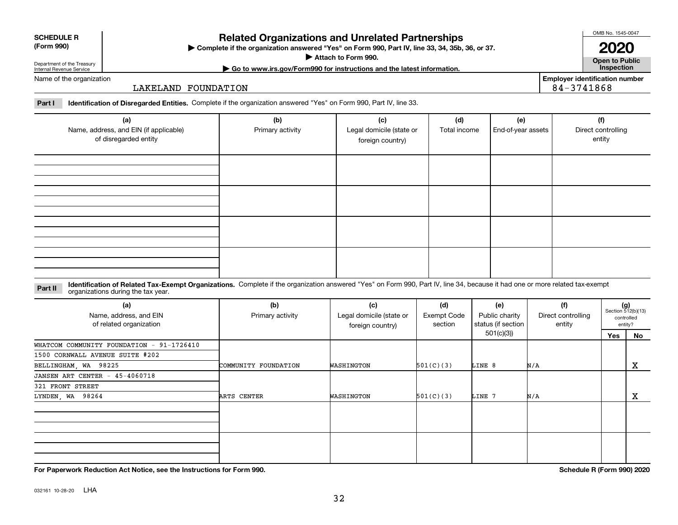### **Related Organizations and Unrelated Partnerships**

**Complete if the organization answered "Yes" on Form 990, Part IV, line 33, 34, 35b, 36, or 37.** |

**Attach to Form 990.**  |

Department of the Treasury Internal Revenue Service

### **Open to Public | Go to www.irs.gov/Form990 for instructions and the latest information. Inspection Employer identification number 2020**

84-3741868

OMB No. 1545-0047

Name of the organization

### LAKELAND FOUNDATION

**Part I Identification of Disregarded Entities.**  Complete if the organization answered "Yes" on Form 990, Part IV, line 33.

| (a)<br>Name, address, and EIN (if applicable)<br>of disregarded entity | (b)<br>Primary activity | (c)<br>Legal domicile (state or<br>foreign country) | (d)<br>Total income | (e)<br>End-of-year assets | (f)<br>Direct controlling<br>entity |
|------------------------------------------------------------------------|-------------------------|-----------------------------------------------------|---------------------|---------------------------|-------------------------------------|
|                                                                        |                         |                                                     |                     |                           |                                     |
|                                                                        |                         |                                                     |                     |                           |                                     |
|                                                                        |                         |                                                     |                     |                           |                                     |
|                                                                        |                         |                                                     |                     |                           |                                     |

#### **Identification of Related Tax-Exempt Organizations.** Complete if the organization answered "Yes" on Form 990, Part IV, line 34, because it had one or more related tax-exempt **Part II** organizations during the tax year.

| (a)<br>Name, address, and EIN<br>of related organization | (b)<br>Primary activity | (c)<br>Legal domicile (state or<br>foreign country) | (d)<br>Exempt Code<br>section | (e)<br>Public charity<br>status (if section | (f)<br>Direct controlling<br>entity | $(g)$<br>Section 512(b)(13) | controlled<br>entity? |
|----------------------------------------------------------|-------------------------|-----------------------------------------------------|-------------------------------|---------------------------------------------|-------------------------------------|-----------------------------|-----------------------|
|                                                          |                         |                                                     |                               | 501(c)(3))                                  |                                     | Yes                         | No                    |
| WHATCOM COMMUNITY FOUNDATION - 91-1726410                |                         |                                                     |                               |                                             |                                     |                             |                       |
| 1500 CORNWALL AVENUE SUITE #202                          |                         |                                                     |                               |                                             |                                     |                             |                       |
| BELLINGHAM, WA 98225                                     | COMMUNITY FOUNDATION    | WASHINGTON                                          | 501(C)(3)                     | LINE 8                                      | N/A                                 |                             | X                     |
| JANSEN ART CENTER - 45-4060718                           |                         |                                                     |                               |                                             |                                     |                             |                       |
| 321 FRONT STREET                                         |                         |                                                     |                               |                                             |                                     |                             |                       |
| LYNDEN, WA 98264                                         | ARTS CENTER             | WASHINGTON                                          | 501(C)(3)                     | LINE 7                                      | N/A                                 |                             | x                     |
|                                                          |                         |                                                     |                               |                                             |                                     |                             |                       |
|                                                          |                         |                                                     |                               |                                             |                                     |                             |                       |
|                                                          |                         |                                                     |                               |                                             |                                     |                             |                       |
|                                                          |                         |                                                     |                               |                                             |                                     |                             |                       |

**For Paperwork Reduction Act Notice, see the Instructions for Form 990. Schedule R (Form 990) 2020**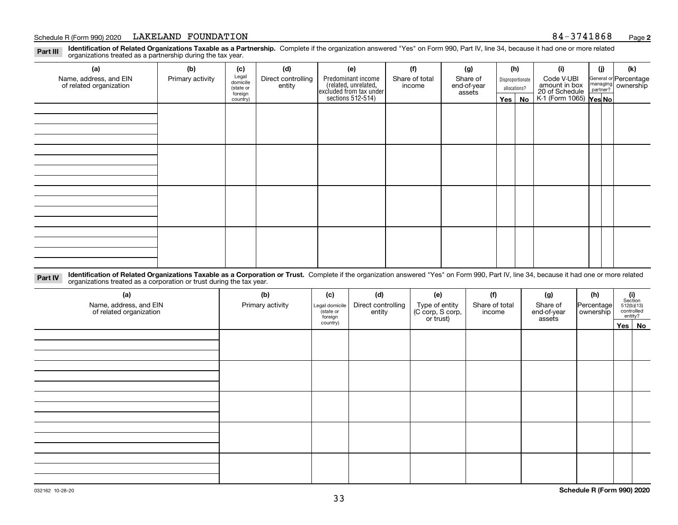#### Schedule R (Form 990) 2020 LAKELAND FOUNDATION 8 4-3 7 4 1 8 6 8 <sub>Page</sub>

**Identification of Related Organizations Taxable as a Partnership.** Complete if the organization answered "Yes" on Form 990, Part IV, line 34, because it had one or more related **Part III** organizations treated as a partnership during the tax year.

| (a)                                               | (b)              | (c)                  | (d)                          | (e)                                                                                        | (f)                      | (g)                     |              | (h)              | (i)                                                       | (j) | (k)                                                       |
|---------------------------------------------------|------------------|----------------------|------------------------------|--------------------------------------------------------------------------------------------|--------------------------|-------------------------|--------------|------------------|-----------------------------------------------------------|-----|-----------------------------------------------------------|
| Name, address, and EIN<br>of related organization | Primary activity | Legal<br>domicile    | Direct controlling<br>entity | Predominant income<br>(related, unrelated,<br>excluded from tax under<br>sections 512-514) | Share of total<br>income | Share of<br>end-of-year |              | Disproportionate | Code V-UBI                                                |     | General or Percentage<br>managing<br>partner?<br>partner? |
|                                                   |                  | (state or<br>foreign |                              |                                                                                            |                          | assets                  | allocations? |                  |                                                           |     |                                                           |
|                                                   |                  | country)             |                              |                                                                                            |                          |                         |              | $Yes \mid No$    | amount in box<br>20 of Schedule<br>K-1 (Form 1065) Yes No |     |                                                           |
|                                                   |                  |                      |                              |                                                                                            |                          |                         |              |                  |                                                           |     |                                                           |
|                                                   |                  |                      |                              |                                                                                            |                          |                         |              |                  |                                                           |     |                                                           |
|                                                   |                  |                      |                              |                                                                                            |                          |                         |              |                  |                                                           |     |                                                           |
|                                                   |                  |                      |                              |                                                                                            |                          |                         |              |                  |                                                           |     |                                                           |
|                                                   |                  |                      |                              |                                                                                            |                          |                         |              |                  |                                                           |     |                                                           |
|                                                   |                  |                      |                              |                                                                                            |                          |                         |              |                  |                                                           |     |                                                           |
|                                                   |                  |                      |                              |                                                                                            |                          |                         |              |                  |                                                           |     |                                                           |
|                                                   |                  |                      |                              |                                                                                            |                          |                         |              |                  |                                                           |     |                                                           |
|                                                   |                  |                      |                              |                                                                                            |                          |                         |              |                  |                                                           |     |                                                           |
|                                                   |                  |                      |                              |                                                                                            |                          |                         |              |                  |                                                           |     |                                                           |
|                                                   |                  |                      |                              |                                                                                            |                          |                         |              |                  |                                                           |     |                                                           |
|                                                   |                  |                      |                              |                                                                                            |                          |                         |              |                  |                                                           |     |                                                           |
|                                                   |                  |                      |                              |                                                                                            |                          |                         |              |                  |                                                           |     |                                                           |
|                                                   |                  |                      |                              |                                                                                            |                          |                         |              |                  |                                                           |     |                                                           |
|                                                   |                  |                      |                              |                                                                                            |                          |                         |              |                  |                                                           |     |                                                           |
|                                                   |                  |                      |                              |                                                                                            |                          |                         |              |                  |                                                           |     |                                                           |
|                                                   |                  |                      |                              |                                                                                            |                          |                         |              |                  |                                                           |     |                                                           |
|                                                   |                  |                      |                              |                                                                                            |                          |                         |              |                  |                                                           |     |                                                           |

**Identification of Related Organizations Taxable as a Corporation or Trust.** Complete if the organization answered "Yes" on Form 990, Part IV, line 34, because it had one or more related **Part IV** organizations treated as a corporation or trust during the tax year.

| (a)<br>Name, address, and EIN<br>of related organization | (b)<br>Primary activity | (c)<br>Legal domicile<br>(state or<br>foreign | (d)<br>Direct controlling<br>entity | (e)<br>Type of entity<br>(C corp, S corp,<br>or trust) | (f)<br>Share of total<br>income | (g)<br>Share of<br>end-of-year<br>assets | (h)<br>Percentage<br>ownership | $\begin{array}{c} \textbf{(i)}\\ \text{Section}\\ 512 \text{(b)} \text{(13)}\\ \text{controlled}\\ \text{entity?} \end{array}$ |
|----------------------------------------------------------|-------------------------|-----------------------------------------------|-------------------------------------|--------------------------------------------------------|---------------------------------|------------------------------------------|--------------------------------|--------------------------------------------------------------------------------------------------------------------------------|
|                                                          |                         | country)                                      |                                     |                                                        |                                 |                                          |                                | Yes No                                                                                                                         |
|                                                          |                         |                                               |                                     |                                                        |                                 |                                          |                                |                                                                                                                                |
|                                                          |                         |                                               |                                     |                                                        |                                 |                                          |                                |                                                                                                                                |
|                                                          |                         |                                               |                                     |                                                        |                                 |                                          |                                |                                                                                                                                |
|                                                          |                         |                                               |                                     |                                                        |                                 |                                          |                                |                                                                                                                                |
|                                                          |                         |                                               |                                     |                                                        |                                 |                                          |                                |                                                                                                                                |
|                                                          |                         |                                               |                                     |                                                        |                                 |                                          |                                |                                                                                                                                |
|                                                          |                         |                                               |                                     |                                                        |                                 |                                          |                                |                                                                                                                                |
|                                                          |                         |                                               |                                     |                                                        |                                 |                                          |                                |                                                                                                                                |
|                                                          |                         |                                               |                                     |                                                        |                                 |                                          |                                |                                                                                                                                |
|                                                          |                         |                                               |                                     |                                                        |                                 |                                          |                                |                                                                                                                                |
|                                                          |                         |                                               |                                     |                                                        |                                 |                                          |                                |                                                                                                                                |
|                                                          |                         |                                               |                                     |                                                        |                                 |                                          |                                |                                                                                                                                |
|                                                          |                         |                                               |                                     |                                                        |                                 |                                          |                                |                                                                                                                                |
|                                                          |                         |                                               |                                     |                                                        |                                 |                                          |                                |                                                                                                                                |
|                                                          |                         |                                               |                                     |                                                        |                                 |                                          |                                |                                                                                                                                |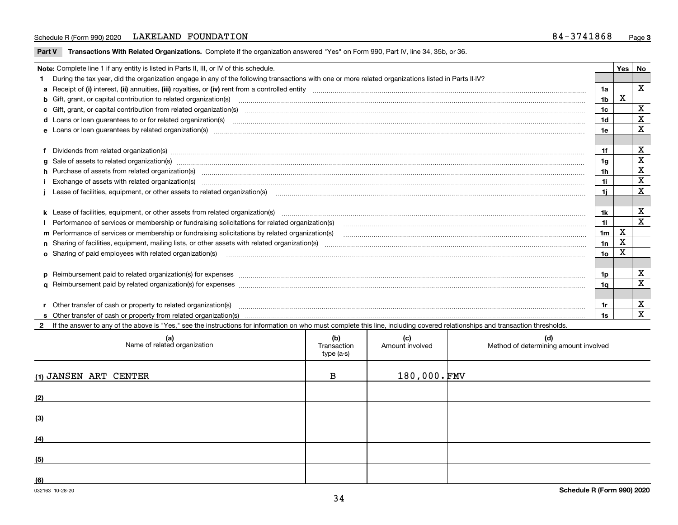### Schedule R (Form 990) 2020 LAKELAND FOUNDATION 8 4-3 7 4 1 8 6 8 <sub>Page</sub>

**Part V** T**ransactions With Related Organizations.** Complete if the organization answered "Yes" on Form 990, Part IV, line 34, 35b, or 36.

| Note: Complete line 1 if any entity is listed in Parts II, III, or IV of this schedule. |                                                                                                                                                                                                                                |                |             |             |  |  |
|-----------------------------------------------------------------------------------------|--------------------------------------------------------------------------------------------------------------------------------------------------------------------------------------------------------------------------------|----------------|-------------|-------------|--|--|
|                                                                                         | 1 During the tax year, did the organization engage in any of the following transactions with one or more related organizations listed in Parts II-IV?                                                                          |                |             |             |  |  |
|                                                                                         |                                                                                                                                                                                                                                | 1a             |             | $\mathbf X$ |  |  |
|                                                                                         | b Gift, grant, or capital contribution to related organization(s) material contracts and contribution to related organization(s)                                                                                               | 1 <sub>b</sub> | $\mathbf X$ |             |  |  |
|                                                                                         | c Gift, grant, or capital contribution from related organization(s) manufaction contracts and contribution from related organization(s) manufaction contribution from related organization(s) manufaction contracts and contri | 1c             |             | X           |  |  |
|                                                                                         | <b>d</b> Loans or loan quarantees to or for related organization(s)                                                                                                                                                            | 1 <sub>d</sub> |             | X           |  |  |
|                                                                                         |                                                                                                                                                                                                                                | 1e             |             | X           |  |  |
|                                                                                         |                                                                                                                                                                                                                                |                |             |             |  |  |
|                                                                                         | f Dividends from related organization(s) www.communicallycommunicallycommunicallycommunicallycommunicallycommunicallycommunicallycommunicallycommunicallycommunicallycommunicallycommunicallycommunicallycommunicallycommunica | 1f             |             | X           |  |  |
|                                                                                         | g Sale of assets to related organization(s) www.communicallycommunicallycommunicallycommunicallycommunicallycommunicallycommunicallycommunicallycommunicallycommunicallycommunicallycommunicallycommunicallycommunicallycommun | 1a             |             | X           |  |  |
|                                                                                         | h Purchase of assets from related organization(s) www.assettion.com/www.assettion.com/www.assettion.com/www.assettion.com/www.assettion.com/www.assettion.com/www.assettion.com/www.assettion.com/www.assettion.com/www.assett | 1h             |             | X           |  |  |
|                                                                                         | Exchange of assets with related organization(s) www.array.com/www.array.com/www.array.com/www.array.com/www.array.com/www.array.com/www.array.com/www.array.com/www.array.com/www.array.com/www.array.com/www.array.com/www.ar | 1i             |             | X           |  |  |
|                                                                                         |                                                                                                                                                                                                                                | 1i.            |             | X           |  |  |
|                                                                                         |                                                                                                                                                                                                                                |                |             |             |  |  |
|                                                                                         |                                                                                                                                                                                                                                | 1k             |             | X           |  |  |
|                                                                                         |                                                                                                                                                                                                                                | 11             |             | X           |  |  |
|                                                                                         | m Performance of services or membership or fundraising solicitations by related organization(s)                                                                                                                                | 1 <sub>m</sub> | X           |             |  |  |
|                                                                                         |                                                                                                                                                                                                                                | 1n             | X           |             |  |  |
|                                                                                         | <b>o</b> Sharing of paid employees with related organization(s)                                                                                                                                                                | 10             | X           |             |  |  |
|                                                                                         |                                                                                                                                                                                                                                |                |             |             |  |  |
|                                                                                         | p Reimbursement paid to related organization(s) for expenses [11111] [12] reasonal content of the separation (s) for expenses [11111] [12] reasonal content content of the separation (s) for expenses [1111] [12] reasonal co | 1p             |             | X           |  |  |
|                                                                                         |                                                                                                                                                                                                                                | 1α             |             | $\mathbf x$ |  |  |
|                                                                                         |                                                                                                                                                                                                                                |                |             |             |  |  |
|                                                                                         | r Other transfer of cash or property to related organization(s)                                                                                                                                                                | 1r             |             | X           |  |  |
|                                                                                         |                                                                                                                                                                                                                                | 1s             |             | X           |  |  |
|                                                                                         | 2 If the answer to any of the above is "Yes," see the instructions for information on who must complete this line, including covered relationships and transaction thresholds.                                                 |                |             |             |  |  |

| (a)<br>Name of related organization | (b)<br>Transaction<br>type (a-s) | (c)<br>Amount involved | (d)<br>Method of determining amount involved |
|-------------------------------------|----------------------------------|------------------------|----------------------------------------------|
| (1) JANSEN ART CENTER               | $\mathbf{B}$                     | $180,000.\,$ FMV       |                                              |
| (2)                                 |                                  |                        |                                              |
| (3)                                 |                                  |                        |                                              |
| (4)                                 |                                  |                        |                                              |
| (5)                                 |                                  |                        |                                              |
| (6)                                 |                                  |                        |                                              |

 $\overline{\phantom{a}}$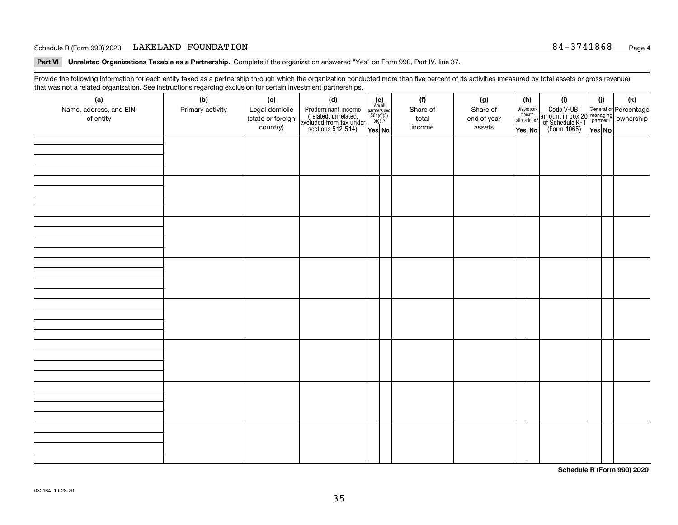### Schedule R (Form 990) 2020 LAKELAND FOUNDATION 8 4-3 7 4 1 8 6 8 <sub>Page</sub>

**Part VI Unrelated Organizations Taxable as a Partnership. Complete if the organization answered "Yes" on Form 990, Part IV, line 37.** 

Provide the following information for each entity taxed as a partnership through which the organization conducted more than five percent of its activities (measured by total assets or gross revenue) that was not a related organization. See instructions regarding exclusion for certain investment partnerships.

| ັ                      | ັ<br>ັ           |                   |                                                                                            |                                      |          |  |             |                                       |  |                                                                                                                                       |       |     |
|------------------------|------------------|-------------------|--------------------------------------------------------------------------------------------|--------------------------------------|----------|--|-------------|---------------------------------------|--|---------------------------------------------------------------------------------------------------------------------------------------|-------|-----|
| (a)                    | (b)              | (c)               | (d)                                                                                        | (e)<br>Are all                       | (f)      |  | (g)         | (h)                                   |  | (i)                                                                                                                                   | (i)   | (k) |
| Name, address, and EIN | Primary activity | Legal domicile    | Predominant income<br>(related, unrelated,<br>excluded from tax under<br>sections 512-514) | partners sec.<br>501(c)(3)<br>orgs.? | Share of |  | Share of    | Dispropor-<br>tionate<br>allocations? |  | Code V-UBI<br>  amount in box 20 managing<br>  of Schedule K-1 partner? ownership<br>  of Schedule K-1 partner? ownership<br>  Yes No |       |     |
| of entity              |                  | (state or foreign |                                                                                            |                                      | total    |  | end-of-year |                                       |  |                                                                                                                                       |       |     |
|                        |                  | country)          |                                                                                            | Yes No                               | income   |  | assets      | Yes No                                |  |                                                                                                                                       | YesNO |     |
|                        |                  |                   |                                                                                            |                                      |          |  |             |                                       |  |                                                                                                                                       |       |     |
|                        |                  |                   |                                                                                            |                                      |          |  |             |                                       |  |                                                                                                                                       |       |     |
|                        |                  |                   |                                                                                            |                                      |          |  |             |                                       |  |                                                                                                                                       |       |     |
|                        |                  |                   |                                                                                            |                                      |          |  |             |                                       |  |                                                                                                                                       |       |     |
|                        |                  |                   |                                                                                            |                                      |          |  |             |                                       |  |                                                                                                                                       |       |     |
|                        |                  |                   |                                                                                            |                                      |          |  |             |                                       |  |                                                                                                                                       |       |     |
|                        |                  |                   |                                                                                            |                                      |          |  |             |                                       |  |                                                                                                                                       |       |     |
|                        |                  |                   |                                                                                            |                                      |          |  |             |                                       |  |                                                                                                                                       |       |     |
|                        |                  |                   |                                                                                            |                                      |          |  |             |                                       |  |                                                                                                                                       |       |     |
|                        |                  |                   |                                                                                            |                                      |          |  |             |                                       |  |                                                                                                                                       |       |     |
|                        |                  |                   |                                                                                            |                                      |          |  |             |                                       |  |                                                                                                                                       |       |     |
|                        |                  |                   |                                                                                            |                                      |          |  |             |                                       |  |                                                                                                                                       |       |     |
|                        |                  |                   |                                                                                            |                                      |          |  |             |                                       |  |                                                                                                                                       |       |     |
|                        |                  |                   |                                                                                            |                                      |          |  |             |                                       |  |                                                                                                                                       |       |     |
|                        |                  |                   |                                                                                            |                                      |          |  |             |                                       |  |                                                                                                                                       |       |     |
|                        |                  |                   |                                                                                            |                                      |          |  |             |                                       |  |                                                                                                                                       |       |     |
|                        |                  |                   |                                                                                            |                                      |          |  |             |                                       |  |                                                                                                                                       |       |     |
|                        |                  |                   |                                                                                            |                                      |          |  |             |                                       |  |                                                                                                                                       |       |     |
|                        |                  |                   |                                                                                            |                                      |          |  |             |                                       |  |                                                                                                                                       |       |     |
|                        |                  |                   |                                                                                            |                                      |          |  |             |                                       |  |                                                                                                                                       |       |     |
|                        |                  |                   |                                                                                            |                                      |          |  |             |                                       |  |                                                                                                                                       |       |     |
|                        |                  |                   |                                                                                            |                                      |          |  |             |                                       |  |                                                                                                                                       |       |     |
|                        |                  |                   |                                                                                            |                                      |          |  |             |                                       |  |                                                                                                                                       |       |     |
|                        |                  |                   |                                                                                            |                                      |          |  |             |                                       |  |                                                                                                                                       |       |     |
|                        |                  |                   |                                                                                            |                                      |          |  |             |                                       |  |                                                                                                                                       |       |     |
|                        |                  |                   |                                                                                            |                                      |          |  |             |                                       |  |                                                                                                                                       |       |     |
|                        |                  |                   |                                                                                            |                                      |          |  |             |                                       |  |                                                                                                                                       |       |     |
|                        |                  |                   |                                                                                            |                                      |          |  |             |                                       |  |                                                                                                                                       |       |     |
|                        |                  |                   |                                                                                            |                                      |          |  |             |                                       |  |                                                                                                                                       |       |     |
|                        |                  |                   |                                                                                            |                                      |          |  |             |                                       |  |                                                                                                                                       |       |     |
|                        |                  |                   |                                                                                            |                                      |          |  |             |                                       |  |                                                                                                                                       |       |     |
|                        |                  |                   |                                                                                            |                                      |          |  |             |                                       |  |                                                                                                                                       |       |     |
|                        |                  |                   |                                                                                            |                                      |          |  |             |                                       |  |                                                                                                                                       |       |     |
|                        |                  |                   |                                                                                            |                                      |          |  |             |                                       |  |                                                                                                                                       |       |     |
|                        |                  |                   |                                                                                            |                                      |          |  |             |                                       |  |                                                                                                                                       |       |     |

**Schedule R (Form 990) 2020**